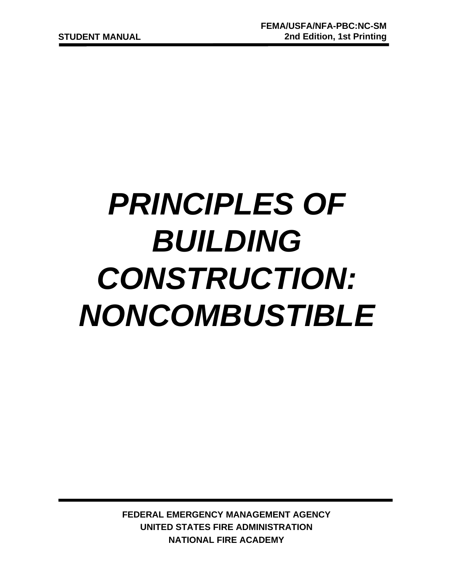# *PRINCIPLES OF BUILDING CONSTRUCTION: NONCOMBUSTIBLE*

**FEDERAL EMERGENCY MANAGEMENT AGENCY UNITED STATES FIRE ADMINISTRATION NATIONAL FIRE ACADEMY**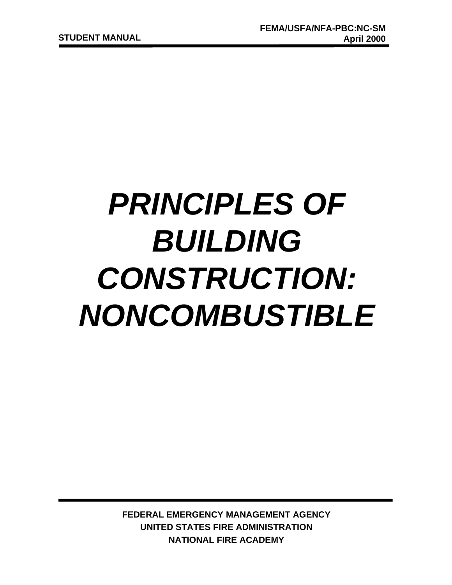# *PRINCIPLES OF BUILDING CONSTRUCTION: NONCOMBUSTIBLE*

**FEDERAL EMERGENCY MANAGEMENT AGENCY UNITED STATES FIRE ADMINISTRATION NATIONAL FIRE ACADEMY**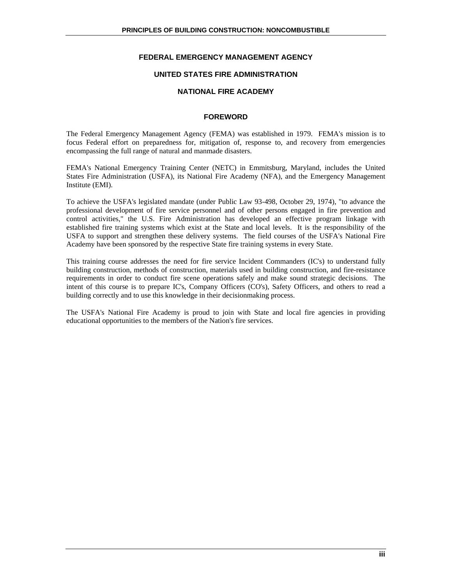#### **FEDERAL EMERGENCY MANAGEMENT AGENCY**

#### **UNITED STATES FIRE ADMINISTRATION**

#### **NATIONAL FIRE ACADEMY**

#### **FOREWORD**

The Federal Emergency Management Agency (FEMA) was established in 1979. FEMA's mission is to focus Federal effort on preparedness for, mitigation of, response to, and recovery from emergencies encompassing the full range of natural and manmade disasters.

FEMA's National Emergency Training Center (NETC) in Emmitsburg, Maryland, includes the United States Fire Administration (USFA), its National Fire Academy (NFA), and the Emergency Management Institute (EMI).

To achieve the USFA's legislated mandate (under Public Law 93-498, October 29, 1974), "to advance the professional development of fire service personnel and of other persons engaged in fire prevention and control activities," the U.S. Fire Administration has developed an effective program linkage with established fire training systems which exist at the State and local levels. It is the responsibility of the USFA to support and strengthen these delivery systems. The field courses of the USFA's National Fire Academy have been sponsored by the respective State fire training systems in every State.

This training course addresses the need for fire service Incident Commanders (IC's) to understand fully building construction, methods of construction, materials used in building construction, and fire-resistance requirements in order to conduct fire scene operations safely and make sound strategic decisions. The intent of this course is to prepare IC's, Company Officers (CO's), Safety Officers, and others to read a building correctly and to use this knowledge in their decisionmaking process.

The USFA's National Fire Academy is proud to join with State and local fire agencies in providing educational opportunities to the members of the Nation's fire services.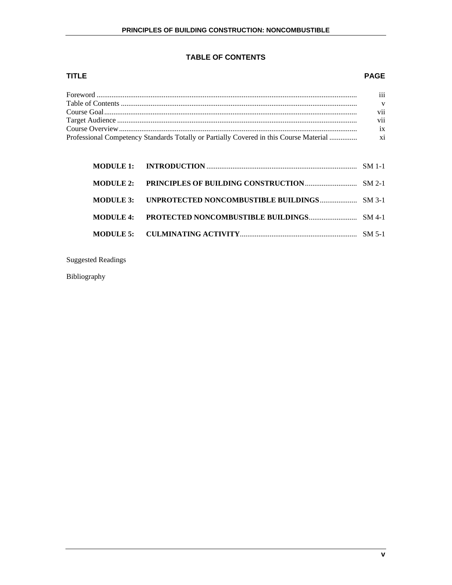# **TABLE OF CONTENTS**

# **TITLE PAGE**

| $\cdots$<br>111 |
|-----------------|
| V               |
| vii             |
| V11             |
| $ix =$          |
|                 |

Suggested Readings

Bibliography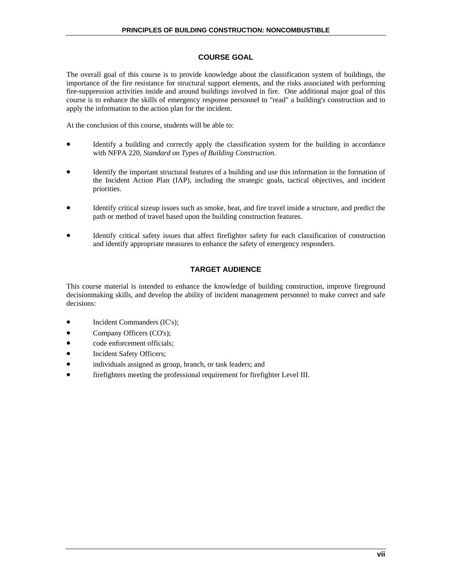#### **COURSE GOAL**

The overall goal of this course is to provide knowledge about the classification system of buildings, the importance of the fire resistance for structural support elements, and the risks associated with performing fire-suppression activities inside and around buildings involved in fire. One additional major goal of this course is to enhance the skills of emergency response personnel to "read" a building's construction and to apply the information to the action plan for the incident.

At the conclusion of this course, students will be able to:

- Identify a building and correctly apply the classification system for the building in accordance with NFPA 220, *Standard on Types of Building Construction*.
- Identify the important structural features of a building and use this information in the formation of the Incident Action Plan (IAP), including the strategic goals, tactical objectives, and incident priorities.
- Identify critical sizeup issues such as smoke, heat, and fire travel inside a structure, and predict the path or method of travel based upon the building construction features.
- Identify critical safety issues that affect firefighter safety for each classification of construction and identify appropriate measures to enhance the safety of emergency responders.

#### **TARGET AUDIENCE**

This course material is intended to enhance the knowledge of building construction, improve fireground decisionmaking skills, and develop the ability of incident management personnel to make correct and safe decisions:

- Incident Commanders (IC's);
- Company Officers (CO's);
- code enforcement officials;
- Incident Safety Officers;
- individuals assigned as group, branch, or task leaders; and
- firefighters meeting the professional requirement for firefighter Level III.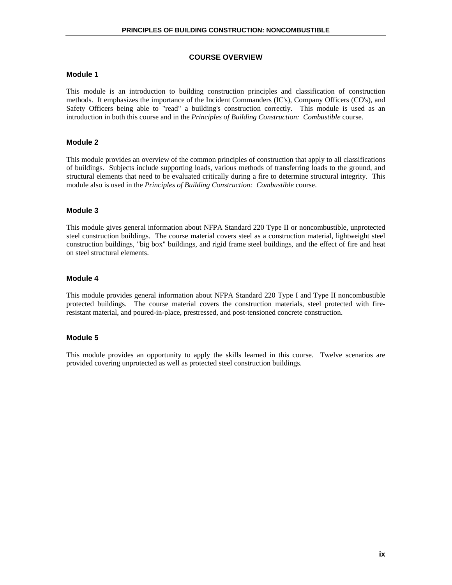#### **COURSE OVERVIEW**

#### **Module 1**

This module is an introduction to building construction principles and classification of construction methods. It emphasizes the importance of the Incident Commanders (IC's), Company Officers (CO's), and Safety Officers being able to "read" a building's construction correctly. This module is used as an introduction in both this course and in the *Principles of Building Construction: Combustible* course.

#### **Module 2**

This module provides an overview of the common principles of construction that apply to all classifications of buildings. Subjects include supporting loads, various methods of transferring loads to the ground, and structural elements that need to be evaluated critically during a fire to determine structural integrity. This module also is used in the *Principles of Building Construction: Combustible* course.

#### **Module 3**

This module gives general information about NFPA Standard 220 Type II or noncombustible, unprotected steel construction buildings. The course material covers steel as a construction material, lightweight steel construction buildings, "big box" buildings, and rigid frame steel buildings, and the effect of fire and heat on steel structural elements.

#### **Module 4**

This module provides general information about NFPA Standard 220 Type I and Type II noncombustible protected buildings. The course material covers the construction materials, steel protected with fireresistant material, and poured-in-place, prestressed, and post-tensioned concrete construction.

#### **Module 5**

This module provides an opportunity to apply the skills learned in this course. Twelve scenarios are provided covering unprotected as well as protected steel construction buildings.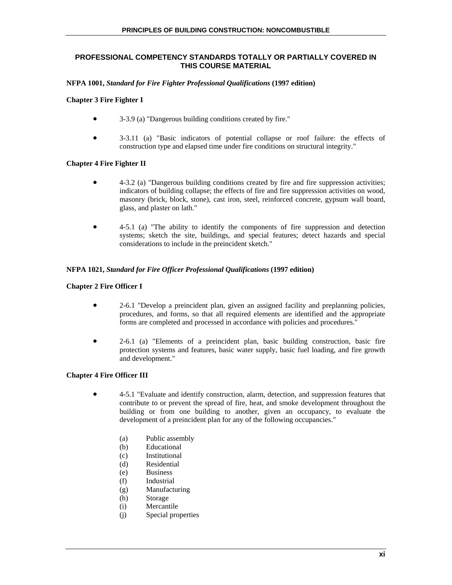#### **PROFESSIONAL COMPETENCY STANDARDS TOTALLY OR PARTIALLY COVERED IN THIS COURSE MATERIAL**

#### **NFPA 1001,** *Standard for Fire Fighter Professional Qualifications* **(1997 edition)**

#### **Chapter 3 Fire Fighter I**

- 3-3.9 (a) "Dangerous building conditions created by fire."
- 3-3.11 (a) "Basic indicators of potential collapse or roof failure: the effects of construction type and elapsed time under fire conditions on structural integrity."

#### **Chapter 4 Fire Fighter II**

- 4-3.2 (a) "Dangerous building conditions created by fire and fire suppression activities; indicators of building collapse; the effects of fire and fire suppression activities on wood, masonry (brick, block, stone), cast iron, steel, reinforced concrete, gypsum wall board, glass, and plaster on lath."
- 4-5.1 (a) "The ability to identify the components of fire suppression and detection systems; sketch the site, buildings, and special features; detect hazards and special considerations to include in the preincident sketch."

#### **NFPA 1021,** *Standard for Fire Officer Professional Qualifications* **(1997 edition)**

#### **Chapter 2 Fire Officer I**

- 2-6.1 "Develop a preincident plan, given an assigned facility and preplanning policies, procedures, and forms, so that all required elements are identified and the appropriate forms are completed and processed in accordance with policies and procedures."
- 2-6.1 (a) "Elements of a preincident plan, basic building construction, basic fire protection systems and features, basic water supply, basic fuel loading, and fire growth and development."

#### **Chapter 4 Fire Officer III**

- 4-5.1 "Evaluate and identify construction, alarm, detection, and suppression features that contribute to or prevent the spread of fire, heat, and smoke development throughout the building or from one building to another, given an occupancy, to evaluate the development of a preincident plan for any of the following occupancies."
	- (a) Public assembly
	- (b) Educational
	- (c) Institutional
	- (d) Residential
	- (e) Business
	- (f) Industrial
	- (g) Manufacturing
	- (h) Storage
	- (i) Mercantile
	- (j) Special properties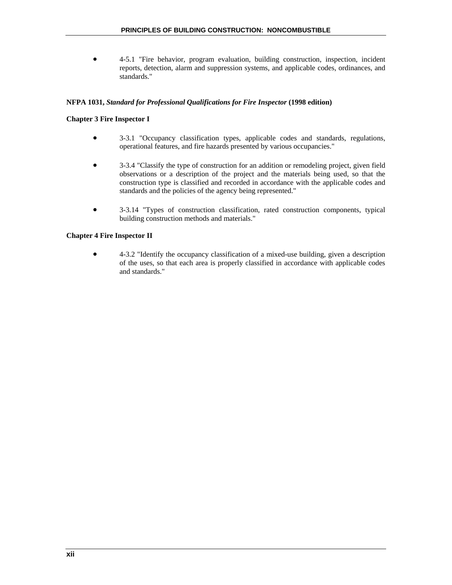• 4-5.1 "Fire behavior, program evaluation, building construction, inspection, incident reports, detection, alarm and suppression systems, and applicable codes, ordinances, and standards."

#### **NFPA 1031,** *Standard for Professional Qualifications for Fire Inspector* **(1998 edition)**

#### **Chapter 3 Fire Inspector I**

- 3-3.1 "Occupancy classification types, applicable codes and standards, regulations, operational features, and fire hazards presented by various occupancies."
- 3-3.4 "Classify the type of construction for an addition or remodeling project, given field observations or a description of the project and the materials being used, so that the construction type is classified and recorded in accordance with the applicable codes and standards and the policies of the agency being represented."
- 3-3.14 "Types of construction classification, rated construction components, typical building construction methods and materials."

#### **Chapter 4 Fire Inspector II**

• 4-3.2 "Identify the occupancy classification of a mixed-use building, given a description of the uses, so that each area is properly classified in accordance with applicable codes and standards."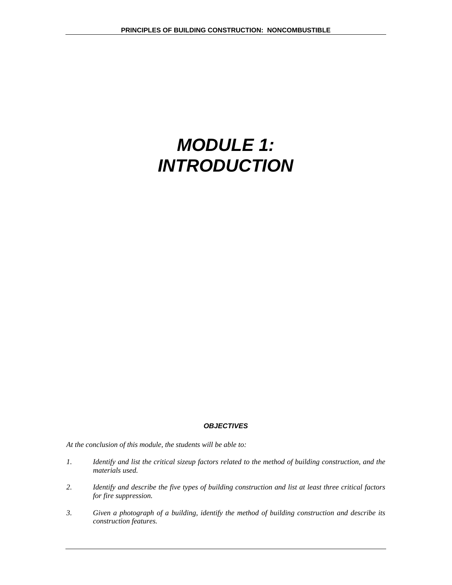# *MODULE 1: INTRODUCTION*

#### *OBJECTIVES*

*At the conclusion of this module, the students will be able to:* 

- *1. Identify and list the critical sizeup factors related to the method of building construction, and the materials used.*
- *2. Identify and describe the five types of building construction and list at least three critical factors for fire suppression.*
- *3. Given a photograph of a building, identify the method of building construction and describe its construction features.*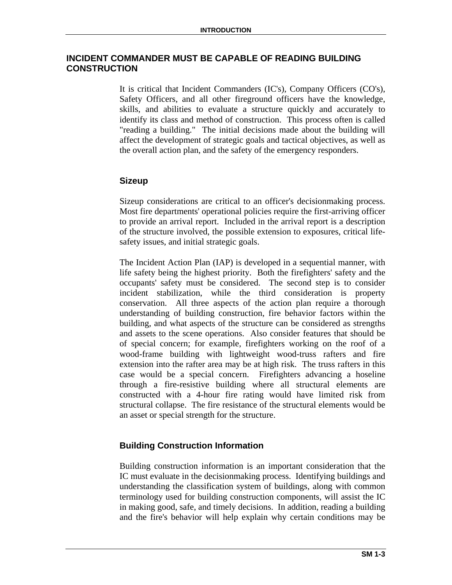# **INCIDENT COMMANDER MUST BE CAPABLE OF READING BUILDING CONSTRUCTION**

It is critical that Incident Commanders (IC's), Company Officers (CO's), Safety Officers, and all other fireground officers have the knowledge, skills, and abilities to evaluate a structure quickly and accurately to identify its class and method of construction. This process often is called "reading a building." The initial decisions made about the building will affect the development of strategic goals and tactical objectives, as well as the overall action plan, and the safety of the emergency responders.

# **Sizeup**

Sizeup considerations are critical to an officer's decisionmaking process. Most fire departments' operational policies require the first-arriving officer to provide an arrival report. Included in the arrival report is a description of the structure involved, the possible extension to exposures, critical lifesafety issues, and initial strategic goals.

The Incident Action Plan (IAP) is developed in a sequential manner, with life safety being the highest priority. Both the firefighters' safety and the occupants' safety must be considered. The second step is to consider incident stabilization, while the third consideration is property conservation. All three aspects of the action plan require a thorough understanding of building construction, fire behavior factors within the building, and what aspects of the structure can be considered as strengths and assets to the scene operations. Also consider features that should be of special concern; for example, firefighters working on the roof of a wood-frame building with lightweight wood-truss rafters and fire extension into the rafter area may be at high risk. The truss rafters in this case would be a special concern. Firefighters advancing a hoseline through a fire-resistive building where all structural elements are constructed with a 4-hour fire rating would have limited risk from structural collapse. The fire resistance of the structural elements would be an asset or special strength for the structure.

# **Building Construction Information**

Building construction information is an important consideration that the IC must evaluate in the decisionmaking process. Identifying buildings and understanding the classification system of buildings, along with common terminology used for building construction components, will assist the IC in making good, safe, and timely decisions. In addition, reading a building and the fire's behavior will help explain why certain conditions may be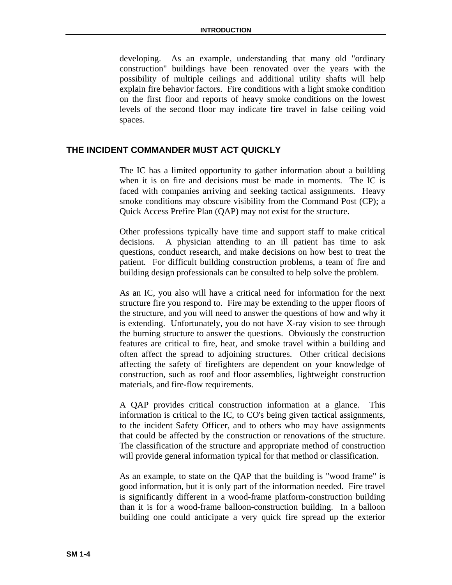developing. As an example, understanding that many old "ordinary construction" buildings have been renovated over the years with the possibility of multiple ceilings and additional utility shafts will help explain fire behavior factors. Fire conditions with a light smoke condition on the first floor and reports of heavy smoke conditions on the lowest levels of the second floor may indicate fire travel in false ceiling void spaces.

# **THE INCIDENT COMMANDER MUST ACT QUICKLY**

The IC has a limited opportunity to gather information about a building when it is on fire and decisions must be made in moments. The IC is faced with companies arriving and seeking tactical assignments. Heavy smoke conditions may obscure visibility from the Command Post (CP); a Quick Access Prefire Plan (QAP) may not exist for the structure.

Other professions typically have time and support staff to make critical decisions. A physician attending to an ill patient has time to ask questions, conduct research, and make decisions on how best to treat the patient. For difficult building construction problems, a team of fire and building design professionals can be consulted to help solve the problem.

As an IC, you also will have a critical need for information for the next structure fire you respond to. Fire may be extending to the upper floors of the structure, and you will need to answer the questions of how and why it is extending. Unfortunately, you do not have X-ray vision to see through the burning structure to answer the questions. Obviously the construction features are critical to fire, heat, and smoke travel within a building and often affect the spread to adjoining structures. Other critical decisions affecting the safety of firefighters are dependent on your knowledge of construction, such as roof and floor assemblies, lightweight construction materials, and fire-flow requirements.

A QAP provides critical construction information at a glance. This information is critical to the IC, to CO's being given tactical assignments, to the incident Safety Officer, and to others who may have assignments that could be affected by the construction or renovations of the structure. The classification of the structure and appropriate method of construction will provide general information typical for that method or classification.

As an example, to state on the QAP that the building is "wood frame" is good information, but it is only part of the information needed. Fire travel is significantly different in a wood-frame platform-construction building than it is for a wood-frame balloon-construction building. In a balloon building one could anticipate a very quick fire spread up the exterior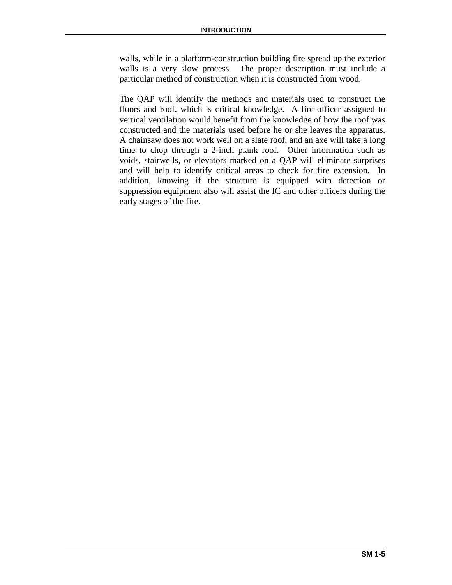walls, while in a platform-construction building fire spread up the exterior walls is a very slow process. The proper description must include a particular method of construction when it is constructed from wood.

The QAP will identify the methods and materials used to construct the floors and roof, which is critical knowledge. A fire officer assigned to vertical ventilation would benefit from the knowledge of how the roof was constructed and the materials used before he or she leaves the apparatus. A chainsaw does not work well on a slate roof, and an axe will take a long time to chop through a 2-inch plank roof. Other information such as voids, stairwells, or elevators marked on a QAP will eliminate surprises and will help to identify critical areas to check for fire extension. In addition, knowing if the structure is equipped with detection or suppression equipment also will assist the IC and other officers during the early stages of the fire.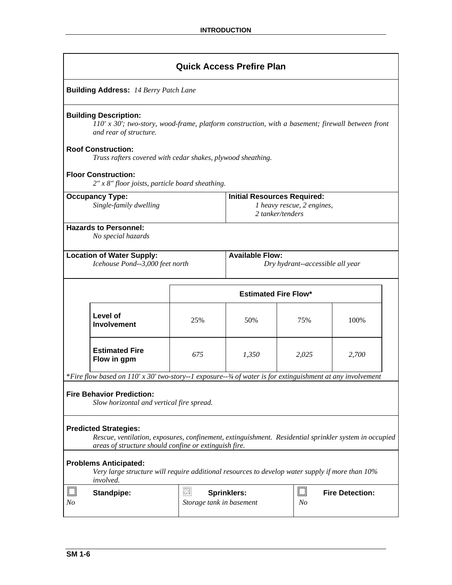| <b>Quick Access Prefire Plan</b>                 |                                                                                                                                                                                                                                                           |                               |                                                                                      |         |                        |  |
|--------------------------------------------------|-----------------------------------------------------------------------------------------------------------------------------------------------------------------------------------------------------------------------------------------------------------|-------------------------------|--------------------------------------------------------------------------------------|---------|------------------------|--|
| <b>Building Address: 14 Berry Patch Lane</b>     |                                                                                                                                                                                                                                                           |                               |                                                                                      |         |                        |  |
|                                                  | <b>Building Description:</b><br>$110'$ x 30'; two-story, wood-frame, platform construction, with a basement; firewall between front<br>and rear of structure.<br><b>Roof Construction:</b><br>Truss rafters covered with cedar shakes, plywood sheathing. |                               |                                                                                      |         |                        |  |
|                                                  | <b>Floor Construction:</b><br>$2''$ x $8''$ floor joists, particle board sheathing.                                                                                                                                                                       |                               |                                                                                      |         |                        |  |
| <b>Occupancy Type:</b><br>Single-family dwelling |                                                                                                                                                                                                                                                           |                               | <b>Initial Resources Required:</b><br>1 heavy rescue, 2 engines,<br>2 tanker/tenders |         |                        |  |
|                                                  | <b>Hazards to Personnel:</b><br>No special hazards                                                                                                                                                                                                        |                               |                                                                                      |         |                        |  |
|                                                  | <b>Available Flow:</b><br><b>Location of Water Supply:</b><br>Icehouse Pond--3,000 feet north<br>Dry hydrant--accessible all year                                                                                                                         |                               |                                                                                      |         |                        |  |
|                                                  |                                                                                                                                                                                                                                                           |                               | <b>Estimated Fire Flow*</b>                                                          |         |                        |  |
|                                                  | Level of<br><b>Involvement</b>                                                                                                                                                                                                                            | 25%                           | 50%                                                                                  | 75%     | 100%                   |  |
|                                                  | <b>Estimated Fire</b><br>Flow in gpm                                                                                                                                                                                                                      | 675                           | 1,350                                                                                | 2,025   | 2,700                  |  |
|                                                  | *Fire flow based on 110' x 30' two-story--1 exposure-- $\frac{3}{4}$ of water is for extinguishment at any involvement                                                                                                                                    |                               |                                                                                      |         |                        |  |
|                                                  | <b>Fire Behavior Prediction:</b><br>Slow horizontal and vertical fire spread.                                                                                                                                                                             |                               |                                                                                      |         |                        |  |
|                                                  | <b>Predicted Strategies:</b><br>Rescue, ventilation, exposures, confinement, extinguishment. Residential sprinkler system in occupied<br>areas of structure should confine or extinguish fire.                                                            |                               |                                                                                      |         |                        |  |
|                                                  | <b>Problems Anticipated:</b><br>Very large structure will require additional resources to develop water supply if more than 10%<br><i>involved.</i>                                                                                                       |                               |                                                                                      |         |                        |  |
| N <sub>O</sub>                                   | <b>Standpipe:</b>                                                                                                                                                                                                                                         | ⊠<br>Storage tank in basement | <b>Sprinklers:</b>                                                                   | ப<br>No | <b>Fire Detection:</b> |  |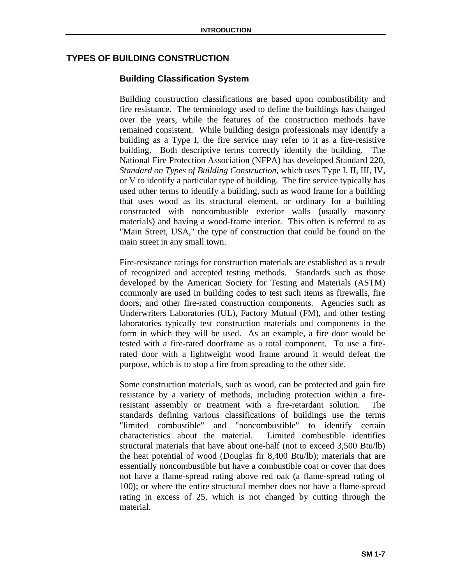# **TYPES OF BUILDING CONSTRUCTION**

# **Building Classification System**

Building construction classifications are based upon combustibility and fire resistance. The terminology used to define the buildings has changed over the years, while the features of the construction methods have remained consistent. While building design professionals may identify a building as a Type I, the fire service may refer to it as a fire-resistive building. Both descriptive terms correctly identify the building. The National Fire Protection Association (NFPA) has developed Standard 220, *Standard on Types of Building Construction*, which uses Type I, II, III, IV, or V to identify a particular type of building. The fire service typically has used other terms to identify a building, such as wood frame for a building that uses wood as its structural element, or ordinary for a building constructed with noncombustible exterior walls (usually masonry materials) and having a wood-frame interior. This often is referred to as "Main Street, USA," the type of construction that could be found on the main street in any small town.

Fire-resistance ratings for construction materials are established as a result of recognized and accepted testing methods. Standards such as those developed by the American Society for Testing and Materials (ASTM) commonly are used in building codes to test such items as firewalls, fire doors, and other fire-rated construction components. Agencies such as Underwriters Laboratories (UL), Factory Mutual (FM), and other testing laboratories typically test construction materials and components in the form in which they will be used. As an example, a fire door would be tested with a fire-rated doorframe as a total component. To use a firerated door with a lightweight wood frame around it would defeat the purpose, which is to stop a fire from spreading to the other side.

Some construction materials, such as wood, can be protected and gain fire resistance by a variety of methods, including protection within a fireresistant assembly or treatment with a fire-retardant solution. The standards defining various classifications of buildings use the terms "limited combustible" and "noncombustible" to identify certain characteristics about the material. Limited combustible identifies structural materials that have about one-half (not to exceed 3,500 Btu/lb) the heat potential of wood (Douglas fir 8,400 Btu/lb); materials that are essentially noncombustible but have a combustible coat or cover that does not have a flame-spread rating above red oak (a flame-spread rating of 100); or where the entire structural member does not have a flame-spread rating in excess of 25, which is not changed by cutting through the material.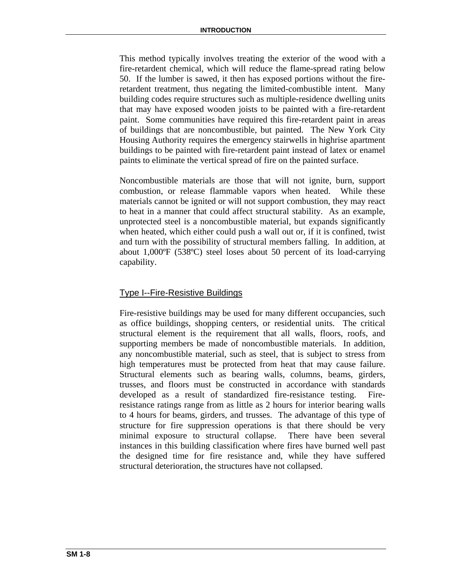This method typically involves treating the exterior of the wood with a fire-retardent chemical, which will reduce the flame-spread rating below 50. If the lumber is sawed, it then has exposed portions without the fireretardent treatment, thus negating the limited-combustible intent. Many building codes require structures such as multiple-residence dwelling units that may have exposed wooden joists to be painted with a fire-retardent paint. Some communities have required this fire-retardent paint in areas of buildings that are noncombustible, but painted. The New York City Housing Authority requires the emergency stairwells in highrise apartment buildings to be painted with fire-retardent paint instead of latex or enamel paints to eliminate the vertical spread of fire on the painted surface.

Noncombustible materials are those that will not ignite, burn, support combustion, or release flammable vapors when heated. While these materials cannot be ignited or will not support combustion, they may react to heat in a manner that could affect structural stability. As an example, unprotected steel is a noncombustible material, but expands significantly when heated, which either could push a wall out or, if it is confined, twist and turn with the possibility of structural members falling. In addition, at about 1,000ºF (538ºC) steel loses about 50 percent of its load-carrying capability.

# Type I--Fire-Resistive Buildings

Fire-resistive buildings may be used for many different occupancies, such as office buildings, shopping centers, or residential units. The critical structural element is the requirement that all walls, floors, roofs, and supporting members be made of noncombustible materials. In addition, any noncombustible material, such as steel, that is subject to stress from high temperatures must be protected from heat that may cause failure. Structural elements such as bearing walls, columns, beams, girders, trusses, and floors must be constructed in accordance with standards developed as a result of standardized fire-resistance testing. Fireresistance ratings range from as little as 2 hours for interior bearing walls to 4 hours for beams, girders, and trusses. The advantage of this type of structure for fire suppression operations is that there should be very minimal exposure to structural collapse. There have been several instances in this building classification where fires have burned well past the designed time for fire resistance and, while they have suffered structural deterioration, the structures have not collapsed.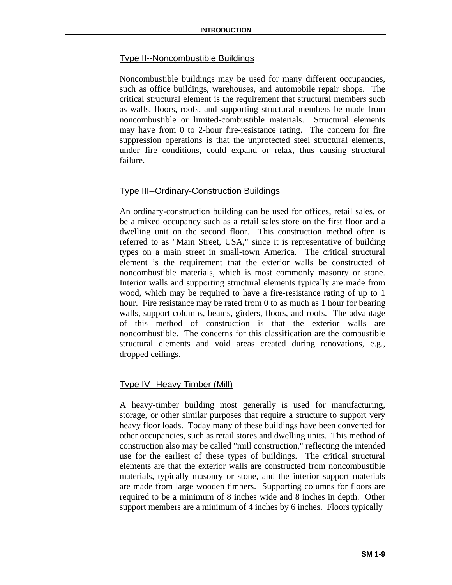# Type II--Noncombustible Buildings

Noncombustible buildings may be used for many different occupancies, such as office buildings, warehouses, and automobile repair shops. The critical structural element is the requirement that structural members such as walls, floors, roofs, and supporting structural members be made from noncombustible or limited-combustible materials. Structural elements may have from 0 to 2-hour fire-resistance rating. The concern for fire suppression operations is that the unprotected steel structural elements, under fire conditions, could expand or relax, thus causing structural failure.

# Type III--Ordinary-Construction Buildings

An ordinary-construction building can be used for offices, retail sales, or be a mixed occupancy such as a retail sales store on the first floor and a dwelling unit on the second floor. This construction method often is referred to as "Main Street, USA," since it is representative of building types on a main street in small-town America. The critical structural element is the requirement that the exterior walls be constructed of noncombustible materials, which is most commonly masonry or stone. Interior walls and supporting structural elements typically are made from wood, which may be required to have a fire-resistance rating of up to 1 hour. Fire resistance may be rated from 0 to as much as 1 hour for bearing walls, support columns, beams, girders, floors, and roofs. The advantage of this method of construction is that the exterior walls are noncombustible. The concerns for this classification are the combustible structural elements and void areas created during renovations, e.g., dropped ceilings.

#### Type IV--Heavy Timber (Mill)

A heavy-timber building most generally is used for manufacturing, storage, or other similar purposes that require a structure to support very heavy floor loads. Today many of these buildings have been converted for other occupancies, such as retail stores and dwelling units. This method of construction also may be called "mill construction," reflecting the intended use for the earliest of these types of buildings. The critical structural elements are that the exterior walls are constructed from noncombustible materials, typically masonry or stone, and the interior support materials are made from large wooden timbers. Supporting columns for floors are required to be a minimum of 8 inches wide and 8 inches in depth. Other support members are a minimum of 4 inches by 6 inches. Floors typically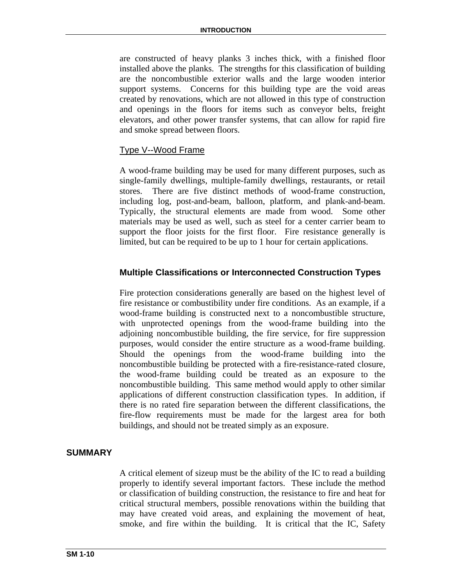are constructed of heavy planks 3 inches thick, with a finished floor installed above the planks. The strengths for this classification of building are the noncombustible exterior walls and the large wooden interior support systems. Concerns for this building type are the void areas created by renovations, which are not allowed in this type of construction and openings in the floors for items such as conveyor belts, freight elevators, and other power transfer systems, that can allow for rapid fire and smoke spread between floors.

# Type V--Wood Frame

A wood-frame building may be used for many different purposes, such as single-family dwellings, multiple-family dwellings, restaurants, or retail stores. There are five distinct methods of wood-frame construction, including log, post-and-beam, balloon, platform, and plank-and-beam. Typically, the structural elements are made from wood. Some other materials may be used as well, such as steel for a center carrier beam to support the floor joists for the first floor. Fire resistance generally is limited, but can be required to be up to 1 hour for certain applications.

# **Multiple Classifications or Interconnected Construction Types**

Fire protection considerations generally are based on the highest level of fire resistance or combustibility under fire conditions. As an example, if a wood-frame building is constructed next to a noncombustible structure, with unprotected openings from the wood-frame building into the adjoining noncombustible building, the fire service, for fire suppression purposes, would consider the entire structure as a wood-frame building. Should the openings from the wood-frame building into the noncombustible building be protected with a fire-resistance-rated closure, the wood-frame building could be treated as an exposure to the noncombustible building. This same method would apply to other similar applications of different construction classification types. In addition, if there is no rated fire separation between the different classifications, the fire-flow requirements must be made for the largest area for both buildings, and should not be treated simply as an exposure.

# **SUMMARY**

A critical element of sizeup must be the ability of the IC to read a building properly to identify several important factors. These include the method or classification of building construction, the resistance to fire and heat for critical structural members, possible renovations within the building that may have created void areas, and explaining the movement of heat, smoke, and fire within the building. It is critical that the IC, Safety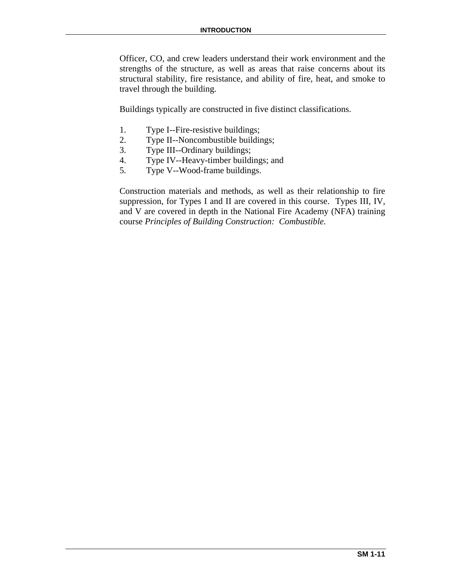Officer, CO, and crew leaders understand their work environment and the strengths of the structure, as well as areas that raise concerns about its structural stability, fire resistance, and ability of fire, heat, and smoke to travel through the building.

Buildings typically are constructed in five distinct classifications.

- 1. Type I--Fire-resistive buildings;
- 2. Type II--Noncombustible buildings;
- 3. Type III--Ordinary buildings;
- 4. Type IV--Heavy-timber buildings; and
- 5. Type V--Wood-frame buildings.

Construction materials and methods, as well as their relationship to fire suppression, for Types I and II are covered in this course. Types III, IV, and V are covered in depth in the National Fire Academy (NFA) training course *Principles of Building Construction: Combustible.*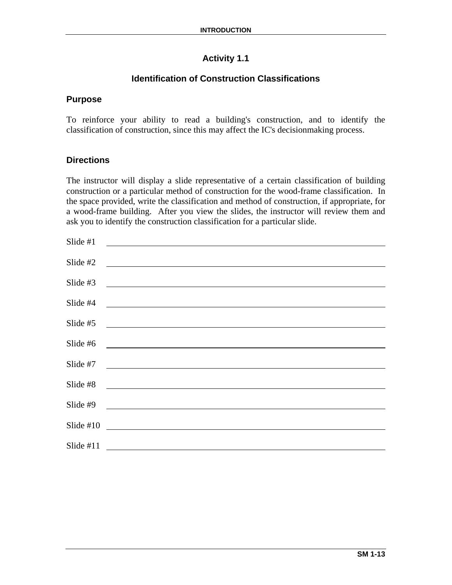# **Activity 1.1**

# **Identification of Construction Classifications**

# **Purpose**

To reinforce your ability to read a building's construction, and to identify the classification of construction, since this may affect the IC's decisionmaking process.

# **Directions**

The instructor will display a slide representative of a certain classification of building construction or a particular method of construction for the wood-frame classification. In the space provided, write the classification and method of construction, if appropriate, for a wood-frame building. After you view the slides, the instructor will review them and ask you to identify the construction classification for a particular slide.

| Slide $#1$  |                                                                                                                        |
|-------------|------------------------------------------------------------------------------------------------------------------------|
| Slide $#2$  | <u> 1989 - Johann Stein, fransk politik (f. 1989)</u>                                                                  |
| Slide $#3$  |                                                                                                                        |
| Slide #4    | <u> 1989 - Johann Stein, fransk politik (f. 1989)</u>                                                                  |
| Slide #5    | <u> 1989 - Jan Stein Stein, fransk politik (f. 1989)</u>                                                               |
| Slide #6    | <u> 1989 - Jan Samuel Barbara, martin da shekarar 1980 - Andrew Maria Barbara, mashrida</u>                            |
| Slide #7    |                                                                                                                        |
| Slide #8    | <u> 1989 - Johann Stoff, deutscher Stoffen und der Stoffen und der Stoffen und der Stoffen und der Stoffen und der</u> |
| Slide #9    | <u> 1989 - Andrea Albert III, politik ar filozof (h. 1918).</u>                                                        |
| Slide $#10$ | <u> 1980 - Johann Stein, fransk politik (f. 1980)</u>                                                                  |
| Slide $#11$ |                                                                                                                        |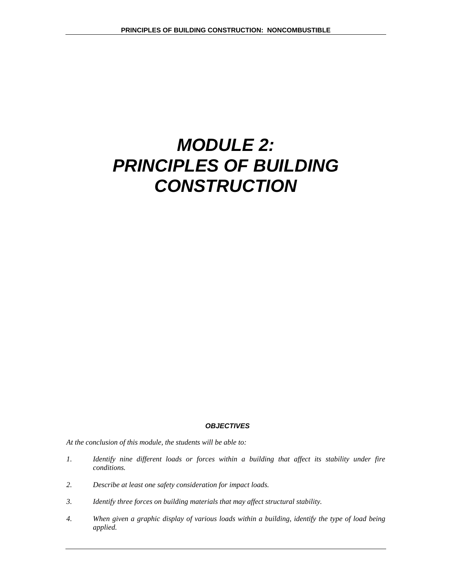# *MODULE 2: PRINCIPLES OF BUILDING CONSTRUCTION*

#### *OBJECTIVES*

*At the conclusion of this module, the students will be able to:* 

- *1. Identify nine different loads or forces within a building that affect its stability under fire conditions.*
- *2. Describe at least one safety consideration for impact loads.*
- *3. Identify three forces on building materials that may affect structural stability.*
- *4. When given a graphic display of various loads within a building, identify the type of load being applied.*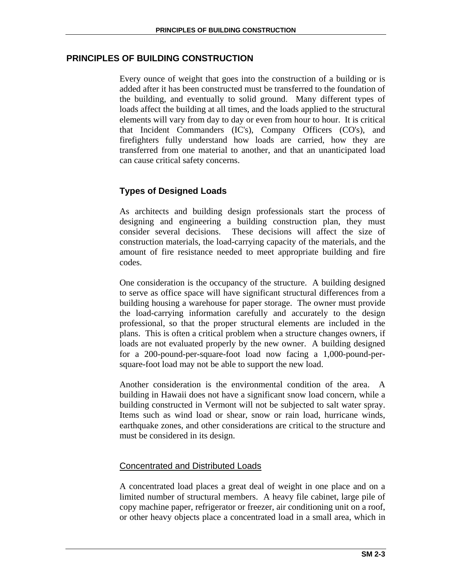# **PRINCIPLES OF BUILDING CONSTRUCTION**

Every ounce of weight that goes into the construction of a building or is added after it has been constructed must be transferred to the foundation of the building, and eventually to solid ground. Many different types of loads affect the building at all times, and the loads applied to the structural elements will vary from day to day or even from hour to hour. It is critical that Incident Commanders (IC's), Company Officers (CO's), and firefighters fully understand how loads are carried, how they are transferred from one material to another, and that an unanticipated load can cause critical safety concerns.

# **Types of Designed Loads**

As architects and building design professionals start the process of designing and engineering a building construction plan, they must consider several decisions. These decisions will affect the size of construction materials, the load-carrying capacity of the materials, and the amount of fire resistance needed to meet appropriate building and fire codes.

One consideration is the occupancy of the structure. A building designed to serve as office space will have significant structural differences from a building housing a warehouse for paper storage. The owner must provide the load-carrying information carefully and accurately to the design professional, so that the proper structural elements are included in the plans. This is often a critical problem when a structure changes owners, if loads are not evaluated properly by the new owner. A building designed for a 200-pound-per-square-foot load now facing a 1,000-pound-persquare-foot load may not be able to support the new load.

Another consideration is the environmental condition of the area. A building in Hawaii does not have a significant snow load concern, while a building constructed in Vermont will not be subjected to salt water spray. Items such as wind load or shear, snow or rain load, hurricane winds, earthquake zones, and other considerations are critical to the structure and must be considered in its design.

# Concentrated and Distributed Loads

A concentrated load places a great deal of weight in one place and on a limited number of structural members. A heavy file cabinet, large pile of copy machine paper, refrigerator or freezer, air conditioning unit on a roof, or other heavy objects place a concentrated load in a small area, which in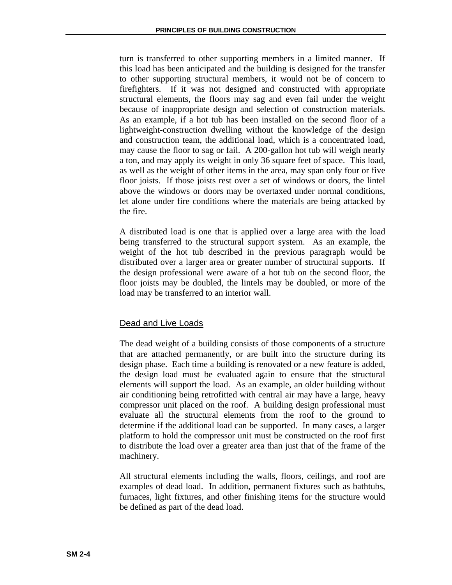turn is transferred to other supporting members in a limited manner. If this load has been anticipated and the building is designed for the transfer to other supporting structural members, it would not be of concern to firefighters. If it was not designed and constructed with appropriate structural elements, the floors may sag and even fail under the weight because of inappropriate design and selection of construction materials. As an example, if a hot tub has been installed on the second floor of a lightweight-construction dwelling without the knowledge of the design and construction team, the additional load, which is a concentrated load, may cause the floor to sag or fail. A 200-gallon hot tub will weigh nearly a ton, and may apply its weight in only 36 square feet of space. This load, as well as the weight of other items in the area, may span only four or five floor joists. If those joists rest over a set of windows or doors, the lintel above the windows or doors may be overtaxed under normal conditions, let alone under fire conditions where the materials are being attacked by the fire.

A distributed load is one that is applied over a large area with the load being transferred to the structural support system. As an example, the weight of the hot tub described in the previous paragraph would be distributed over a larger area or greater number of structural supports. If the design professional were aware of a hot tub on the second floor, the floor joists may be doubled, the lintels may be doubled, or more of the load may be transferred to an interior wall.

# Dead and Live Loads

The dead weight of a building consists of those components of a structure that are attached permanently, or are built into the structure during its design phase. Each time a building is renovated or a new feature is added, the design load must be evaluated again to ensure that the structural elements will support the load. As an example, an older building without air conditioning being retrofitted with central air may have a large, heavy compressor unit placed on the roof. A building design professional must evaluate all the structural elements from the roof to the ground to determine if the additional load can be supported. In many cases, a larger platform to hold the compressor unit must be constructed on the roof first to distribute the load over a greater area than just that of the frame of the machinery.

All structural elements including the walls, floors, ceilings, and roof are examples of dead load. In addition, permanent fixtures such as bathtubs, furnaces, light fixtures, and other finishing items for the structure would be defined as part of the dead load.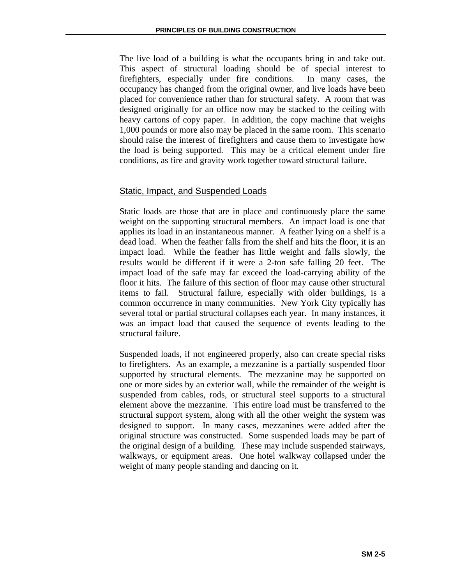The live load of a building is what the occupants bring in and take out. This aspect of structural loading should be of special interest to firefighters, especially under fire conditions. In many cases, the occupancy has changed from the original owner, and live loads have been placed for convenience rather than for structural safety. A room that was designed originally for an office now may be stacked to the ceiling with heavy cartons of copy paper. In addition, the copy machine that weighs 1,000 pounds or more also may be placed in the same room. This scenario should raise the interest of firefighters and cause them to investigate how the load is being supported. This may be a critical element under fire conditions, as fire and gravity work together toward structural failure.

# Static, Impact, and Suspended Loads

Static loads are those that are in place and continuously place the same weight on the supporting structural members. An impact load is one that applies its load in an instantaneous manner. A feather lying on a shelf is a dead load. When the feather falls from the shelf and hits the floor, it is an impact load. While the feather has little weight and falls slowly, the results would be different if it were a 2-ton safe falling 20 feet. The impact load of the safe may far exceed the load-carrying ability of the floor it hits. The failure of this section of floor may cause other structural items to fail. Structural failure, especially with older buildings, is a common occurrence in many communities. New York City typically has several total or partial structural collapses each year. In many instances, it was an impact load that caused the sequence of events leading to the structural failure.

Suspended loads, if not engineered properly, also can create special risks to firefighters. As an example, a mezzanine is a partially suspended floor supported by structural elements. The mezzanine may be supported on one or more sides by an exterior wall, while the remainder of the weight is suspended from cables, rods, or structural steel supports to a structural element above the mezzanine. This entire load must be transferred to the structural support system, along with all the other weight the system was designed to support. In many cases, mezzanines were added after the original structure was constructed. Some suspended loads may be part of the original design of a building. These may include suspended stairways, walkways, or equipment areas. One hotel walkway collapsed under the weight of many people standing and dancing on it.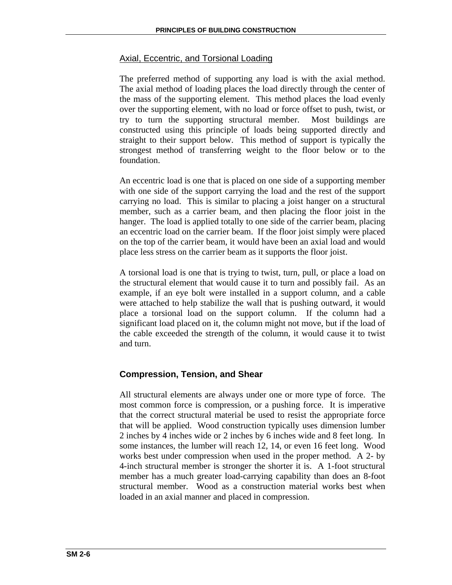# Axial, Eccentric, and Torsional Loading

The preferred method of supporting any load is with the axial method. The axial method of loading places the load directly through the center of the mass of the supporting element. This method places the load evenly over the supporting element, with no load or force offset to push, twist, or try to turn the supporting structural member. Most buildings are constructed using this principle of loads being supported directly and straight to their support below. This method of support is typically the strongest method of transferring weight to the floor below or to the foundation.

An eccentric load is one that is placed on one side of a supporting member with one side of the support carrying the load and the rest of the support carrying no load. This is similar to placing a joist hanger on a structural member, such as a carrier beam, and then placing the floor joist in the hanger. The load is applied totally to one side of the carrier beam, placing an eccentric load on the carrier beam. If the floor joist simply were placed on the top of the carrier beam, it would have been an axial load and would place less stress on the carrier beam as it supports the floor joist.

A torsional load is one that is trying to twist, turn, pull, or place a load on the structural element that would cause it to turn and possibly fail. As an example, if an eye bolt were installed in a support column, and a cable were attached to help stabilize the wall that is pushing outward, it would place a torsional load on the support column. If the column had a significant load placed on it, the column might not move, but if the load of the cable exceeded the strength of the column, it would cause it to twist and turn.

# **Compression, Tension, and Shear**

All structural elements are always under one or more type of force. The most common force is compression, or a pushing force. It is imperative that the correct structural material be used to resist the appropriate force that will be applied. Wood construction typically uses dimension lumber 2 inches by 4 inches wide or 2 inches by 6 inches wide and 8 feet long. In some instances, the lumber will reach 12, 14, or even 16 feet long. Wood works best under compression when used in the proper method. A 2- by 4-inch structural member is stronger the shorter it is. A 1-foot structural member has a much greater load-carrying capability than does an 8-foot structural member. Wood as a construction material works best when loaded in an axial manner and placed in compression.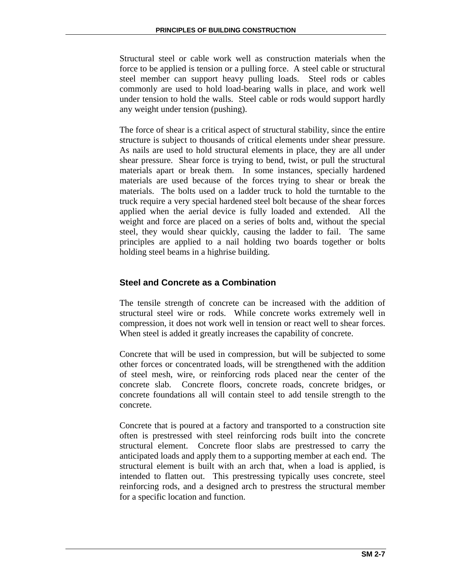Structural steel or cable work well as construction materials when the force to be applied is tension or a pulling force. A steel cable or structural steel member can support heavy pulling loads. Steel rods or cables commonly are used to hold load-bearing walls in place, and work well under tension to hold the walls. Steel cable or rods would support hardly any weight under tension (pushing).

The force of shear is a critical aspect of structural stability, since the entire structure is subject to thousands of critical elements under shear pressure. As nails are used to hold structural elements in place, they are all under shear pressure. Shear force is trying to bend, twist, or pull the structural materials apart or break them. In some instances, specially hardened materials are used because of the forces trying to shear or break the materials. The bolts used on a ladder truck to hold the turntable to the truck require a very special hardened steel bolt because of the shear forces applied when the aerial device is fully loaded and extended. All the weight and force are placed on a series of bolts and, without the special steel, they would shear quickly, causing the ladder to fail. The same principles are applied to a nail holding two boards together or bolts holding steel beams in a highrise building.

# **Steel and Concrete as a Combination**

The tensile strength of concrete can be increased with the addition of structural steel wire or rods. While concrete works extremely well in compression, it does not work well in tension or react well to shear forces. When steel is added it greatly increases the capability of concrete.

Concrete that will be used in compression, but will be subjected to some other forces or concentrated loads, will be strengthened with the addition of steel mesh, wire, or reinforcing rods placed near the center of the concrete slab. Concrete floors, concrete roads, concrete bridges, or concrete foundations all will contain steel to add tensile strength to the concrete.

Concrete that is poured at a factory and transported to a construction site often is prestressed with steel reinforcing rods built into the concrete structural element. Concrete floor slabs are prestressed to carry the anticipated loads and apply them to a supporting member at each end. The structural element is built with an arch that, when a load is applied, is intended to flatten out. This prestressing typically uses concrete, steel reinforcing rods, and a designed arch to prestress the structural member for a specific location and function.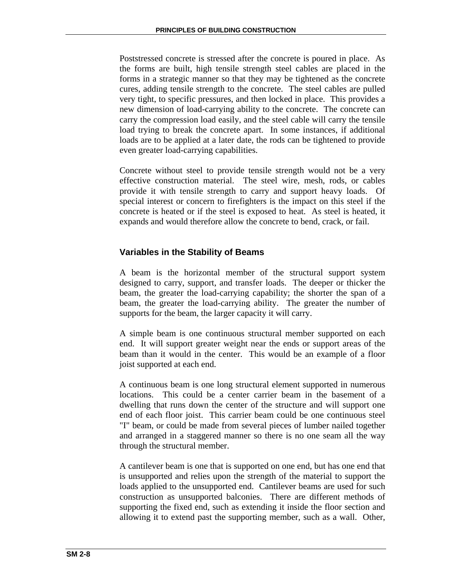Poststressed concrete is stressed after the concrete is poured in place. As the forms are built, high tensile strength steel cables are placed in the forms in a strategic manner so that they may be tightened as the concrete cures, adding tensile strength to the concrete. The steel cables are pulled very tight, to specific pressures, and then locked in place. This provides a new dimension of load-carrying ability to the concrete. The concrete can carry the compression load easily, and the steel cable will carry the tensile load trying to break the concrete apart. In some instances, if additional loads are to be applied at a later date, the rods can be tightened to provide even greater load-carrying capabilities.

Concrete without steel to provide tensile strength would not be a very effective construction material. The steel wire, mesh, rods, or cables provide it with tensile strength to carry and support heavy loads. Of special interest or concern to firefighters is the impact on this steel if the concrete is heated or if the steel is exposed to heat. As steel is heated, it expands and would therefore allow the concrete to bend, crack, or fail.

# **Variables in the Stability of Beams**

A beam is the horizontal member of the structural support system designed to carry, support, and transfer loads. The deeper or thicker the beam, the greater the load-carrying capability; the shorter the span of a beam, the greater the load-carrying ability. The greater the number of supports for the beam, the larger capacity it will carry.

A simple beam is one continuous structural member supported on each end. It will support greater weight near the ends or support areas of the beam than it would in the center. This would be an example of a floor joist supported at each end.

A continuous beam is one long structural element supported in numerous locations. This could be a center carrier beam in the basement of a dwelling that runs down the center of the structure and will support one end of each floor joist. This carrier beam could be one continuous steel "I" beam, or could be made from several pieces of lumber nailed together and arranged in a staggered manner so there is no one seam all the way through the structural member.

A cantilever beam is one that is supported on one end, but has one end that is unsupported and relies upon the strength of the material to support the loads applied to the unsupported end. Cantilever beams are used for such construction as unsupported balconies. There are different methods of supporting the fixed end, such as extending it inside the floor section and allowing it to extend past the supporting member, such as a wall. Other,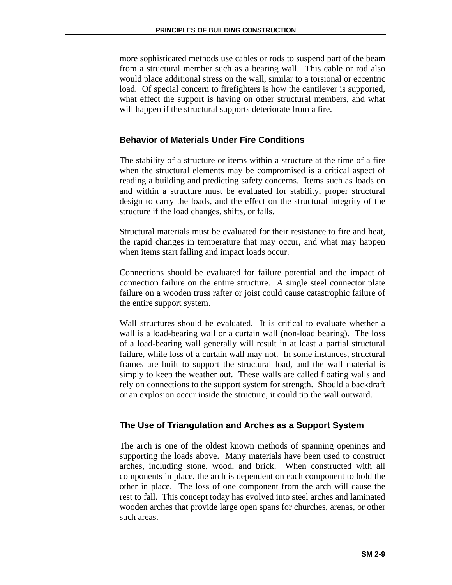more sophisticated methods use cables or rods to suspend part of the beam from a structural member such as a bearing wall. This cable or rod also would place additional stress on the wall, similar to a torsional or eccentric load. Of special concern to firefighters is how the cantilever is supported, what effect the support is having on other structural members, and what will happen if the structural supports deteriorate from a fire.

# **Behavior of Materials Under Fire Conditions**

The stability of a structure or items within a structure at the time of a fire when the structural elements may be compromised is a critical aspect of reading a building and predicting safety concerns. Items such as loads on and within a structure must be evaluated for stability, proper structural design to carry the loads, and the effect on the structural integrity of the structure if the load changes, shifts, or falls.

Structural materials must be evaluated for their resistance to fire and heat, the rapid changes in temperature that may occur, and what may happen when items start falling and impact loads occur.

Connections should be evaluated for failure potential and the impact of connection failure on the entire structure. A single steel connector plate failure on a wooden truss rafter or joist could cause catastrophic failure of the entire support system.

Wall structures should be evaluated. It is critical to evaluate whether a wall is a load-bearing wall or a curtain wall (non-load bearing). The loss of a load-bearing wall generally will result in at least a partial structural failure, while loss of a curtain wall may not. In some instances, structural frames are built to support the structural load, and the wall material is simply to keep the weather out. These walls are called floating walls and rely on connections to the support system for strength. Should a backdraft or an explosion occur inside the structure, it could tip the wall outward.

# **The Use of Triangulation and Arches as a Support System**

The arch is one of the oldest known methods of spanning openings and supporting the loads above. Many materials have been used to construct arches, including stone, wood, and brick. When constructed with all components in place, the arch is dependent on each component to hold the other in place. The loss of one component from the arch will cause the rest to fall. This concept today has evolved into steel arches and laminated wooden arches that provide large open spans for churches, arenas, or other such areas.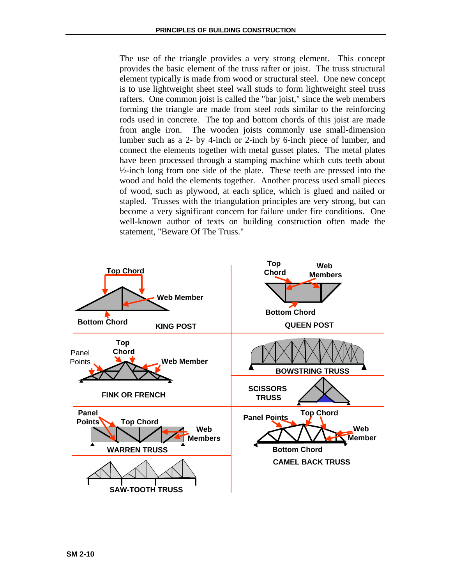The use of the triangle provides a very strong element. This concept provides the basic element of the truss rafter or joist. The truss structural element typically is made from wood or structural steel. One new concept is to use lightweight sheet steel wall studs to form lightweight steel truss rafters. One common joist is called the "bar joist," since the web members forming the triangle are made from steel rods similar to the reinforcing rods used in concrete. The top and bottom chords of this joist are made from angle iron. The wooden joists commonly use small-dimension lumber such as a 2- by 4-inch or 2-inch by 6-inch piece of lumber, and connect the elements together with metal gusset plates. The metal plates have been processed through a stamping machine which cuts teeth about ½-inch long from one side of the plate. These teeth are pressed into the wood and hold the elements together. Another process used small pieces of wood, such as plywood, at each splice, which is glued and nailed or stapled. Trusses with the triangulation principles are very strong, but can become a very significant concern for failure under fire conditions. One well-known author of texts on building construction often made the statement, "Beware Of The Truss."

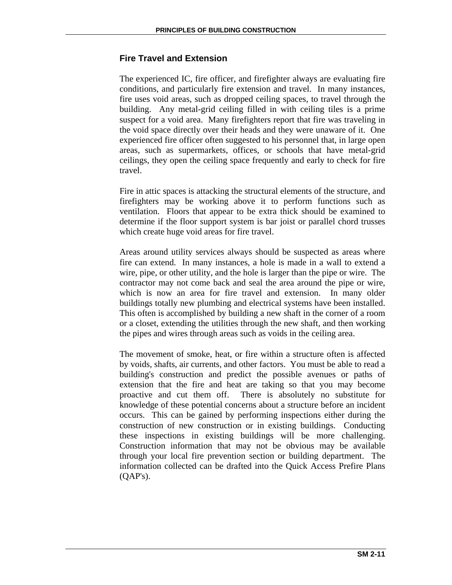# **Fire Travel and Extension**

The experienced IC, fire officer, and firefighter always are evaluating fire conditions, and particularly fire extension and travel. In many instances, fire uses void areas, such as dropped ceiling spaces, to travel through the building. Any metal-grid ceiling filled in with ceiling tiles is a prime suspect for a void area. Many firefighters report that fire was traveling in the void space directly over their heads and they were unaware of it. One experienced fire officer often suggested to his personnel that, in large open areas, such as supermarkets, offices, or schools that have metal-grid ceilings, they open the ceiling space frequently and early to check for fire travel.

Fire in attic spaces is attacking the structural elements of the structure, and firefighters may be working above it to perform functions such as ventilation. Floors that appear to be extra thick should be examined to determine if the floor support system is bar joist or parallel chord trusses which create huge void areas for fire travel.

Areas around utility services always should be suspected as areas where fire can extend. In many instances, a hole is made in a wall to extend a wire, pipe, or other utility, and the hole is larger than the pipe or wire. The contractor may not come back and seal the area around the pipe or wire, which is now an area for fire travel and extension. In many older buildings totally new plumbing and electrical systems have been installed. This often is accomplished by building a new shaft in the corner of a room or a closet, extending the utilities through the new shaft, and then working the pipes and wires through areas such as voids in the ceiling area.

The movement of smoke, heat, or fire within a structure often is affected by voids, shafts, air currents, and other factors. You must be able to read a building's construction and predict the possible avenues or paths of extension that the fire and heat are taking so that you may become proactive and cut them off. There is absolutely no substitute for knowledge of these potential concerns about a structure before an incident occurs. This can be gained by performing inspections either during the construction of new construction or in existing buildings. Conducting these inspections in existing buildings will be more challenging. Construction information that may not be obvious may be available through your local fire prevention section or building department. The information collected can be drafted into the Quick Access Prefire Plans (QAP's).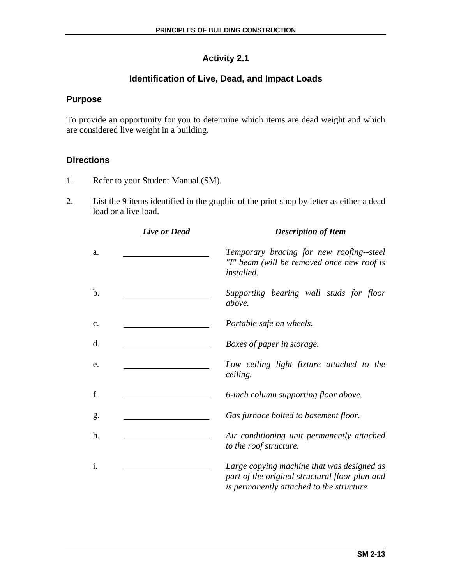# **Activity 2.1**

# **Identification of Live, Dead, and Impact Loads**

# **Purpose**

To provide an opportunity for you to determine which items are dead weight and which are considered live weight in a building.

# **Directions**

- 1. Refer to your Student Manual (SM).
- 2. List the 9 items identified in the graphic of the print shop by letter as either a dead load or a live load.

|    | <b>Live or Dead</b> | <b>Description of Item</b>                                                                                                               |  |  |  |  |
|----|---------------------|------------------------------------------------------------------------------------------------------------------------------------------|--|--|--|--|
| a. |                     | Temporary bracing for new roofing--steel<br>"I" beam (will be removed once new roof is<br><i>installed.</i>                              |  |  |  |  |
| b. |                     | Supporting bearing wall studs for floor<br>above.                                                                                        |  |  |  |  |
| c. |                     | Portable safe on wheels.                                                                                                                 |  |  |  |  |
| d. |                     | Boxes of paper in storage.                                                                                                               |  |  |  |  |
| e. |                     | Low ceiling light fixture attached to the<br>ceiling.                                                                                    |  |  |  |  |
| f. |                     | 6-inch column supporting floor above.                                                                                                    |  |  |  |  |
| g. |                     | Gas furnace bolted to basement floor.                                                                                                    |  |  |  |  |
| h. |                     | Air conditioning unit permanently attached<br>to the roof structure.                                                                     |  |  |  |  |
| i. |                     | Large copying machine that was designed as<br>part of the original structural floor plan and<br>is permanently attached to the structure |  |  |  |  |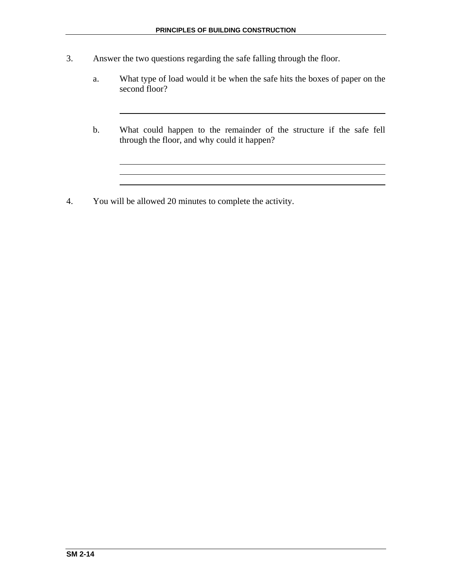- 3. Answer the two questions regarding the safe falling through the floor.
	- a. What type of load would it be when the safe hits the boxes of paper on the second floor?
	- b. What could happen to the remainder of the structure if the safe fell through the floor, and why could it happen?

4. You will be allowed 20 minutes to complete the activity.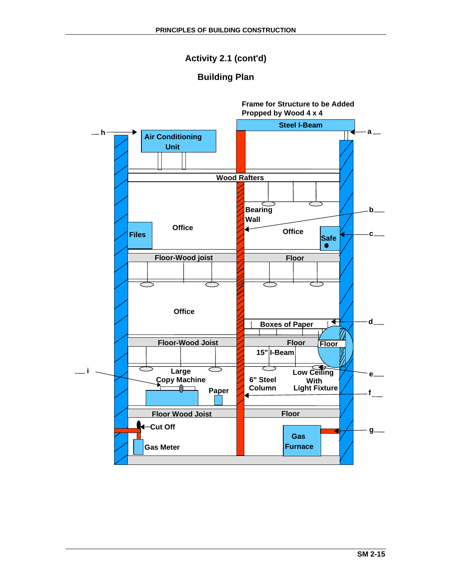# **Activity 2.1 (cont'd)**

# **Building Plan**

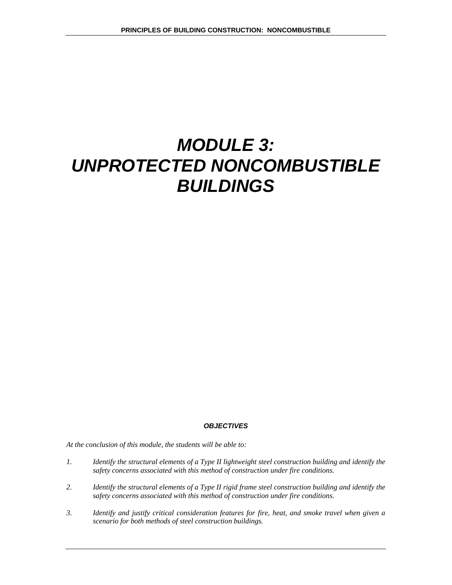# *MODULE 3: UNPROTECTED NONCOMBUSTIBLE BUILDINGS*

#### *OBJECTIVES*

*At the conclusion of this module, the students will be able to:* 

- *1. Identify the structural elements of a Type II lightweight steel construction building and identify the safety concerns associated with this method of construction under fire conditions.*
- *2. Identify the structural elements of a Type II rigid frame steel construction building and identify the safety concerns associated with this method of construction under fire conditions.*
- *3. Identify and justify critical consideration features for fire, heat, and smoke travel when given a scenario for both methods of steel construction buildings.*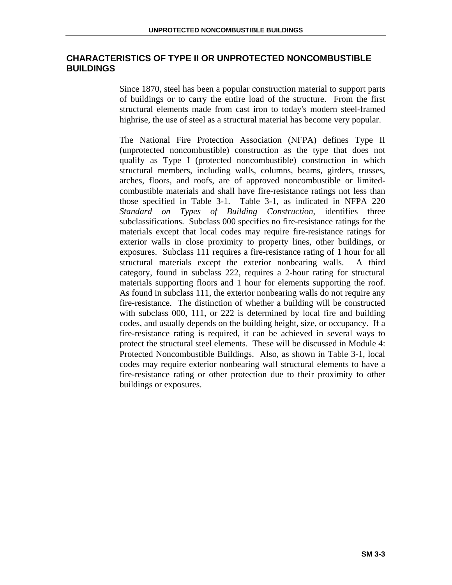# **CHARACTERISTICS OF TYPE II OR UNPROTECTED NONCOMBUSTIBLE BUILDINGS**

Since 1870, steel has been a popular construction material to support parts of buildings or to carry the entire load of the structure. From the first structural elements made from cast iron to today's modern steel-framed highrise, the use of steel as a structural material has become very popular.

The National Fire Protection Association (NFPA) defines Type II (unprotected noncombustible) construction as the type that does not qualify as Type I (protected noncombustible) construction in which structural members, including walls, columns, beams, girders, trusses, arches, floors, and roofs, are of approved noncombustible or limitedcombustible materials and shall have fire-resistance ratings not less than those specified in Table 3-1. Table 3-1, as indicated in NFPA 220 *Standard on Types of Building Construction*, identifies three subclassifications. Subclass 000 specifies no fire-resistance ratings for the materials except that local codes may require fire-resistance ratings for exterior walls in close proximity to property lines, other buildings, or exposures. Subclass 111 requires a fire-resistance rating of 1 hour for all structural materials except the exterior nonbearing walls. A third category, found in subclass 222, requires a 2-hour rating for structural materials supporting floors and 1 hour for elements supporting the roof. As found in subclass 111, the exterior nonbearing walls do not require any fire-resistance. The distinction of whether a building will be constructed with subclass 000, 111, or 222 is determined by local fire and building codes, and usually depends on the building height, size, or occupancy. If a fire-resistance rating is required, it can be achieved in several ways to protect the structural steel elements. These will be discussed in Module 4: Protected Noncombustible Buildings. Also, as shown in Table 3-1, local codes may require exterior nonbearing wall structural elements to have a fire-resistance rating or other protection due to their proximity to other buildings or exposures.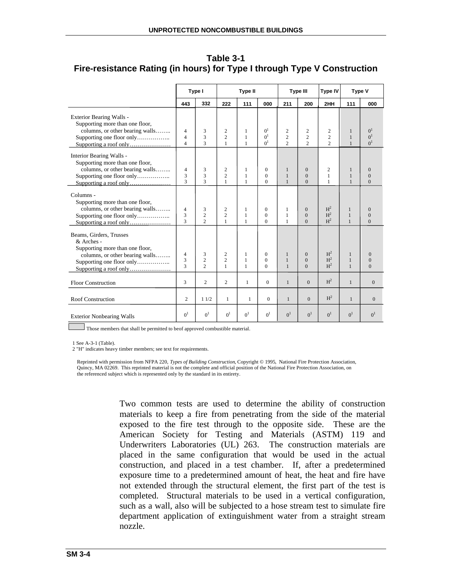|                                                                                                                                                                    | Type I<br><b>Type II</b>              |                                               |                                     | <b>Type III</b>                   |                                                           | Type IV                               | Type V                                        |                                                    |                                   |                                                    |
|--------------------------------------------------------------------------------------------------------------------------------------------------------------------|---------------------------------------|-----------------------------------------------|-------------------------------------|-----------------------------------|-----------------------------------------------------------|---------------------------------------|-----------------------------------------------|----------------------------------------------------|-----------------------------------|----------------------------------------------------|
|                                                                                                                                                                    | 443                                   | 332                                           | 222                                 | 111                               | 000                                                       | 211                                   | 200                                           | 2HH                                                | 111                               | 000                                                |
| Exterior Bearing Walls -<br>Supporting more than one floor,<br>columns, or other bearing walls<br>Supporting one floor only<br>Supporting a roof only              | 4<br>$\overline{4}$<br>$\overline{4}$ | 3<br>3<br>3                                   | 2<br>$\overline{c}$<br>$\mathbf{1}$ | 1<br>$\mathbf{1}$<br>$\mathbf{1}$ | 0 <sup>1</sup><br>0 <sup>1</sup><br>$\Omega$ <sup>1</sup> | 2<br>$\overline{c}$<br>$\overline{c}$ | 2<br>$\overline{c}$<br>$\mathcal{D}_{\alpha}$ | $\overline{c}$<br>$\overline{c}$<br>$\overline{c}$ | 1<br>$\mathbf{1}$<br>$\mathbf{1}$ | 0 <sup>1</sup><br>0 <sup>1</sup><br>0 <sup>1</sup> |
| Interior Bearing Walls -<br>Supporting more than one floor,<br>columns, or other bearing walls<br>Supporting one floor only                                        | 4<br>3<br>$\mathcal{L}$               | 3<br>3<br>$\mathcal{L}$                       | 2<br>$\overline{c}$<br>$\mathbf{1}$ | 1<br>$\mathbf{1}$<br>$\mathbf{1}$ | $\mathbf{0}$<br>$\Omega$<br>$\Omega$                      | 1<br>1<br>$\mathbf{1}$                | $\mathbf{0}$<br>$\mathbf{0}$<br>$\Omega$      | $\overline{2}$<br>$\mathbf{1}$<br>1                | 1<br>$\mathbf{1}$<br>$\mathbf{1}$ | $\mathbf{0}$<br>$\mathbf{0}$<br>$\Omega$           |
| Columns -<br>Supporting more than one floor,<br>columns, or other bearing walls<br>Supporting one floor only                                                       | $\overline{4}$<br>3<br>$\mathbf{3}$   | 3<br>$\overline{c}$<br>$\mathcal{D}_{\alpha}$ | 2<br>$\overline{c}$<br>1            | 1<br>$\mathbf{1}$<br>$\mathbf{1}$ | $\mathbf{0}$<br>$\Omega$<br>$\Omega$                      | 1<br>1<br>1                           | $\mathbf{0}$<br>$\overline{0}$<br>$\Omega$    | H <sup>2</sup><br>H <sup>2</sup><br>H <sup>2</sup> | 1<br>$\mathbf{1}$<br>$\mathbf{1}$ | $\mathbf{0}$<br>$\mathbf{0}$<br>$\Omega$           |
| Beams, Girders, Trusses<br>& Arches -<br>Supporting more than one floor,<br>columns, or other bearing walls<br>Supporting one floor only<br>Supporting a roof only | 4<br>3<br>$\overline{\mathcal{L}}$    | 3<br>$\overline{c}$<br>$\overline{2}$         | 2<br>$\overline{c}$<br>1            | 1<br>1<br>$\mathbf{1}$            | $\mathbf{0}$<br>$\mathbf{0}$<br>$\Omega$                  | 1<br>1<br>$\mathbf{1}$                | $\mathbf{0}$<br>$\overline{0}$<br>$\Omega$    | H <sup>2</sup><br>H <sup>2</sup><br>H <sup>2</sup> | 1<br>$\mathbf{1}$<br>$\mathbf{1}$ | $\theta$<br>$\mathbf{0}$<br>$\Omega$               |
| <b>Floor Construction</b>                                                                                                                                          | 3                                     | 2                                             | $\overline{c}$                      | $\mathbf{1}$                      | $\mathbf{0}$                                              | $\mathbf{1}$                          | $\Omega$                                      | H <sup>2</sup>                                     | $\mathbf{1}$                      | $\boldsymbol{0}$                                   |
| <b>Roof Construction</b>                                                                                                                                           | $\overline{2}$                        | 11/2                                          | 1                                   | 1                                 | $\mathbf{0}$                                              | $\mathbf{1}$                          | $\Omega$                                      | H <sup>2</sup>                                     | $\mathbf{1}$                      | $\mathbf{0}$                                       |
| <b>Exterior Nonbearing Walls</b>                                                                                                                                   | 0 <sup>1</sup>                        | 0 <sup>1</sup>                                | 0 <sup>1</sup>                      | 0 <sup>1</sup>                    | 0 <sup>1</sup>                                            | 0 <sup>1</sup>                        | 0 <sup>1</sup>                                | 0 <sup>1</sup>                                     | 0 <sup>1</sup>                    | 0 <sup>1</sup>                                     |

**Table 3-1 Fire-resistance Rating (in hours) for Type I through Type V Construction** 

 $\Box$  Those members that shall be permitted to be of approved combustible material.

1 See A-3-1 (Table).

2 "H" indicates heavy timber members; see text for requirements.

Reprinted with permission from NFPA 220, *Types of Building Construction*, Copyright © 1995, National Fire Protection Association, Quincy, MA 02269. This reprinted material is not the complete and official position of the National Fire Protection Association, on the referenced subject which is represented only by the standard in its entirety.

> Two common tests are used to determine the ability of construction materials to keep a fire from penetrating from the side of the material exposed to the fire test through to the opposite side. These are the American Society for Testing and Materials (ASTM) 119 and Underwriters Laboratories (UL) 263. The construction materials are placed in the same configuration that would be used in the actual construction, and placed in a test chamber. If, after a predetermined exposure time to a predetermined amount of heat, the heat and fire have not extended through the structural element, the first part of the test is completed. Structural materials to be used in a vertical configuration, such as a wall, also will be subjected to a hose stream test to simulate fire department application of extinguishment water from a straight stream nozzle.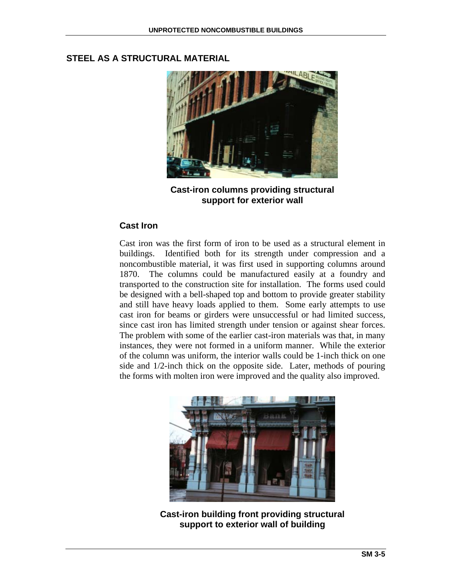# **STEEL AS A STRUCTURAL MATERIAL**



**Cast-iron columns providing structural support for exterior wall** 

#### **Cast Iron**

Cast iron was the first form of iron to be used as a structural element in buildings. Identified both for its strength under compression and a noncombustible material, it was first used in supporting columns around 1870. The columns could be manufactured easily at a foundry and transported to the construction site for installation. The forms used could be designed with a bell-shaped top and bottom to provide greater stability and still have heavy loads applied to them. Some early attempts to use cast iron for beams or girders were unsuccessful or had limited success, since cast iron has limited strength under tension or against shear forces. The problem with some of the earlier cast-iron materials was that, in many instances, they were not formed in a uniform manner. While the exterior of the column was uniform, the interior walls could be 1-inch thick on one side and 1/2-inch thick on the opposite side. Later, methods of pouring the forms with molten iron were improved and the quality also improved.



**Cast-iron building front providing structural support to exterior wall of building**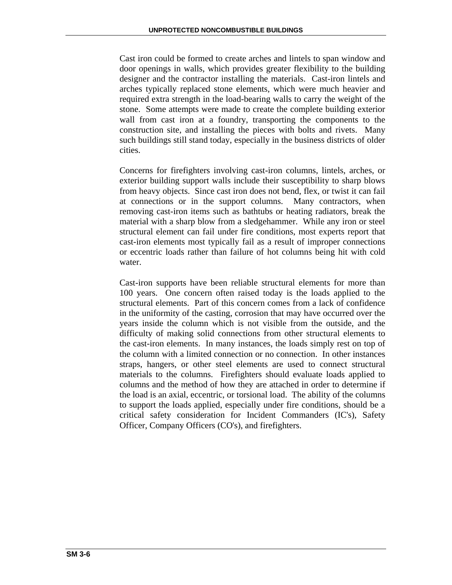Cast iron could be formed to create arches and lintels to span window and door openings in walls, which provides greater flexibility to the building designer and the contractor installing the materials. Cast-iron lintels and arches typically replaced stone elements, which were much heavier and required extra strength in the load-bearing walls to carry the weight of the stone. Some attempts were made to create the complete building exterior wall from cast iron at a foundry, transporting the components to the construction site, and installing the pieces with bolts and rivets. Many such buildings still stand today, especially in the business districts of older cities.

Concerns for firefighters involving cast-iron columns, lintels, arches, or exterior building support walls include their susceptibility to sharp blows from heavy objects. Since cast iron does not bend, flex, or twist it can fail at connections or in the support columns. Many contractors, when removing cast-iron items such as bathtubs or heating radiators, break the material with a sharp blow from a sledgehammer. While any iron or steel structural element can fail under fire conditions, most experts report that cast-iron elements most typically fail as a result of improper connections or eccentric loads rather than failure of hot columns being hit with cold water.

Cast-iron supports have been reliable structural elements for more than 100 years. One concern often raised today is the loads applied to the structural elements. Part of this concern comes from a lack of confidence in the uniformity of the casting, corrosion that may have occurred over the years inside the column which is not visible from the outside, and the difficulty of making solid connections from other structural elements to the cast-iron elements. In many instances, the loads simply rest on top of the column with a limited connection or no connection. In other instances straps, hangers, or other steel elements are used to connect structural materials to the columns. Firefighters should evaluate loads applied to columns and the method of how they are attached in order to determine if the load is an axial, eccentric, or torsional load. The ability of the columns to support the loads applied, especially under fire conditions, should be a critical safety consideration for Incident Commanders (IC's), Safety Officer, Company Officers (CO's), and firefighters.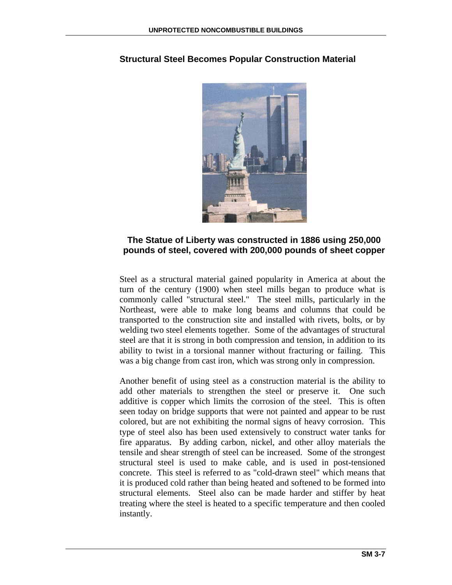

# **Structural Steel Becomes Popular Construction Material**

#### **The Statue of Liberty was constructed in 1886 using 250,000 pounds of steel, covered with 200,000 pounds of sheet copper**

Steel as a structural material gained popularity in America at about the turn of the century (1900) when steel mills began to produce what is commonly called "structural steel." The steel mills, particularly in the Northeast, were able to make long beams and columns that could be transported to the construction site and installed with rivets, bolts, or by welding two steel elements together. Some of the advantages of structural steel are that it is strong in both compression and tension, in addition to its ability to twist in a torsional manner without fracturing or failing. This was a big change from cast iron, which was strong only in compression.

Another benefit of using steel as a construction material is the ability to add other materials to strengthen the steel or preserve it. One such additive is copper which limits the corrosion of the steel. This is often seen today on bridge supports that were not painted and appear to be rust colored, but are not exhibiting the normal signs of heavy corrosion. This type of steel also has been used extensively to construct water tanks for fire apparatus. By adding carbon, nickel, and other alloy materials the tensile and shear strength of steel can be increased. Some of the strongest structural steel is used to make cable, and is used in post-tensioned concrete. This steel is referred to as "cold-drawn steel" which means that it is produced cold rather than being heated and softened to be formed into structural elements. Steel also can be made harder and stiffer by heat treating where the steel is heated to a specific temperature and then cooled instantly.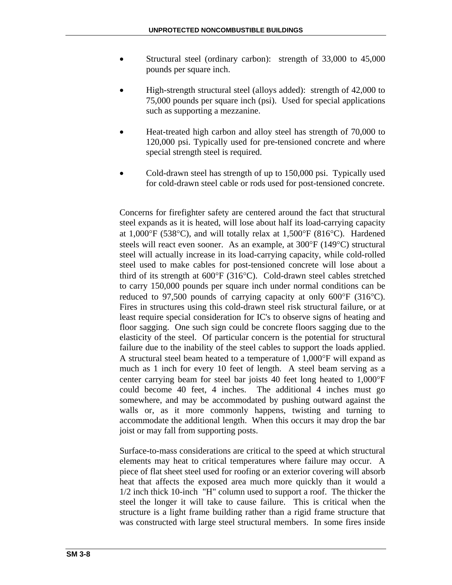- Structural steel (ordinary carbon): strength of 33,000 to 45,000 pounds per square inch.
- High-strength structural steel (alloys added): strength of 42,000 to 75,000 pounds per square inch (psi). Used for special applications such as supporting a mezzanine.
- Heat-treated high carbon and alloy steel has strength of 70,000 to 120,000 psi. Typically used for pre-tensioned concrete and where special strength steel is required.
- Cold-drawn steel has strength of up to 150,000 psi. Typically used for cold-drawn steel cable or rods used for post-tensioned concrete.

Concerns for firefighter safety are centered around the fact that structural steel expands as it is heated, will lose about half its load-carrying capacity at 1,000°F (538°C), and will totally relax at 1,500°F (816°C). Hardened steels will react even sooner. As an example, at 300°F (149°C) structural steel will actually increase in its load-carrying capacity, while cold-rolled steel used to make cables for post-tensioned concrete will lose about a third of its strength at 600°F (316°C). Cold-drawn steel cables stretched to carry 150,000 pounds per square inch under normal conditions can be reduced to 97,500 pounds of carrying capacity at only 600°F (316°C). Fires in structures using this cold-drawn steel risk structural failure, or at least require special consideration for IC's to observe signs of heating and floor sagging. One such sign could be concrete floors sagging due to the elasticity of the steel. Of particular concern is the potential for structural failure due to the inability of the steel cables to support the loads applied. A structural steel beam heated to a temperature of 1,000°F will expand as much as 1 inch for every 10 feet of length. A steel beam serving as a center carrying beam for steel bar joists 40 feet long heated to 1,000°F could become 40 feet, 4 inches. The additional 4 inches must go somewhere, and may be accommodated by pushing outward against the walls or, as it more commonly happens, twisting and turning to accommodate the additional length. When this occurs it may drop the bar joist or may fall from supporting posts.

Surface-to-mass considerations are critical to the speed at which structural elements may heat to critical temperatures where failure may occur. A piece of flat sheet steel used for roofing or an exterior covering will absorb heat that affects the exposed area much more quickly than it would a 1/2 inch thick 10-inch "H" column used to support a roof. The thicker the steel the longer it will take to cause failure. This is critical when the structure is a light frame building rather than a rigid frame structure that was constructed with large steel structural members. In some fires inside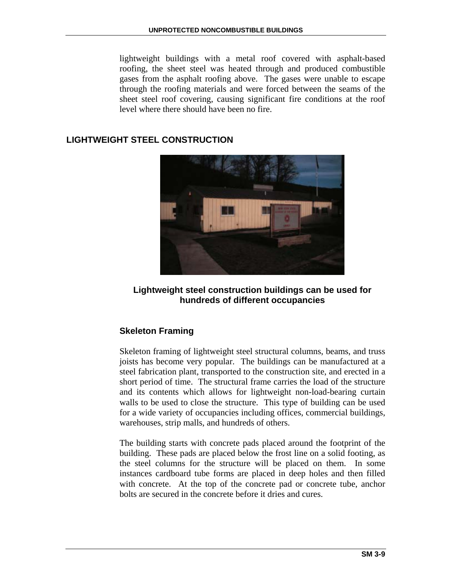lightweight buildings with a metal roof covered with asphalt-based roofing, the sheet steel was heated through and produced combustible gases from the asphalt roofing above. The gases were unable to escape through the roofing materials and were forced between the seams of the sheet steel roof covering, causing significant fire conditions at the roof level where there should have been no fire.

# **LIGHTWEIGHT STEEL CONSTRUCTION**



**Lightweight steel construction buildings can be used for hundreds of different occupancies** 

# **Skeleton Framing**

Skeleton framing of lightweight steel structural columns, beams, and truss joists has become very popular. The buildings can be manufactured at a steel fabrication plant, transported to the construction site, and erected in a short period of time. The structural frame carries the load of the structure and its contents which allows for lightweight non-load-bearing curtain walls to be used to close the structure. This type of building can be used for a wide variety of occupancies including offices, commercial buildings, warehouses, strip malls, and hundreds of others.

The building starts with concrete pads placed around the footprint of the building. These pads are placed below the frost line on a solid footing, as the steel columns for the structure will be placed on them. In some instances cardboard tube forms are placed in deep holes and then filled with concrete. At the top of the concrete pad or concrete tube, anchor bolts are secured in the concrete before it dries and cures.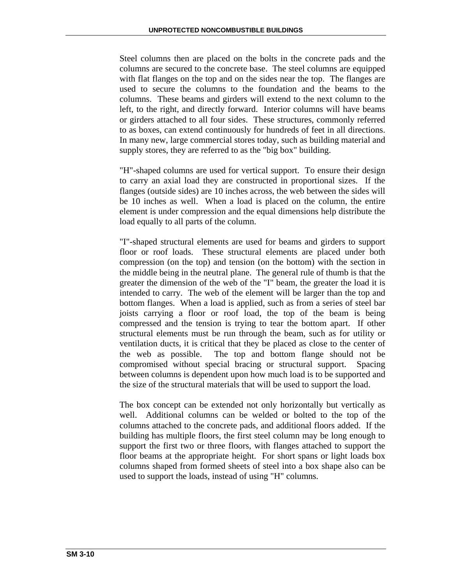Steel columns then are placed on the bolts in the concrete pads and the columns are secured to the concrete base. The steel columns are equipped with flat flanges on the top and on the sides near the top. The flanges are used to secure the columns to the foundation and the beams to the columns. These beams and girders will extend to the next column to the left, to the right, and directly forward. Interior columns will have beams or girders attached to all four sides. These structures, commonly referred to as boxes, can extend continuously for hundreds of feet in all directions. In many new, large commercial stores today, such as building material and supply stores, they are referred to as the "big box" building.

"H"-shaped columns are used for vertical support. To ensure their design to carry an axial load they are constructed in proportional sizes. If the flanges (outside sides) are 10 inches across, the web between the sides will be 10 inches as well. When a load is placed on the column, the entire element is under compression and the equal dimensions help distribute the load equally to all parts of the column.

"I"-shaped structural elements are used for beams and girders to support floor or roof loads. These structural elements are placed under both compression (on the top) and tension (on the bottom) with the section in the middle being in the neutral plane. The general rule of thumb is that the greater the dimension of the web of the "I" beam, the greater the load it is intended to carry. The web of the element will be larger than the top and bottom flanges. When a load is applied, such as from a series of steel bar joists carrying a floor or roof load, the top of the beam is being compressed and the tension is trying to tear the bottom apart. If other structural elements must be run through the beam, such as for utility or ventilation ducts, it is critical that they be placed as close to the center of the web as possible. The top and bottom flange should not be compromised without special bracing or structural support. Spacing between columns is dependent upon how much load is to be supported and the size of the structural materials that will be used to support the load.

The box concept can be extended not only horizontally but vertically as well. Additional columns can be welded or bolted to the top of the columns attached to the concrete pads, and additional floors added. If the building has multiple floors, the first steel column may be long enough to support the first two or three floors, with flanges attached to support the floor beams at the appropriate height. For short spans or light loads box columns shaped from formed sheets of steel into a box shape also can be used to support the loads, instead of using "H" columns.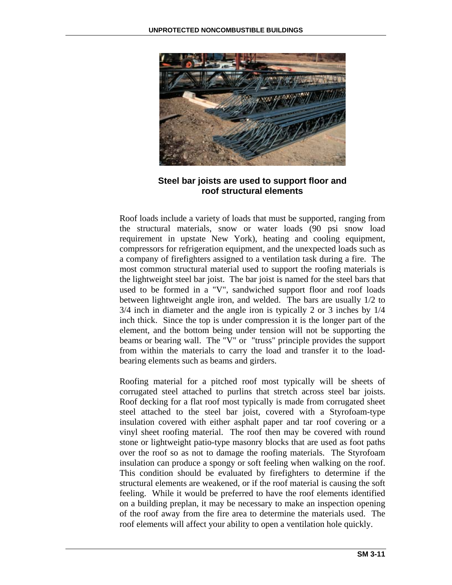

**Steel bar joists are used to support floor and roof structural elements** 

Roof loads include a variety of loads that must be supported, ranging from the structural materials, snow or water loads (90 psi snow load requirement in upstate New York), heating and cooling equipment, compressors for refrigeration equipment, and the unexpected loads such as a company of firefighters assigned to a ventilation task during a fire. The most common structural material used to support the roofing materials is the lightweight steel bar joist. The bar joist is named for the steel bars that used to be formed in a "V", sandwiched support floor and roof loads between lightweight angle iron, and welded. The bars are usually 1/2 to 3/4 inch in diameter and the angle iron is typically 2 or 3 inches by 1/4 inch thick. Since the top is under compression it is the longer part of the element, and the bottom being under tension will not be supporting the beams or bearing wall. The "V" or "truss" principle provides the support from within the materials to carry the load and transfer it to the loadbearing elements such as beams and girders.

Roofing material for a pitched roof most typically will be sheets of corrugated steel attached to purlins that stretch across steel bar joists. Roof decking for a flat roof most typically is made from corrugated sheet steel attached to the steel bar joist, covered with a Styrofoam-type insulation covered with either asphalt paper and tar roof covering or a vinyl sheet roofing material. The roof then may be covered with round stone or lightweight patio-type masonry blocks that are used as foot paths over the roof so as not to damage the roofing materials. The Styrofoam insulation can produce a spongy or soft feeling when walking on the roof. This condition should be evaluated by firefighters to determine if the structural elements are weakened, or if the roof material is causing the soft feeling. While it would be preferred to have the roof elements identified on a building preplan, it may be necessary to make an inspection opening of the roof away from the fire area to determine the materials used. The roof elements will affect your ability to open a ventilation hole quickly.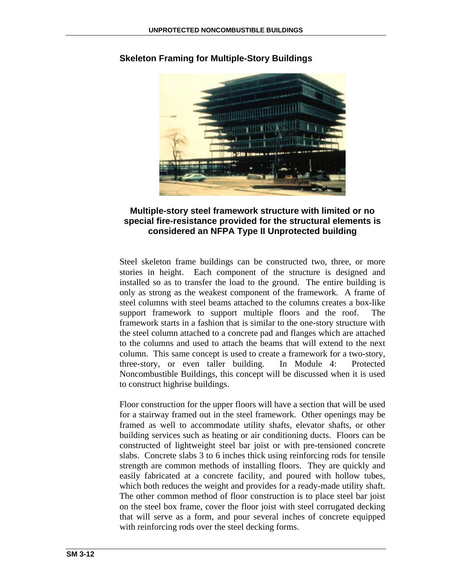

# **Skeleton Framing for Multiple-Story Buildings**

# **Multiple-story steel framework structure with limited or no special fire-resistance provided for the structural elements is considered an NFPA Type II Unprotected building**

Steel skeleton frame buildings can be constructed two, three, or more stories in height. Each component of the structure is designed and installed so as to transfer the load to the ground. The entire building is only as strong as the weakest component of the framework. A frame of steel columns with steel beams attached to the columns creates a box-like support framework to support multiple floors and the roof. The framework starts in a fashion that is similar to the one-story structure with the steel column attached to a concrete pad and flanges which are attached to the columns and used to attach the beams that will extend to the next column. This same concept is used to create a framework for a two-story, three-story, or even taller building. In Module 4: Protected Noncombustible Buildings, this concept will be discussed when it is used to construct highrise buildings.

Floor construction for the upper floors will have a section that will be used for a stairway framed out in the steel framework. Other openings may be framed as well to accommodate utility shafts, elevator shafts, or other building services such as heating or air conditioning ducts. Floors can be constructed of lightweight steel bar joist or with pre-tensioned concrete slabs. Concrete slabs 3 to 6 inches thick using reinforcing rods for tensile strength are common methods of installing floors. They are quickly and easily fabricated at a concrete facility, and poured with hollow tubes, which both reduces the weight and provides for a ready-made utility shaft. The other common method of floor construction is to place steel bar joist on the steel box frame, cover the floor joist with steel corrugated decking that will serve as a form, and pour several inches of concrete equipped with reinforcing rods over the steel decking forms.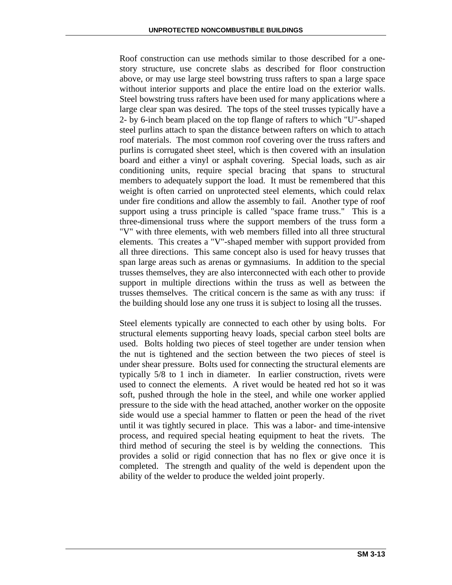Roof construction can use methods similar to those described for a onestory structure, use concrete slabs as described for floor construction above, or may use large steel bowstring truss rafters to span a large space without interior supports and place the entire load on the exterior walls. Steel bowstring truss rafters have been used for many applications where a large clear span was desired. The tops of the steel trusses typically have a 2- by 6-inch beam placed on the top flange of rafters to which "U"-shaped steel purlins attach to span the distance between rafters on which to attach roof materials. The most common roof covering over the truss rafters and purlins is corrugated sheet steel, which is then covered with an insulation board and either a vinyl or asphalt covering. Special loads, such as air conditioning units, require special bracing that spans to structural members to adequately support the load. It must be remembered that this weight is often carried on unprotected steel elements, which could relax under fire conditions and allow the assembly to fail. Another type of roof support using a truss principle is called "space frame truss." This is a three-dimensional truss where the support members of the truss form a "V" with three elements, with web members filled into all three structural elements. This creates a "V"-shaped member with support provided from all three directions. This same concept also is used for heavy trusses that span large areas such as arenas or gymnasiums. In addition to the special trusses themselves, they are also interconnected with each other to provide support in multiple directions within the truss as well as between the trusses themselves. The critical concern is the same as with any truss: if the building should lose any one truss it is subject to losing all the trusses.

Steel elements typically are connected to each other by using bolts. For structural elements supporting heavy loads, special carbon steel bolts are used. Bolts holding two pieces of steel together are under tension when the nut is tightened and the section between the two pieces of steel is under shear pressure. Bolts used for connecting the structural elements are typically 5/8 to 1 inch in diameter. In earlier construction, rivets were used to connect the elements. A rivet would be heated red hot so it was soft, pushed through the hole in the steel, and while one worker applied pressure to the side with the head attached, another worker on the opposite side would use a special hammer to flatten or peen the head of the rivet until it was tightly secured in place. This was a labor- and time-intensive process, and required special heating equipment to heat the rivets. The third method of securing the steel is by welding the connections. This provides a solid or rigid connection that has no flex or give once it is completed. The strength and quality of the weld is dependent upon the ability of the welder to produce the welded joint properly.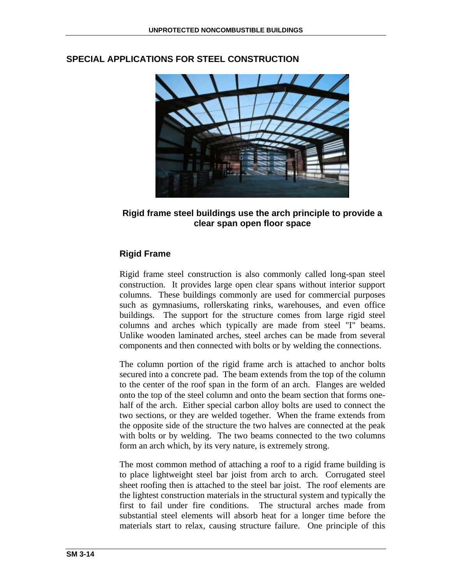

# **SPECIAL APPLICATIONS FOR STEEL CONSTRUCTION**

# **Rigid frame steel buildings use the arch principle to provide a clear span open floor space**

# **Rigid Frame**

Rigid frame steel construction is also commonly called long-span steel construction. It provides large open clear spans without interior support columns. These buildings commonly are used for commercial purposes such as gymnasiums, rollerskating rinks, warehouses, and even office buildings. The support for the structure comes from large rigid steel columns and arches which typically are made from steel "I" beams. Unlike wooden laminated arches, steel arches can be made from several components and then connected with bolts or by welding the connections.

The column portion of the rigid frame arch is attached to anchor bolts secured into a concrete pad. The beam extends from the top of the column to the center of the roof span in the form of an arch. Flanges are welded onto the top of the steel column and onto the beam section that forms onehalf of the arch. Either special carbon alloy bolts are used to connect the two sections, or they are welded together. When the frame extends from the opposite side of the structure the two halves are connected at the peak with bolts or by welding. The two beams connected to the two columns form an arch which, by its very nature, is extremely strong.

The most common method of attaching a roof to a rigid frame building is to place lightweight steel bar joist from arch to arch. Corrugated steel sheet roofing then is attached to the steel bar joist. The roof elements are the lightest construction materials in the structural system and typically the first to fail under fire conditions. The structural arches made from substantial steel elements will absorb heat for a longer time before the materials start to relax, causing structure failure. One principle of this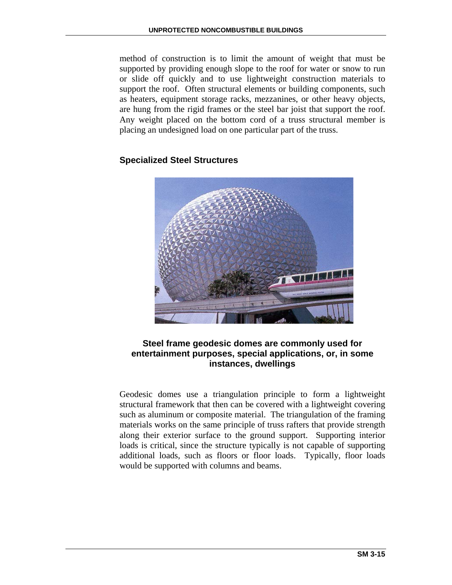method of construction is to limit the amount of weight that must be supported by providing enough slope to the roof for water or snow to run or slide off quickly and to use lightweight construction materials to support the roof. Often structural elements or building components, such as heaters, equipment storage racks, mezzanines, or other heavy objects, are hung from the rigid frames or the steel bar joist that support the roof. Any weight placed on the bottom cord of a truss structural member is placing an undesigned load on one particular part of the truss.

# **Specialized Steel Structures**



# **Steel frame geodesic domes are commonly used for entertainment purposes, special applications, or, in some instances, dwellings**

Geodesic domes use a triangulation principle to form a lightweight structural framework that then can be covered with a lightweight covering such as aluminum or composite material. The triangulation of the framing materials works on the same principle of truss rafters that provide strength along their exterior surface to the ground support. Supporting interior loads is critical, since the structure typically is not capable of supporting additional loads, such as floors or floor loads. Typically, floor loads would be supported with columns and beams.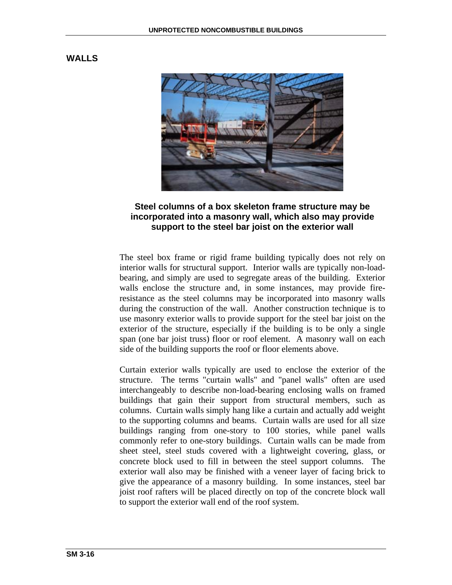#### **WALLS**



# **Steel columns of a box skeleton frame structure may be incorporated into a masonry wall, which also may provide support to the steel bar joist on the exterior wall**

The steel box frame or rigid frame building typically does not rely on interior walls for structural support. Interior walls are typically non-loadbearing, and simply are used to segregate areas of the building. Exterior walls enclose the structure and, in some instances, may provide fireresistance as the steel columns may be incorporated into masonry walls during the construction of the wall. Another construction technique is to use masonry exterior walls to provide support for the steel bar joist on the exterior of the structure, especially if the building is to be only a single span (one bar joist truss) floor or roof element. A masonry wall on each side of the building supports the roof or floor elements above.

Curtain exterior walls typically are used to enclose the exterior of the structure. The terms "curtain walls" and "panel walls" often are used interchangeably to describe non-load-bearing enclosing walls on framed buildings that gain their support from structural members, such as columns. Curtain walls simply hang like a curtain and actually add weight to the supporting columns and beams. Curtain walls are used for all size buildings ranging from one-story to 100 stories, while panel walls commonly refer to one-story buildings. Curtain walls can be made from sheet steel, steel studs covered with a lightweight covering, glass, or concrete block used to fill in between the steel support columns. The exterior wall also may be finished with a veneer layer of facing brick to give the appearance of a masonry building. In some instances, steel bar joist roof rafters will be placed directly on top of the concrete block wall to support the exterior wall end of the roof system.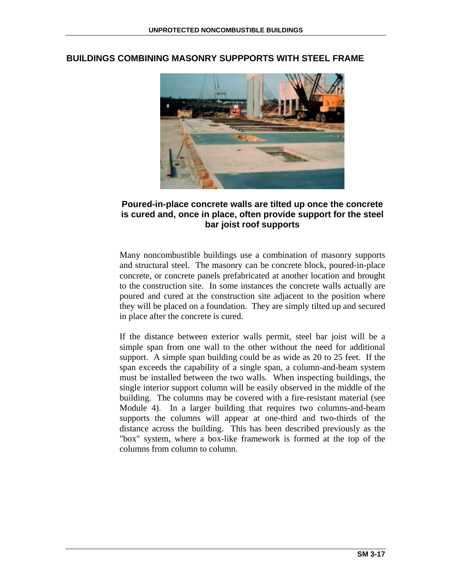

#### **BUILDINGS COMBINING MASONRY SUPPPORTS WITH STEEL FRAME**

#### **Poured-in-place concrete walls are tilted up once the concrete is cured and, once in place, often provide support for the steel bar joist roof supports**

Many noncombustible buildings use a combination of masonry supports and structural steel. The masonry can be concrete block, poured-in-place concrete, or concrete panels prefabricated at another location and brought to the construction site. In some instances the concrete walls actually are poured and cured at the construction site adjacent to the position where they will be placed on a foundation. They are simply tilted up and secured in place after the concrete is cured.

If the distance between exterior walls permit, steel bar joist will be a simple span from one wall to the other without the need for additional support. A simple span building could be as wide as 20 to 25 feet. If the span exceeds the capability of a single span, a column-and-beam system must be installed between the two walls. When inspecting buildings, the single interior support column will be easily observed in the middle of the building. The columns may be covered with a fire-resistant material (see Module 4). In a larger building that requires two columns-and-beam supports the columns will appear at one-third and two-thirds of the distance across the building. This has been described previously as the "box" system, where a box-like framework is formed at the top of the columns from column to column.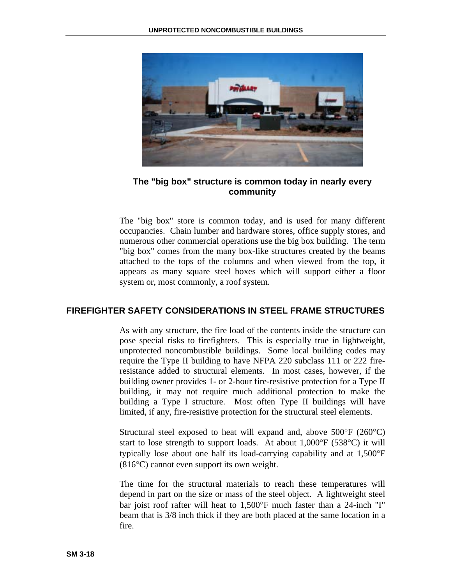

# **The "big box" structure is common today in nearly every community**

The "big box" store is common today, and is used for many different occupancies. Chain lumber and hardware stores, office supply stores, and numerous other commercial operations use the big box building. The term "big box" comes from the many box-like structures created by the beams attached to the tops of the columns and when viewed from the top, it appears as many square steel boxes which will support either a floor system or, most commonly, a roof system.

# **FIREFIGHTER SAFETY CONSIDERATIONS IN STEEL FRAME STRUCTURES**

As with any structure, the fire load of the contents inside the structure can pose special risks to firefighters. This is especially true in lightweight, unprotected noncombustible buildings. Some local building codes may require the Type II building to have NFPA 220 subclass 111 or 222 fireresistance added to structural elements. In most cases, however, if the building owner provides 1- or 2-hour fire-resistive protection for a Type II building, it may not require much additional protection to make the building a Type I structure. Most often Type II buildings will have limited, if any, fire-resistive protection for the structural steel elements.

Structural steel exposed to heat will expand and, above  $500^{\circ}F$  (260 $^{\circ}C$ ) start to lose strength to support loads. At about 1,000°F (538°C) it will typically lose about one half its load-carrying capability and at 1,500°F (816°C) cannot even support its own weight.

The time for the structural materials to reach these temperatures will depend in part on the size or mass of the steel object. A lightweight steel bar joist roof rafter will heat to 1,500°F much faster than a 24-inch "I" beam that is 3/8 inch thick if they are both placed at the same location in a fire.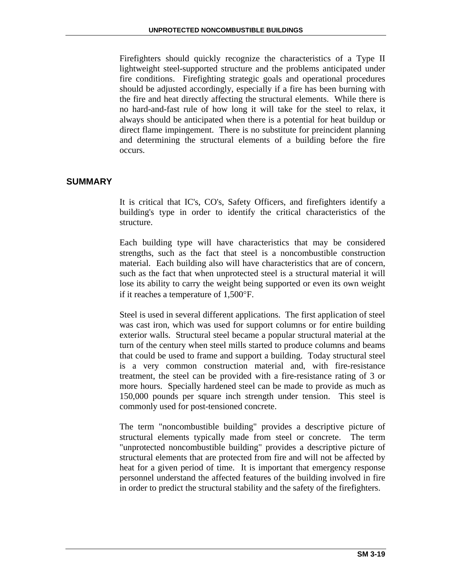Firefighters should quickly recognize the characteristics of a Type II lightweight steel-supported structure and the problems anticipated under fire conditions. Firefighting strategic goals and operational procedures should be adjusted accordingly, especially if a fire has been burning with the fire and heat directly affecting the structural elements. While there is no hard-and-fast rule of how long it will take for the steel to relax, it always should be anticipated when there is a potential for heat buildup or direct flame impingement. There is no substitute for preincident planning and determining the structural elements of a building before the fire occurs.

# **SUMMARY**

It is critical that IC's, CO's, Safety Officers, and firefighters identify a building's type in order to identify the critical characteristics of the structure.

Each building type will have characteristics that may be considered strengths, such as the fact that steel is a noncombustible construction material. Each building also will have characteristics that are of concern, such as the fact that when unprotected steel is a structural material it will lose its ability to carry the weight being supported or even its own weight if it reaches a temperature of 1,500°F.

Steel is used in several different applications. The first application of steel was cast iron, which was used for support columns or for entire building exterior walls. Structural steel became a popular structural material at the turn of the century when steel mills started to produce columns and beams that could be used to frame and support a building. Today structural steel is a very common construction material and, with fire-resistance treatment, the steel can be provided with a fire-resistance rating of 3 or more hours. Specially hardened steel can be made to provide as much as 150,000 pounds per square inch strength under tension. This steel is commonly used for post-tensioned concrete.

The term "noncombustible building" provides a descriptive picture of structural elements typically made from steel or concrete. The term "unprotected noncombustible building" provides a descriptive picture of structural elements that are protected from fire and will not be affected by heat for a given period of time. It is important that emergency response personnel understand the affected features of the building involved in fire in order to predict the structural stability and the safety of the firefighters.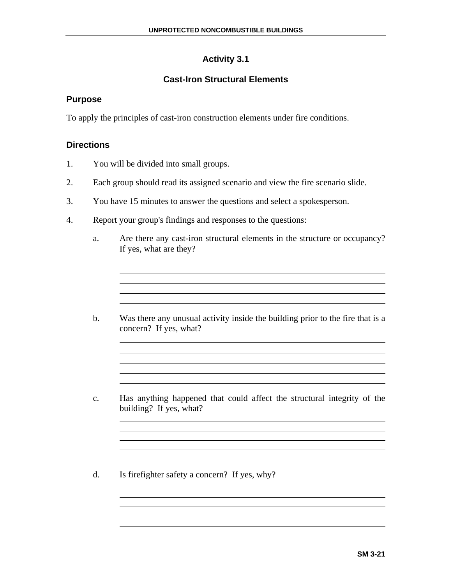# **Activity 3.1**

# **Cast-Iron Structural Elements**

# **Purpose**

To apply the principles of cast-iron construction elements under fire conditions.

# **Directions**

- 1. You will be divided into small groups.
- 2. Each group should read its assigned scenario and view the fire scenario slide.
- 3. You have 15 minutes to answer the questions and select a spokesperson.
- 4. Report your group's findings and responses to the questions:
	- a. Are there any cast-iron structural elements in the structure or occupancy? If yes, what are they?

<u> 1989 - Johann Stoff, amerikansk politiker (\* 1908)</u>

the control of the control of the control of the control of the control of the control of the control of the control of the control of the control of the control of the control of the control of the control of the control

<u> 1989 - Johann Stoff, amerikansk politiker (d. 1989)</u>

b. Was there any unusual activity inside the building prior to the fire that is a concern? If yes, what?

- c. Has anything happened that could affect the structural integrity of the building? If yes, what?
- d. Is firefighter safety a concern? If yes, why?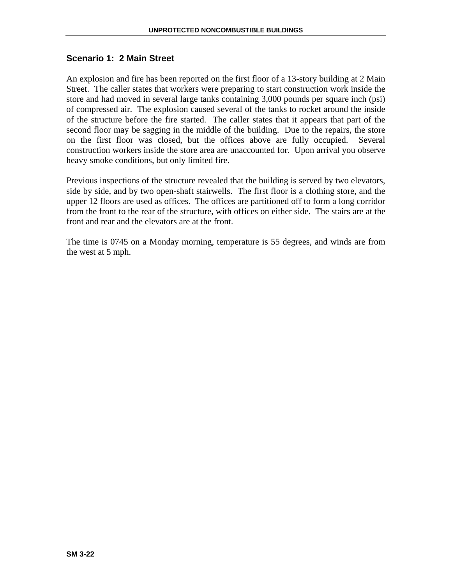# **Scenario 1: 2 Main Street**

An explosion and fire has been reported on the first floor of a 13-story building at 2 Main Street. The caller states that workers were preparing to start construction work inside the store and had moved in several large tanks containing 3,000 pounds per square inch (psi) of compressed air. The explosion caused several of the tanks to rocket around the inside of the structure before the fire started. The caller states that it appears that part of the second floor may be sagging in the middle of the building. Due to the repairs, the store on the first floor was closed, but the offices above are fully occupied. Several construction workers inside the store area are unaccounted for. Upon arrival you observe heavy smoke conditions, but only limited fire.

Previous inspections of the structure revealed that the building is served by two elevators, side by side, and by two open-shaft stairwells. The first floor is a clothing store, and the upper 12 floors are used as offices. The offices are partitioned off to form a long corridor from the front to the rear of the structure, with offices on either side. The stairs are at the front and rear and the elevators are at the front.

The time is 0745 on a Monday morning, temperature is 55 degrees, and winds are from the west at 5 mph.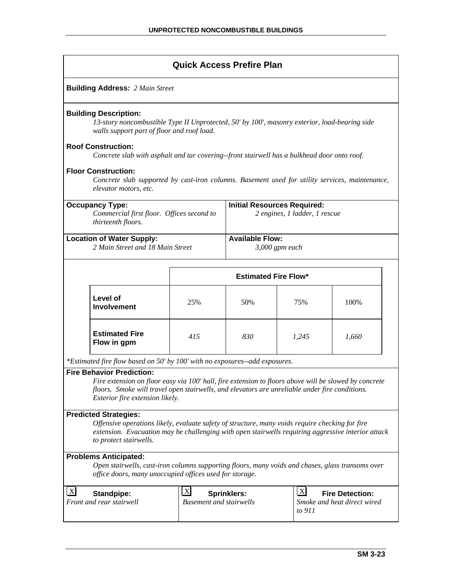|                                                                      |                                                                                                                                                                                                                                                                                |                                                             | <b>Quick Access Prefire Plan</b> |                                                                     |                                                       |  |  |  |
|----------------------------------------------------------------------|--------------------------------------------------------------------------------------------------------------------------------------------------------------------------------------------------------------------------------------------------------------------------------|-------------------------------------------------------------|----------------------------------|---------------------------------------------------------------------|-------------------------------------------------------|--|--|--|
|                                                                      | <b>Building Address: 2 Main Street</b>                                                                                                                                                                                                                                         |                                                             |                                  |                                                                     |                                                       |  |  |  |
|                                                                      | <b>Building Description:</b><br>13-story noncombustible Type II Unprotected, 50' by 100', masonry exterior, load-bearing side<br>walls support part of floor and roof load.                                                                                                    |                                                             |                                  |                                                                     |                                                       |  |  |  |
|                                                                      | <b>Roof Construction:</b><br>Concrete slab with asphalt and tar covering--front stairwell has a bulkhead door onto roof.                                                                                                                                                       |                                                             |                                  |                                                                     |                                                       |  |  |  |
|                                                                      | <b>Floor Construction:</b><br>Concrete slab supported by cast-iron columns. Basement used for utility services, maintenance,<br>elevator motors, etc.                                                                                                                          |                                                             |                                  |                                                                     |                                                       |  |  |  |
|                                                                      | <b>Occupancy Type:</b><br>Commercial first floor. Offices second to<br>thirteenth floors.                                                                                                                                                                                      |                                                             |                                  | <b>Initial Resources Required:</b><br>2 engines, 1 ladder, 1 rescue |                                                       |  |  |  |
| <b>Location of Water Supply:</b><br>2 Main Street and 18 Main Street |                                                                                                                                                                                                                                                                                | <b>Available Flow:</b><br>$3,000$ gpm each                  |                                  |                                                                     |                                                       |  |  |  |
|                                                                      |                                                                                                                                                                                                                                                                                |                                                             | <b>Estimated Fire Flow*</b>      |                                                                     |                                                       |  |  |  |
|                                                                      | Level of<br><b>Involvement</b>                                                                                                                                                                                                                                                 | 25%                                                         | 50%                              | 75%                                                                 | 100%                                                  |  |  |  |
|                                                                      | <b>Estimated Fire</b><br>Flow in gpm                                                                                                                                                                                                                                           | 415                                                         | 830                              | 1,245                                                               | 1,660                                                 |  |  |  |
|                                                                      | *Estimated fire flow based on 50' by 100' with no exposures--add exposures.                                                                                                                                                                                                    |                                                             |                                  |                                                                     |                                                       |  |  |  |
|                                                                      | <b>Fire Behavior Prediction:</b><br>Fire extension on floor easy via 100' hall, fire extension to floors above will be slowed by concrete<br>floors. Smoke will travel open stairwells, and elevators are unreliable under fire conditions.<br>Exterior fire extension likely. |                                                             |                                  |                                                                     |                                                       |  |  |  |
|                                                                      | <b>Predicted Strategies:</b><br>Offensive operations likely, evaluate safety of structure, many voids require checking for fire<br>extension. Evacuation may be challenging with open stairwells requiring aggressive interior attack<br>to protect stairwells.                |                                                             |                                  |                                                                     |                                                       |  |  |  |
|                                                                      | <b>Problems Anticipated:</b><br>Open stairwells, cast-iron columns supporting floors, many voids and chases, glass transoms over<br>office doors, many unoccupied offices used for storage.                                                                                    |                                                             |                                  |                                                                     |                                                       |  |  |  |
| $\boldsymbol{\mathrm{X}}$                                            | <b>Standpipe:</b><br>Front and rear stairwell                                                                                                                                                                                                                                  | $\boldsymbol{\mathrm{X}}$<br><b>Basement and stairwells</b> | <b>Sprinklers:</b>               | $\mathbf{X}$                                                        | <b>Fire Detection:</b><br>Smoke and heat direct wired |  |  |  |

*to 911*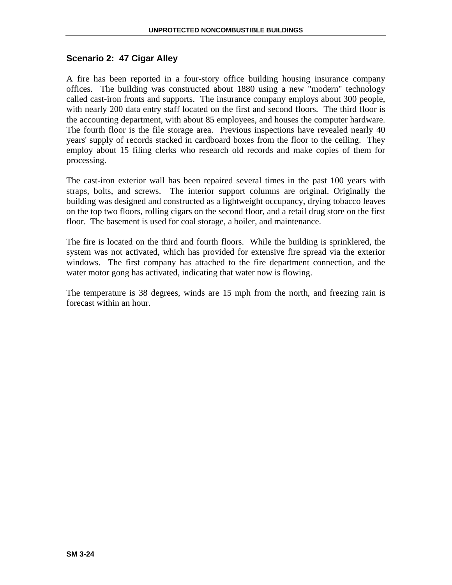#### **Scenario 2: 47 Cigar Alley**

A fire has been reported in a four-story office building housing insurance company offices. The building was constructed about 1880 using a new "modern" technology called cast-iron fronts and supports. The insurance company employs about 300 people, with nearly 200 data entry staff located on the first and second floors. The third floor is the accounting department, with about 85 employees, and houses the computer hardware. The fourth floor is the file storage area. Previous inspections have revealed nearly 40 years' supply of records stacked in cardboard boxes from the floor to the ceiling. They employ about 15 filing clerks who research old records and make copies of them for processing.

The cast-iron exterior wall has been repaired several times in the past 100 years with straps, bolts, and screws. The interior support columns are original. Originally the building was designed and constructed as a lightweight occupancy, drying tobacco leaves on the top two floors, rolling cigars on the second floor, and a retail drug store on the first floor. The basement is used for coal storage, a boiler, and maintenance.

The fire is located on the third and fourth floors. While the building is sprinklered, the system was not activated, which has provided for extensive fire spread via the exterior windows. The first company has attached to the fire department connection, and the water motor gong has activated, indicating that water now is flowing.

The temperature is 38 degrees, winds are 15 mph from the north, and freezing rain is forecast within an hour.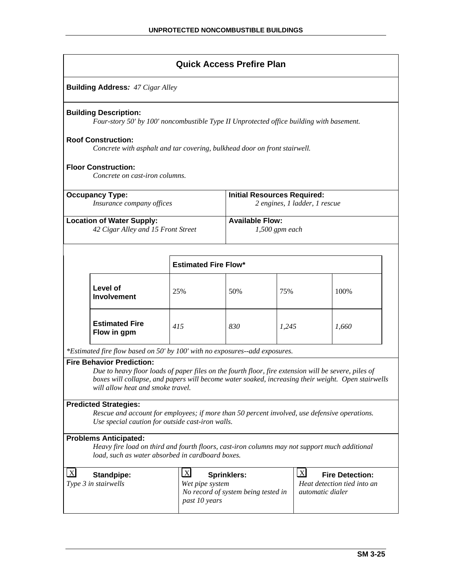|                                                                                                                                                                                   | <b>Quick Access Prefire Plan</b>                                                                                                                                                                                                                                                    |                                                  |                                                                     |       |                                  |                                                       |  |  |  |
|-----------------------------------------------------------------------------------------------------------------------------------------------------------------------------------|-------------------------------------------------------------------------------------------------------------------------------------------------------------------------------------------------------------------------------------------------------------------------------------|--------------------------------------------------|---------------------------------------------------------------------|-------|----------------------------------|-------------------------------------------------------|--|--|--|
|                                                                                                                                                                                   | <b>Building Address: 47 Cigar Alley</b>                                                                                                                                                                                                                                             |                                                  |                                                                     |       |                                  |                                                       |  |  |  |
|                                                                                                                                                                                   | <b>Building Description:</b><br>Four-story 50' by 100' noncombustible Type II Unprotected office building with basement.                                                                                                                                                            |                                                  |                                                                     |       |                                  |                                                       |  |  |  |
|                                                                                                                                                                                   | <b>Roof Construction:</b><br>Concrete with asphalt and tar covering, bulkhead door on front stairwell.                                                                                                                                                                              |                                                  |                                                                     |       |                                  |                                                       |  |  |  |
| <b>Floor Construction:</b><br>Concrete on cast-iron columns.                                                                                                                      |                                                                                                                                                                                                                                                                                     |                                                  |                                                                     |       |                                  |                                                       |  |  |  |
| <b>Occupancy Type:</b><br>Insurance company offices                                                                                                                               |                                                                                                                                                                                                                                                                                     |                                                  | <b>Initial Resources Required:</b><br>2 engines, 1 ladder, 1 rescue |       |                                  |                                                       |  |  |  |
| <b>Location of Water Supply:</b><br>42 Cigar Alley and 15 Front Street                                                                                                            |                                                                                                                                                                                                                                                                                     |                                                  | <b>Available Flow:</b><br>$1,500$ gpm each                          |       |                                  |                                                       |  |  |  |
| <b>Estimated Fire Flow*</b>                                                                                                                                                       |                                                                                                                                                                                                                                                                                     |                                                  |                                                                     |       |                                  |                                                       |  |  |  |
|                                                                                                                                                                                   | Level of<br><b>Involvement</b>                                                                                                                                                                                                                                                      | 25%                                              | 50%                                                                 | 75%   |                                  | 100%                                                  |  |  |  |
|                                                                                                                                                                                   | <b>Estimated Fire</b><br>Flow in gpm                                                                                                                                                                                                                                                | 415                                              | 830                                                                 | 1,245 |                                  | 1,660                                                 |  |  |  |
|                                                                                                                                                                                   | *Estimated fire flow based on 50' by 100' with no exposures--add exposures.                                                                                                                                                                                                         |                                                  |                                                                     |       |                                  |                                                       |  |  |  |
|                                                                                                                                                                                   | <b>Fire Behavior Prediction:</b><br>Due to heavy floor loads of paper files on the fourth floor, fire extension will be severe, piles of<br>boxes will collapse, and papers will become water soaked, increasing their weight. Open stairwells<br>will allow heat and smoke travel. |                                                  |                                                                     |       |                                  |                                                       |  |  |  |
| <b>Predicted Strategies:</b><br>Rescue and account for employees; if more than 50 percent involved, use defensive operations.<br>Use special caution for outside cast-iron walls. |                                                                                                                                                                                                                                                                                     |                                                  |                                                                     |       |                                  |                                                       |  |  |  |
| <b>Problems Anticipated:</b><br>Heavy fire load on third and fourth floors, cast-iron columns may not support much additional<br>load, such as water absorbed in cardboard boxes. |                                                                                                                                                                                                                                                                                     |                                                  |                                                                     |       |                                  |                                                       |  |  |  |
| $\boldsymbol{\mathrm{X}}$                                                                                                                                                         | <b>Standpipe:</b><br>Type 3 in stairwells                                                                                                                                                                                                                                           | $\mathbf{X}$<br>Wet pipe system<br>past 10 years | <b>Sprinklers:</b><br>No record of system being tested in           |       | $\mathbf{X}$<br>automatic dialer | <b>Fire Detection:</b><br>Heat detection tied into an |  |  |  |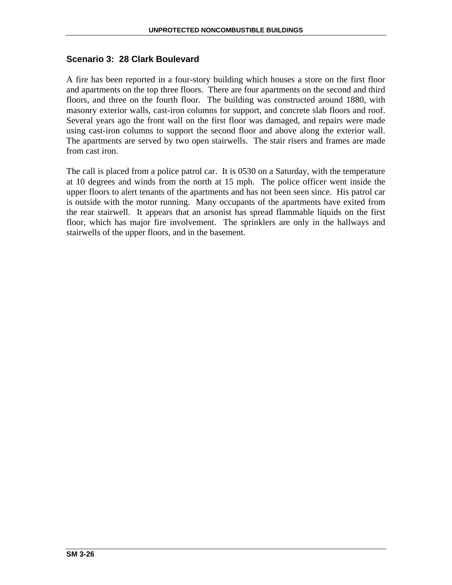# **Scenario 3: 28 Clark Boulevard**

A fire has been reported in a four-story building which houses a store on the first floor and apartments on the top three floors. There are four apartments on the second and third floors, and three on the fourth floor. The building was constructed around 1880, with masonry exterior walls, cast-iron columns for support, and concrete slab floors and roof. Several years ago the front wall on the first floor was damaged, and repairs were made using cast-iron columns to support the second floor and above along the exterior wall. The apartments are served by two open stairwells. The stair risers and frames are made from cast iron.

The call is placed from a police patrol car. It is 0530 on a Saturday, with the temperature at 10 degrees and winds from the north at 15 mph. The police officer went inside the upper floors to alert tenants of the apartments and has not been seen since. His patrol car is outside with the motor running. Many occupants of the apartments have exited from the rear stairwell. It appears that an arsonist has spread flammable liquids on the first floor, which has major fire involvement. The sprinklers are only in the hallways and stairwells of the upper floors, and in the basement.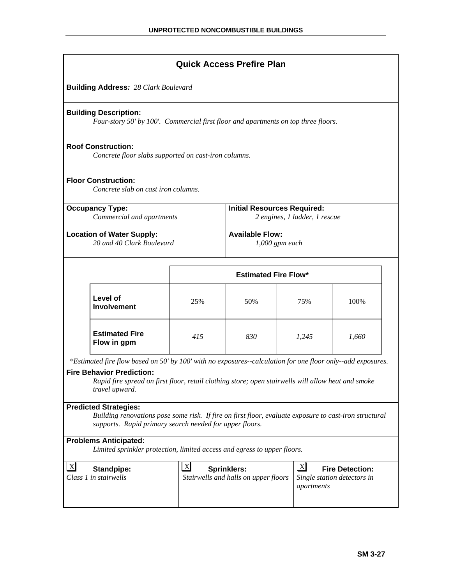| <b>Quick Access Prefire Plan</b>                                                                                                                                                                  |                                                                                                                    |                             |                                                                     |                            |                                                       |  |  |  |
|---------------------------------------------------------------------------------------------------------------------------------------------------------------------------------------------------|--------------------------------------------------------------------------------------------------------------------|-----------------------------|---------------------------------------------------------------------|----------------------------|-------------------------------------------------------|--|--|--|
|                                                                                                                                                                                                   | <b>Building Address: 28 Clark Boulevard</b>                                                                        |                             |                                                                     |                            |                                                       |  |  |  |
|                                                                                                                                                                                                   | <b>Building Description:</b><br>Four-story 50' by 100'. Commercial first floor and apartments on top three floors. |                             |                                                                     |                            |                                                       |  |  |  |
|                                                                                                                                                                                                   | <b>Roof Construction:</b><br>Concrete floor slabs supported on cast-iron columns.                                  |                             |                                                                     |                            |                                                       |  |  |  |
| <b>Floor Construction:</b><br>Concrete slab on cast iron columns.                                                                                                                                 |                                                                                                                    |                             |                                                                     |                            |                                                       |  |  |  |
| <b>Occupancy Type:</b><br>Commercial and apartments                                                                                                                                               |                                                                                                                    |                             | <b>Initial Resources Required:</b><br>2 engines, 1 ladder, 1 rescue |                            |                                                       |  |  |  |
| <b>Location of Water Supply:</b><br>20 and 40 Clark Boulevard                                                                                                                                     |                                                                                                                    |                             | <b>Available Flow:</b><br>$1,000$ gpm each                          |                            |                                                       |  |  |  |
|                                                                                                                                                                                                   |                                                                                                                    | <b>Estimated Fire Flow*</b> |                                                                     |                            |                                                       |  |  |  |
|                                                                                                                                                                                                   | Level of<br><b>Involvement</b>                                                                                     | 25%                         | 50%                                                                 | 75%                        | 100%                                                  |  |  |  |
|                                                                                                                                                                                                   | <b>Estimated Fire</b><br>Flow in gpm                                                                               | 415                         | 830                                                                 | 1,245                      | 1,660                                                 |  |  |  |
| *Estimated fire flow based on 50' by 100' with no exposures--calculation for one floor only--add exposures.                                                                                       |                                                                                                                    |                             |                                                                     |                            |                                                       |  |  |  |
| <b>Fire Behavior Prediction:</b><br>Rapid fire spread on first floor, retail clothing store; open stairwells will allow heat and smoke<br>travel upward.                                          |                                                                                                                    |                             |                                                                     |                            |                                                       |  |  |  |
| <b>Predicted Strategies:</b><br>Building renovations pose some risk. If fire on first floor, evaluate exposure to cast-iron structural<br>supports. Rapid primary search needed for upper floors. |                                                                                                                    |                             |                                                                     |                            |                                                       |  |  |  |
| <b>Problems Anticipated:</b><br>Limited sprinkler protection, limited access and egress to upper floors.                                                                                          |                                                                                                                    |                             |                                                                     |                            |                                                       |  |  |  |
| $\mathbf{X}$                                                                                                                                                                                      | <b>Standpipe:</b><br>Class 1 in stairwells                                                                         | $\boldsymbol{\mathrm{X}}$   | <b>Sprinklers:</b><br>Stairwells and halls on upper floors          | $\mathbf{X}$<br>apartments | <b>Fire Detection:</b><br>Single station detectors in |  |  |  |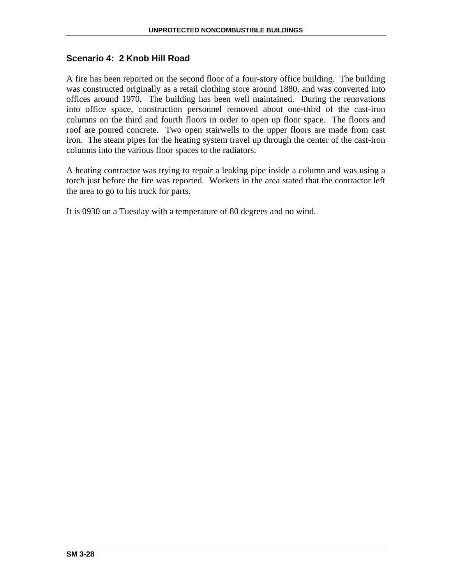# **Scenario 4: 2 Knob Hill Road**

A fire has been reported on the second floor of a four-story office building. The building was constructed originally as a retail clothing store around 1880, and was converted into offices around 1970. The building has been well maintained. During the renovations into office space, construction personnel removed about one-third of the cast-iron columns on the third and fourth floors in order to open up floor space. The floors and roof are poured concrete. Two open stairwells to the upper floors are made from cast iron. The steam pipes for the heating system travel up through the center of the cast-iron columns into the various floor spaces to the radiators.

A heating contractor was trying to repair a leaking pipe inside a column and was using a torch just before the fire was reported. Workers in the area stated that the contractor left the area to go to his truck for parts.

It is 0930 on a Tuesday with a temperature of 80 degrees and no wind.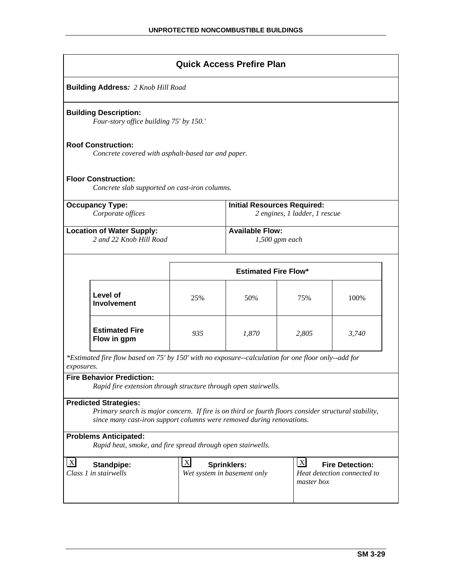|                                                                                                                                                                                                               |                                                                                                           |                                                                                                                                                                              | <b>Quick Access Prefire Plan</b> |       |       |
|---------------------------------------------------------------------------------------------------------------------------------------------------------------------------------------------------------------|-----------------------------------------------------------------------------------------------------------|------------------------------------------------------------------------------------------------------------------------------------------------------------------------------|----------------------------------|-------|-------|
|                                                                                                                                                                                                               | <b>Building Address: 2 Knob Hill Road</b>                                                                 |                                                                                                                                                                              |                                  |       |       |
|                                                                                                                                                                                                               | <b>Building Description:</b><br>Four-story office building 75' by 150.'                                   |                                                                                                                                                                              |                                  |       |       |
|                                                                                                                                                                                                               | <b>Roof Construction:</b><br>Concrete covered with asphalt-based tar and paper.                           |                                                                                                                                                                              |                                  |       |       |
|                                                                                                                                                                                                               | <b>Floor Construction:</b><br>Concrete slab supported on cast-iron columns.                               |                                                                                                                                                                              |                                  |       |       |
| <b>Initial Resources Required:</b><br><b>Occupancy Type:</b><br>2 engines, 1 ladder, 1 rescue<br>Corporate offices                                                                                            |                                                                                                           |                                                                                                                                                                              |                                  |       |       |
|                                                                                                                                                                                                               | <b>Available Flow:</b><br><b>Location of Water Supply:</b><br>2 and 22 Knob Hill Road<br>$1,500$ gpm each |                                                                                                                                                                              |                                  |       |       |
| <b>Estimated Fire Flow*</b>                                                                                                                                                                                   |                                                                                                           |                                                                                                                                                                              |                                  |       |       |
|                                                                                                                                                                                                               | Level of<br><b>Involvement</b>                                                                            | 25%                                                                                                                                                                          | 50%                              | 75%   | 100%  |
|                                                                                                                                                                                                               | <b>Estimated Fire</b><br>Flow in gpm                                                                      | 935                                                                                                                                                                          | 1,870                            | 2,805 | 3,740 |
| *Estimated fire flow based on 75' by 150' with no exposure-calculation for one floor only--add for<br>exposures.                                                                                              |                                                                                                           |                                                                                                                                                                              |                                  |       |       |
| <b>Fire Behavior Prediction:</b><br>Rapid fire extension through structure through open stairwells.                                                                                                           |                                                                                                           |                                                                                                                                                                              |                                  |       |       |
| <b>Predicted Strategies:</b><br>Primary search is major concern. If fire is on third or fourth floors consider structural stability,<br>since many cast-iron support columns were removed during renovations. |                                                                                                           |                                                                                                                                                                              |                                  |       |       |
|                                                                                                                                                                                                               | <b>Problems Anticipated:</b><br>Rapid heat, smoke, and fire spread through open stairwells.               |                                                                                                                                                                              |                                  |       |       |
| $\lfloor x \rfloor$                                                                                                                                                                                           | <b>Standpipe:</b><br>Class 1 in stairwells                                                                | $\lfloor x \rfloor$<br>$\boldsymbol{\mathrm{X}}$<br><b>Sprinklers:</b><br><b>Fire Detection:</b><br>Wet system in basement only<br>Heat detection connected to<br>master box |                                  |       |       |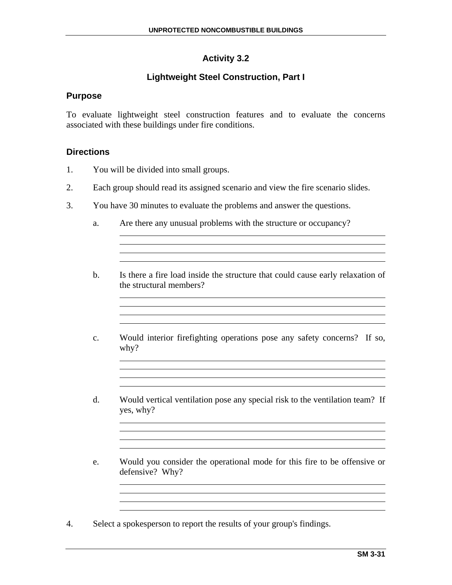# **Activity 3.2**

# **Lightweight Steel Construction, Part I**

# **Purpose**

To evaluate lightweight steel construction features and to evaluate the concerns associated with these buildings under fire conditions.

### **Directions**

- 1. You will be divided into small groups.
- 2. Each group should read its assigned scenario and view the fire scenario slides.
- 3. You have 30 minutes to evaluate the problems and answer the questions.
	- a. Are there any unusual problems with the structure or occupancy?
	- b. Is there a fire load inside the structure that could cause early relaxation of the structural members?

<u> 1980 - Johann Stoff, deutscher Stoffen und der Stoffen und der Stoffen und der Stoffen und der Stoffen und de</u>

<u> 1989 - Johann Stein, marwolaethau a bhann an t-Amhainn an t-Amhainn an t-Amhainn an t-Amhainn an t-Amhainn a</u>

<u> 1980 - Johann Barn, mars ann an t-Amhain Aonaich an t-Aonaich an t-Aonaich ann an t-Aonaich ann an t-Aonaich</u>

- c. Would interior firefighting operations pose any safety concerns? If so, why?
- d. Would vertical ventilation pose any special risk to the ventilation team? If yes, why?
- e. Would you consider the operational mode for this fire to be offensive or defensive? Why?

4. Select a spokesperson to report the results of your group's findings.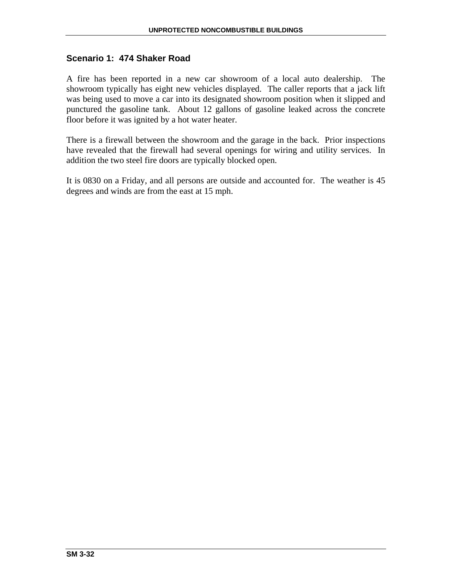# **Scenario 1: 474 Shaker Road**

A fire has been reported in a new car showroom of a local auto dealership. The showroom typically has eight new vehicles displayed. The caller reports that a jack lift was being used to move a car into its designated showroom position when it slipped and punctured the gasoline tank. About 12 gallons of gasoline leaked across the concrete floor before it was ignited by a hot water heater.

There is a firewall between the showroom and the garage in the back. Prior inspections have revealed that the firewall had several openings for wiring and utility services. In addition the two steel fire doors are typically blocked open.

It is 0830 on a Friday, and all persons are outside and accounted for. The weather is 45 degrees and winds are from the east at 15 mph.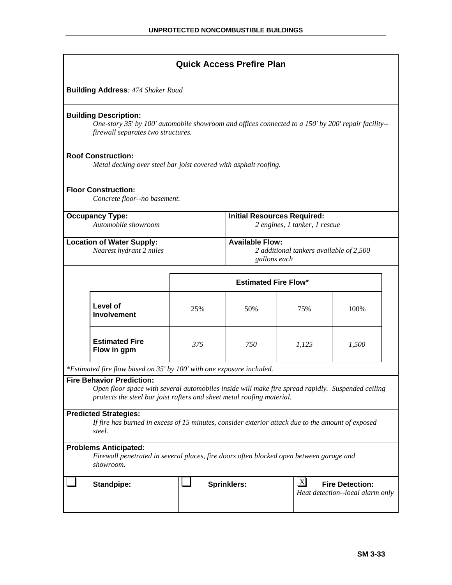|                                                                                                                                                                                                                 |                                                                                                      | <b>Quick Access Prefire Plan</b>   |                               |       |  |
|-----------------------------------------------------------------------------------------------------------------------------------------------------------------------------------------------------------------|------------------------------------------------------------------------------------------------------|------------------------------------|-------------------------------|-------|--|
| <b>Building Address: 474 Shaker Road</b>                                                                                                                                                                        |                                                                                                      |                                    |                               |       |  |
| <b>Building Description:</b><br>One-story 35' by 100' automobile showroom and offices connected to a 150' by 200' repair facility--<br>firewall separates two structures.                                       |                                                                                                      |                                    |                               |       |  |
| <b>Roof Construction:</b><br>Metal decking over steel bar joist covered with asphalt roofing.                                                                                                                   |                                                                                                      |                                    |                               |       |  |
| <b>Floor Construction:</b><br>Concrete floor--no basement.                                                                                                                                                      |                                                                                                      |                                    |                               |       |  |
| <b>Occupancy Type:</b><br>Automobile showroom                                                                                                                                                                   |                                                                                                      | <b>Initial Resources Required:</b> | 2 engines, 1 tanker, 1 rescue |       |  |
| <b>Available Flow:</b><br><b>Location of Water Supply:</b><br>Nearest hydrant 2 miles<br>2 additional tankers available of 2,500<br>gallons each                                                                |                                                                                                      |                                    |                               |       |  |
| <b>Estimated Fire Flow*</b>                                                                                                                                                                                     |                                                                                                      |                                    |                               |       |  |
| Level of<br><b>Involvement</b>                                                                                                                                                                                  | 25%                                                                                                  | 50%                                | 75%                           | 100%  |  |
| <b>Estimated Fire</b><br>Flow in gpm                                                                                                                                                                            | 375                                                                                                  | 750                                | 1,125                         | 1,500 |  |
| *Estimated fire flow based on 35' by 100' with one exposure included.                                                                                                                                           |                                                                                                      |                                    |                               |       |  |
| <b>Fire Behavior Prediction:</b><br>Open floor space with several automobiles inside will make fire spread rapidly. Suspended ceiling<br>protects the steel bar joist rafters and sheet metal roofing material. |                                                                                                      |                                    |                               |       |  |
| <b>Predicted Strategies:</b><br>If fire has burned in excess of 15 minutes, consider exterior attack due to the amount of exposed<br>steel.                                                                     |                                                                                                      |                                    |                               |       |  |
| <b>Problems Anticipated:</b><br>Firewall penetrated in several places, fire doors often blocked open between garage and<br>showroom.                                                                            |                                                                                                      |                                    |                               |       |  |
| <b>Standpipe:</b>                                                                                                                                                                                               | $\boldsymbol{X}$<br><b>Sprinklers:</b><br><b>Fire Detection:</b><br>Heat detection--local alarm only |                                    |                               |       |  |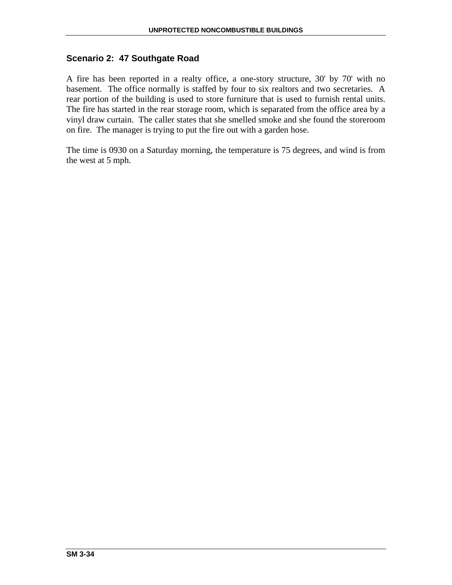# **Scenario 2: 47 Southgate Road**

A fire has been reported in a realty office, a one-story structure, 30' by 70' with no basement. The office normally is staffed by four to six realtors and two secretaries. A rear portion of the building is used to store furniture that is used to furnish rental units. The fire has started in the rear storage room, which is separated from the office area by a vinyl draw curtain. The caller states that she smelled smoke and she found the storeroom on fire. The manager is trying to put the fire out with a garden hose.

The time is 0930 on a Saturday morning, the temperature is 75 degrees, and wind is from the west at 5 mph.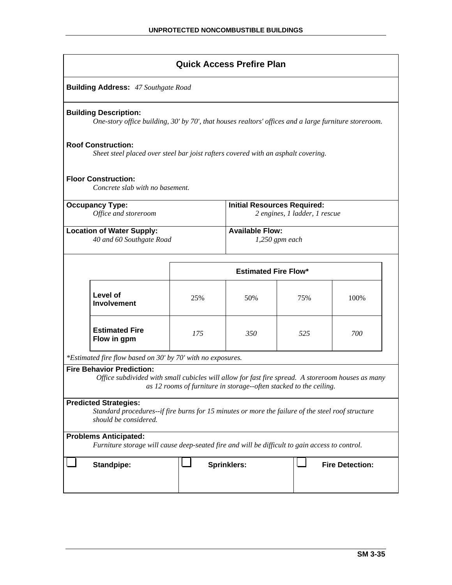|                                                                                                                                                            |                                                                                                                                       |                                                                    | <b>Quick Access Prefire Plan</b> |      |                        |
|------------------------------------------------------------------------------------------------------------------------------------------------------------|---------------------------------------------------------------------------------------------------------------------------------------|--------------------------------------------------------------------|----------------------------------|------|------------------------|
|                                                                                                                                                            | <b>Building Address: 47 Southgate Road</b>                                                                                            |                                                                    |                                  |      |                        |
|                                                                                                                                                            | <b>Building Description:</b><br>One-story office building, 30' by 70', that houses realtors' offices and a large furniture storeroom. |                                                                    |                                  |      |                        |
|                                                                                                                                                            | <b>Roof Construction:</b><br>Sheet steel placed over steel bar joist rafters covered with an asphalt covering.                        |                                                                    |                                  |      |                        |
|                                                                                                                                                            | <b>Floor Construction:</b><br>Concrete slab with no basement.                                                                         |                                                                    |                                  |      |                        |
| <b>Occupancy Type:</b><br><b>Initial Resources Required:</b><br>Office and storeroom<br>2 engines, 1 ladder, 1 rescue                                      |                                                                                                                                       |                                                                    |                                  |      |                        |
| <b>Available Flow:</b><br><b>Location of Water Supply:</b><br>40 and 60 Southgate Road<br>$1,250$ gpm each                                                 |                                                                                                                                       |                                                                    |                                  |      |                        |
| <b>Estimated Fire Flow*</b>                                                                                                                                |                                                                                                                                       |                                                                    |                                  |      |                        |
| Level of<br>25%<br>50%<br>75%<br><b>Involvement</b>                                                                                                        |                                                                                                                                       |                                                                    |                                  | 100% |                        |
|                                                                                                                                                            | <b>Estimated Fire</b><br>Flow in gpm                                                                                                  | 175                                                                | 350                              | 525  | 700                    |
|                                                                                                                                                            | *Estimated fire flow based on 30' by 70' with no exposures.                                                                           |                                                                    |                                  |      |                        |
|                                                                                                                                                            | <b>Fire Behavior Prediction:</b><br>Office subdivided with small cubicles will allow for fast fire spread. A storeroom houses as many | as 12 rooms of furniture in storage--often stacked to the ceiling. |                                  |      |                        |
| <b>Predicted Strategies:</b><br>Standard procedures--if fire burns for 15 minutes or more the failure of the steel roof structure<br>should be considered. |                                                                                                                                       |                                                                    |                                  |      |                        |
|                                                                                                                                                            | <b>Problems Anticipated:</b><br>Furniture storage will cause deep-seated fire and will be difficult to gain access to control.        |                                                                    |                                  |      |                        |
|                                                                                                                                                            | <b>Standpipe:</b>                                                                                                                     |                                                                    | Sprinklers:                      |      | <b>Fire Detection:</b> |
|                                                                                                                                                            |                                                                                                                                       |                                                                    |                                  |      |                        |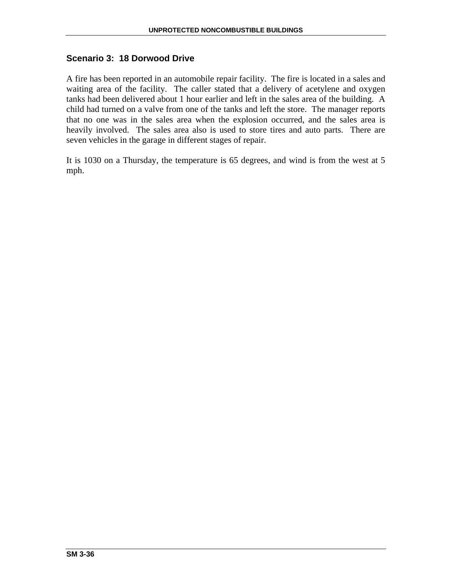# **Scenario 3: 18 Dorwood Drive**

A fire has been reported in an automobile repair facility. The fire is located in a sales and waiting area of the facility. The caller stated that a delivery of acetylene and oxygen tanks had been delivered about 1 hour earlier and left in the sales area of the building. A child had turned on a valve from one of the tanks and left the store. The manager reports that no one was in the sales area when the explosion occurred, and the sales area is heavily involved. The sales area also is used to store tires and auto parts. There are seven vehicles in the garage in different stages of repair.

It is 1030 on a Thursday, the temperature is 65 degrees, and wind is from the west at 5 mph.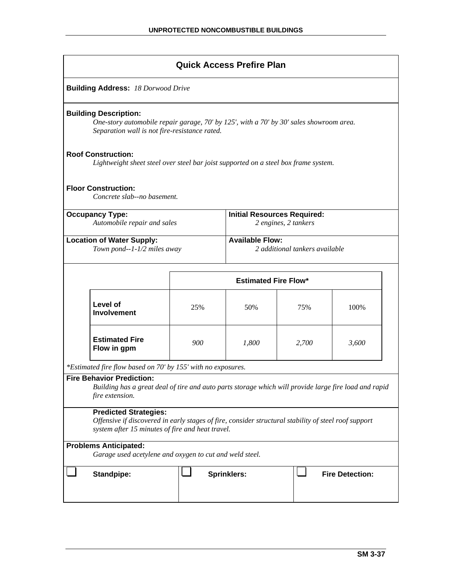|                                                                                                                                                                                          |                                                                                         |     | <b>Quick Access Prefire Plan</b> |       |                        |
|------------------------------------------------------------------------------------------------------------------------------------------------------------------------------------------|-----------------------------------------------------------------------------------------|-----|----------------------------------|-------|------------------------|
|                                                                                                                                                                                          | <b>Building Address: 18 Dorwood Drive</b>                                               |     |                                  |       |                        |
| <b>Building Description:</b><br>One-story automobile repair garage, 70' by 125', with a 70' by 30' sales showroom area.<br>Separation wall is not fire-resistance rated.                 |                                                                                         |     |                                  |       |                        |
| <b>Roof Construction:</b><br>Lightweight sheet steel over steel bar joist supported on a steel box frame system.                                                                         |                                                                                         |     |                                  |       |                        |
|                                                                                                                                                                                          | <b>Floor Construction:</b><br>Concrete slab--no basement.                               |     |                                  |       |                        |
| <b>Occupancy Type:</b><br><b>Initial Resources Required:</b><br>Automobile repair and sales<br>2 engines, 2 tankers                                                                      |                                                                                         |     |                                  |       |                        |
| <b>Available Flow:</b><br><b>Location of Water Supply:</b><br>2 additional tankers available<br>Town pond--1-1/2 miles away                                                              |                                                                                         |     |                                  |       |                        |
| <b>Estimated Fire Flow*</b>                                                                                                                                                              |                                                                                         |     |                                  |       |                        |
|                                                                                                                                                                                          | Level of<br><b>Involvement</b>                                                          | 25% | 50%                              | 75%   | 100%                   |
|                                                                                                                                                                                          | <b>Estimated Fire</b><br>Flow in gpm                                                    | 900 | 1,800                            | 2,700 | 3,600                  |
|                                                                                                                                                                                          | *Estimated fire flow based on 70' by 155' with no exposures.                            |     |                                  |       |                        |
| <b>Fire Behavior Prediction:</b><br>Building has a great deal of tire and auto parts storage which will provide large fire load and rapid<br>fire extension.                             |                                                                                         |     |                                  |       |                        |
| <b>Predicted Strategies:</b><br>Offensive if discovered in early stages of fire, consider structural stability of steel roof support<br>system after 15 minutes of fire and heat travel. |                                                                                         |     |                                  |       |                        |
|                                                                                                                                                                                          | <b>Problems Anticipated:</b><br>Garage used acetylene and oxygen to cut and weld steel. |     |                                  |       |                        |
|                                                                                                                                                                                          |                                                                                         |     |                                  |       |                        |
|                                                                                                                                                                                          | <b>Standpipe:</b>                                                                       |     | <b>Sprinklers:</b>               |       | <b>Fire Detection:</b> |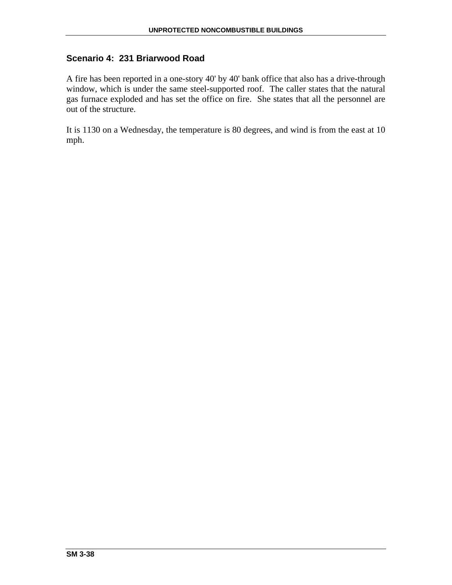# **Scenario 4: 231 Briarwood Road**

A fire has been reported in a one-story 40' by 40' bank office that also has a drive-through window, which is under the same steel-supported roof. The caller states that the natural gas furnace exploded and has set the office on fire. She states that all the personnel are out of the structure.

It is 1130 on a Wednesday, the temperature is 80 degrees, and wind is from the east at 10 mph.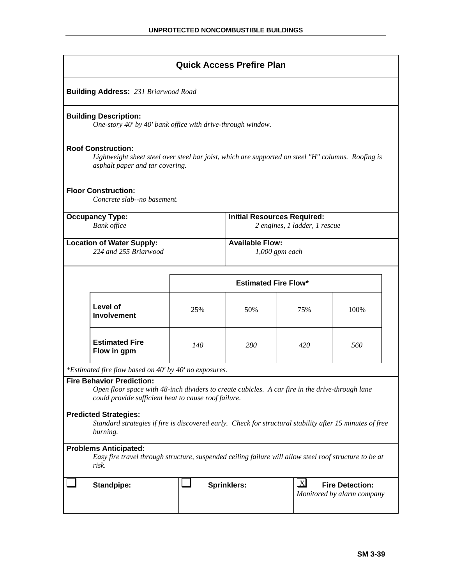|                                                                                                                                                                                             |                                                                                                                                                                    |                                                                                     | <b>Quick Access Prefire Plan</b> |     |      |  |
|---------------------------------------------------------------------------------------------------------------------------------------------------------------------------------------------|--------------------------------------------------------------------------------------------------------------------------------------------------------------------|-------------------------------------------------------------------------------------|----------------------------------|-----|------|--|
|                                                                                                                                                                                             | <b>Building Address: 231 Briarwood Road</b>                                                                                                                        |                                                                                     |                                  |     |      |  |
|                                                                                                                                                                                             | <b>Building Description:</b><br>One-story 40' by 40' bank office with drive-through window.                                                                        |                                                                                     |                                  |     |      |  |
|                                                                                                                                                                                             | <b>Roof Construction:</b><br>Lightweight sheet steel over steel bar joist, which are supported on steel "H" columns. Roofing is<br>asphalt paper and tar covering. |                                                                                     |                                  |     |      |  |
|                                                                                                                                                                                             | <b>Floor Construction:</b><br>Concrete slab--no basement.                                                                                                          |                                                                                     |                                  |     |      |  |
| <b>Initial Resources Required:</b><br><b>Occupancy Type:</b><br><b>Bank</b> office<br>2 engines, 1 ladder, 1 rescue                                                                         |                                                                                                                                                                    |                                                                                     |                                  |     |      |  |
| <b>Available Flow:</b><br><b>Location of Water Supply:</b><br>224 and 255 Briarwood<br>$1,000$ gpm each                                                                                     |                                                                                                                                                                    |                                                                                     |                                  |     |      |  |
| <b>Estimated Fire Flow*</b>                                                                                                                                                                 |                                                                                                                                                                    |                                                                                     |                                  |     |      |  |
|                                                                                                                                                                                             | Level of<br><b>Involvement</b>                                                                                                                                     | 25%                                                                                 | 50%                              | 75% | 100% |  |
|                                                                                                                                                                                             | <b>Estimated Fire</b><br>Flow in gpm                                                                                                                               | 140                                                                                 | 280                              | 420 | 560  |  |
|                                                                                                                                                                                             | *Estimated fire flow based on 40' by 40' no exposures.                                                                                                             |                                                                                     |                                  |     |      |  |
| <b>Fire Behavior Prediction:</b><br>Open floor space with 48-inch dividers to create cubicles. A car fire in the drive-through lane<br>could provide sufficient heat to cause roof failure. |                                                                                                                                                                    |                                                                                     |                                  |     |      |  |
| <b>Predicted Strategies:</b>                                                                                                                                                                |                                                                                                                                                                    |                                                                                     |                                  |     |      |  |
| Standard strategies if fire is discovered early. Check for structural stability after 15 minutes of free<br>burning.                                                                        |                                                                                                                                                                    |                                                                                     |                                  |     |      |  |
| <b>Problems Anticipated:</b><br>Easy fire travel through structure, suspended ceiling failure will allow steel roof structure to be at<br>risk.                                             |                                                                                                                                                                    |                                                                                     |                                  |     |      |  |
|                                                                                                                                                                                             | <b>Standpipe:</b>                                                                                                                                                  | $\mathbf{X}$<br>Sprinklers:<br><b>Fire Detection:</b><br>Monitored by alarm company |                                  |     |      |  |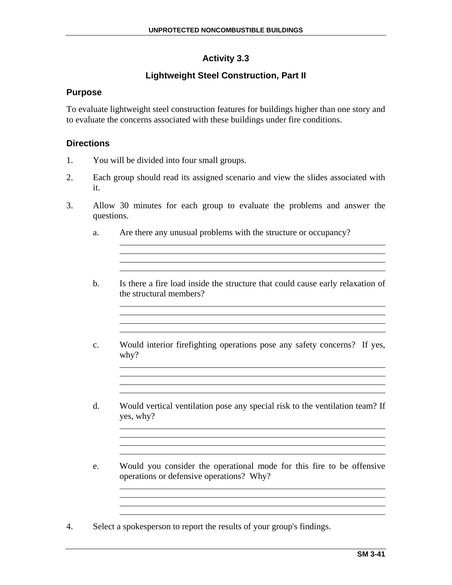# **Activity 3.3**

# **Lightweight Steel Construction, Part II**

# **Purpose**

To evaluate lightweight steel construction features for buildings higher than one story and to evaluate the concerns associated with these buildings under fire conditions.

# **Directions**

- 1. You will be divided into four small groups.
- 2. Each group should read its assigned scenario and view the slides associated with it.
- 3. Allow 30 minutes for each group to evaluate the problems and answer the questions.
	- a. Are there any unusual problems with the structure or occupancy?
	- b. Is there a fire load inside the structure that could cause early relaxation of the structural members?

<u> 1989 - Johann Stoff, deutscher Stoffen und der Stoffen und der Stoffen und der Stoffen und der Stoffen und der</u>

<u> 1980 - Johann Barn, mars ann an t-Amhain Aonaichte ann an t-Aonaichte ann an t-Aonaichte ann an t-Aonaichte a</u>

<u> 1989 - Johann Stoff, deutscher Stoff, der Stoff, der Stoff, der Stoff, der Stoff, der Stoff, der Stoff, der S</u>

- c. Would interior firefighting operations pose any safety concerns? If yes, why?
- d. Would vertical ventilation pose any special risk to the ventilation team? If yes, why?
- e. Would you consider the operational mode for this fire to be offensive operations or defensive operations? Why?

<u> 1989 - Johann Stoff, amerikansk politiker (d. 1989)</u> 

4. Select a spokesperson to report the results of your group's findings.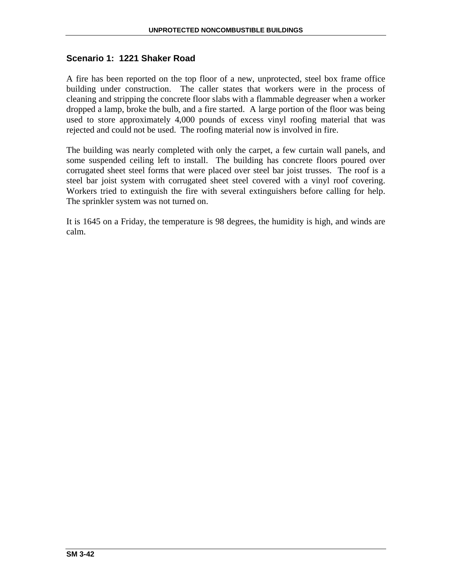# **Scenario 1: 1221 Shaker Road**

A fire has been reported on the top floor of a new, unprotected, steel box frame office building under construction. The caller states that workers were in the process of cleaning and stripping the concrete floor slabs with a flammable degreaser when a worker dropped a lamp, broke the bulb, and a fire started. A large portion of the floor was being used to store approximately 4,000 pounds of excess vinyl roofing material that was rejected and could not be used. The roofing material now is involved in fire.

The building was nearly completed with only the carpet, a few curtain wall panels, and some suspended ceiling left to install. The building has concrete floors poured over corrugated sheet steel forms that were placed over steel bar joist trusses. The roof is a steel bar joist system with corrugated sheet steel covered with a vinyl roof covering. Workers tried to extinguish the fire with several extinguishers before calling for help. The sprinkler system was not turned on.

It is 1645 on a Friday, the temperature is 98 degrees, the humidity is high, and winds are calm.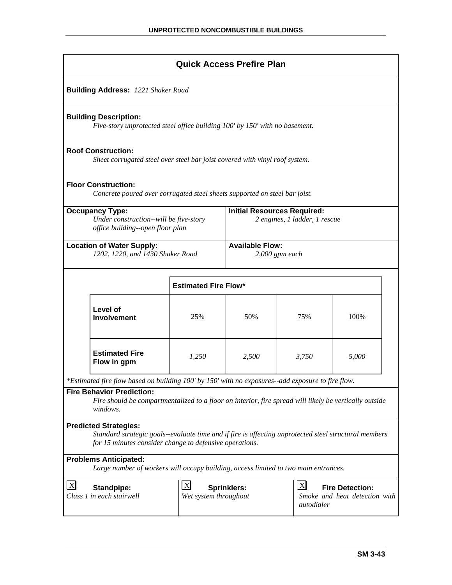|                                                                                                                                                                             | <b>Quick Access Prefire Plan</b>                                                                                                                                                                                    |       |       |       |       |  |  |
|-----------------------------------------------------------------------------------------------------------------------------------------------------------------------------|---------------------------------------------------------------------------------------------------------------------------------------------------------------------------------------------------------------------|-------|-------|-------|-------|--|--|
|                                                                                                                                                                             | <b>Building Address: 1221 Shaker Road</b>                                                                                                                                                                           |       |       |       |       |  |  |
|                                                                                                                                                                             | <b>Building Description:</b><br>Five-story unprotected steel office building 100' by 150' with no basement.                                                                                                         |       |       |       |       |  |  |
|                                                                                                                                                                             | <b>Roof Construction:</b><br>Sheet corrugated steel over steel bar joist covered with vinyl roof system.                                                                                                            |       |       |       |       |  |  |
|                                                                                                                                                                             | <b>Floor Construction:</b><br>Concrete poured over corrugated steel sheets supported on steel bar joist.                                                                                                            |       |       |       |       |  |  |
| <b>Occupancy Type:</b><br><b>Initial Resources Required:</b><br>Under construction--will be five-story<br>2 engines, 1 ladder, 1 rescue<br>office building--open floor plan |                                                                                                                                                                                                                     |       |       |       |       |  |  |
| <b>Available Flow:</b><br><b>Location of Water Supply:</b><br>1202, 1220, and 1430 Shaker Road<br>$2,000$ gpm each                                                          |                                                                                                                                                                                                                     |       |       |       |       |  |  |
| <b>Estimated Fire Flow*</b>                                                                                                                                                 |                                                                                                                                                                                                                     |       |       |       |       |  |  |
|                                                                                                                                                                             | Level of<br><b>Involvement</b>                                                                                                                                                                                      | 25%   | 50%   | 75%   | 100%  |  |  |
|                                                                                                                                                                             | <b>Estimated Fire</b><br>Flow in gpm                                                                                                                                                                                | 1,250 | 2,500 | 3,750 | 5,000 |  |  |
|                                                                                                                                                                             | *Estimated fire flow based on building 100' by 150' with no exposures--add exposure to fire flow.                                                                                                                   |       |       |       |       |  |  |
| <b>Fire Behavior Prediction:</b><br>Fire should be compartmentalized to a floor on interior, fire spread will likely be vertically outside<br>windows.                      |                                                                                                                                                                                                                     |       |       |       |       |  |  |
|                                                                                                                                                                             | <b>Predicted Strategies:</b><br>Standard strategic goals--evaluate time and if fire is affecting unprotected steel structural members<br>for 15 minutes consider change to defensive operations.                    |       |       |       |       |  |  |
|                                                                                                                                                                             | <b>Problems Anticipated:</b><br>Large number of workers will occupy building, access limited to two main entrances.                                                                                                 |       |       |       |       |  |  |
| $\lfloor x \rfloor$                                                                                                                                                         | $\mathbf{X}$<br>$\boldsymbol{\mathrm{X}}$<br><b>Fire Detection:</b><br><b>Sprinklers:</b><br><b>Standpipe:</b><br>Class 1 in each stairwell<br>Smoke and heat detection with<br>Wet system throughout<br>autodialer |       |       |       |       |  |  |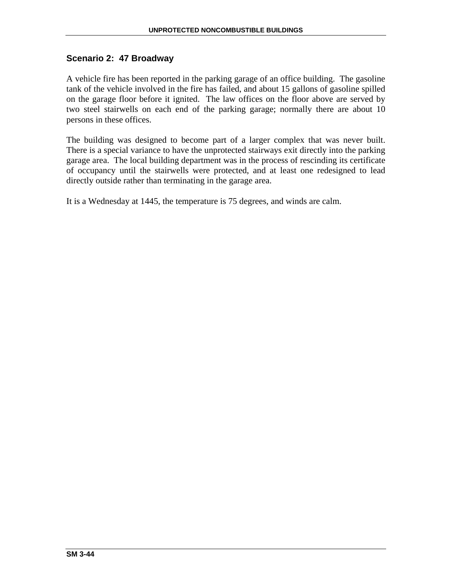# **Scenario 2: 47 Broadway**

A vehicle fire has been reported in the parking garage of an office building. The gasoline tank of the vehicle involved in the fire has failed, and about 15 gallons of gasoline spilled on the garage floor before it ignited. The law offices on the floor above are served by two steel stairwells on each end of the parking garage; normally there are about 10 persons in these offices.

The building was designed to become part of a larger complex that was never built. There is a special variance to have the unprotected stairways exit directly into the parking garage area. The local building department was in the process of rescinding its certificate of occupancy until the stairwells were protected, and at least one redesigned to lead directly outside rather than terminating in the garage area.

It is a Wednesday at 1445, the temperature is 75 degrees, and winds are calm.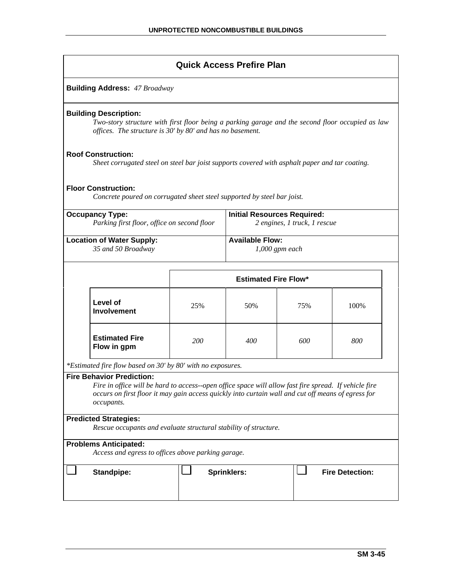| <b>Quick Access Prefire Plan</b> |  |
|----------------------------------|--|
|----------------------------------|--|

| <b>Building Address: 47 Broadway</b> |
|--------------------------------------|
|--------------------------------------|

#### **Building Description:**

*Two-story structure with first floor being a parking garage and the second floor occupied as law offices. The structure is 30' by 80' and has no basement.* 

#### **Roof Construction:**

*Sheet corrugated steel on steel bar joist supports covered with asphalt paper and tar coating.* 

#### **Floor Construction:**

*Concrete poured on corrugated sheet steel supported by steel bar joist.* 

| <b>Occupancy Type:</b>                      | <b>Initial Resources Required:</b> |
|---------------------------------------------|------------------------------------|
| Parking first floor, office on second floor | 2 engines, 1 truck, 1 rescue       |
| <b>Location of Water Supply:</b>            | <b>Available Flow:</b>             |
| 35 and 50 Broadway                          | $1,000$ gpm each                   |

|                                      | <b>Estimated Fire Flow*</b> |     |     |      |  |
|--------------------------------------|-----------------------------|-----|-----|------|--|
| Level of<br>Involvement              | 25%                         | 50% | 75% | 100% |  |
| <b>Estimated Fire</b><br>Flow in gpm | 200                         | 400 | 600 | 800  |  |

*\*Estimated fire flow based on 30' by 80' with no exposures.* 

#### **Fire Behavior Prediction:**

*Fire in office will be hard to access--open office space will allow fast fire spread. If vehicle fire occurs on first floor it may gain access quickly into curtain wall and cut off means of egress for occupants.* 

#### **Predicted Strategies:**

*Rescue occupants and evaluate structural stability of structure.* 

### **Problems Anticipated:**

*Access and egress to offices above parking garage.* 

Standpipe:  $\begin{array}{c|c|c|c|c} \hline \end{array}$  Sprinklers:  $\begin{array}{c|c|c} \hline \end{array}$  Fire Detection: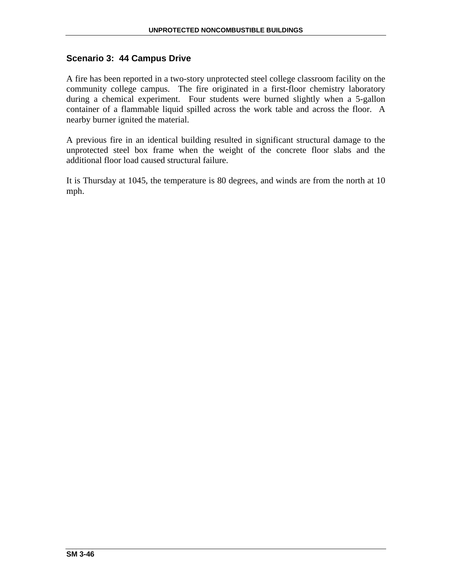# **Scenario 3: 44 Campus Drive**

A fire has been reported in a two-story unprotected steel college classroom facility on the community college campus. The fire originated in a first-floor chemistry laboratory during a chemical experiment. Four students were burned slightly when a 5-gallon container of a flammable liquid spilled across the work table and across the floor. A nearby burner ignited the material.

A previous fire in an identical building resulted in significant structural damage to the unprotected steel box frame when the weight of the concrete floor slabs and the additional floor load caused structural failure.

It is Thursday at 1045, the temperature is 80 degrees, and winds are from the north at 10 mph.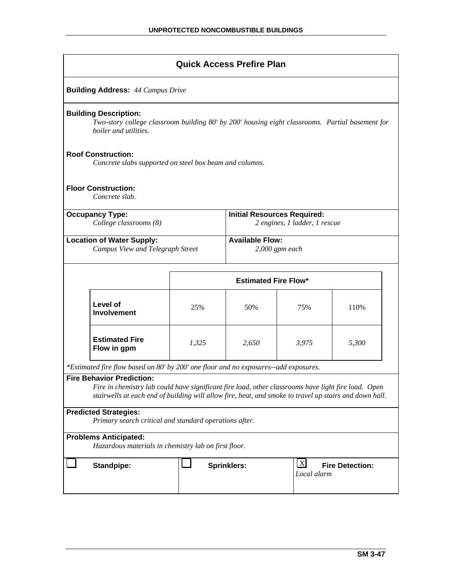|                                                                                                                                                                                                                                                   |                                                                                                                                                          |       | <b>Quick Access Prefire Plan</b> |       |       |  |
|---------------------------------------------------------------------------------------------------------------------------------------------------------------------------------------------------------------------------------------------------|----------------------------------------------------------------------------------------------------------------------------------------------------------|-------|----------------------------------|-------|-------|--|
|                                                                                                                                                                                                                                                   | <b>Building Address: 44 Campus Drive</b>                                                                                                                 |       |                                  |       |       |  |
|                                                                                                                                                                                                                                                   | <b>Building Description:</b><br>Two-story college classroom building 80' by 200' housing eight classrooms. Partial basement for<br>boiler and utilities. |       |                                  |       |       |  |
|                                                                                                                                                                                                                                                   | <b>Roof Construction:</b><br>Concrete slabs supported on steel box beam and columns.                                                                     |       |                                  |       |       |  |
|                                                                                                                                                                                                                                                   | <b>Floor Construction:</b><br>Concrete slab.                                                                                                             |       |                                  |       |       |  |
| <b>Initial Resources Required:</b><br><b>Occupancy Type:</b><br>College classrooms (8)<br>2 engines, 1 ladder, 1 rescue                                                                                                                           |                                                                                                                                                          |       |                                  |       |       |  |
| <b>Available Flow:</b><br><b>Location of Water Supply:</b><br>Campus View and Telegraph Street<br>$2,000$ gpm each                                                                                                                                |                                                                                                                                                          |       |                                  |       |       |  |
| <b>Estimated Fire Flow*</b>                                                                                                                                                                                                                       |                                                                                                                                                          |       |                                  |       |       |  |
|                                                                                                                                                                                                                                                   | Level of<br><b>Involvement</b>                                                                                                                           | 25%   | 50%                              | 75%   | 110%  |  |
|                                                                                                                                                                                                                                                   | <b>Estimated Fire</b><br>Flow in gpm                                                                                                                     | 1,325 | 2,650                            | 3,975 | 5,300 |  |
|                                                                                                                                                                                                                                                   | *Estimated fire flow based on 80' by 200' one floor and no exposures--add exposures.                                                                     |       |                                  |       |       |  |
| <b>Fire Behavior Prediction:</b><br>Fire in chemistry lab could have significant fire load, other classrooms have light fire load. Open<br>stairwells at each end of building will allow fire, heat, and smoke to travel up stairs and down hall. |                                                                                                                                                          |       |                                  |       |       |  |
| <b>Predicted Strategies:</b><br>Primary search critical and standard operations after.                                                                                                                                                            |                                                                                                                                                          |       |                                  |       |       |  |
| <b>Problems Anticipated:</b><br>Hazardous materials in chemistry lab on first floor.                                                                                                                                                              |                                                                                                                                                          |       |                                  |       |       |  |
|                                                                                                                                                                                                                                                   | $\lfloor x \rfloor$<br><b>Sprinklers:</b><br><b>Fire Detection:</b><br><b>Standpipe:</b><br>Local alarm                                                  |       |                                  |       |       |  |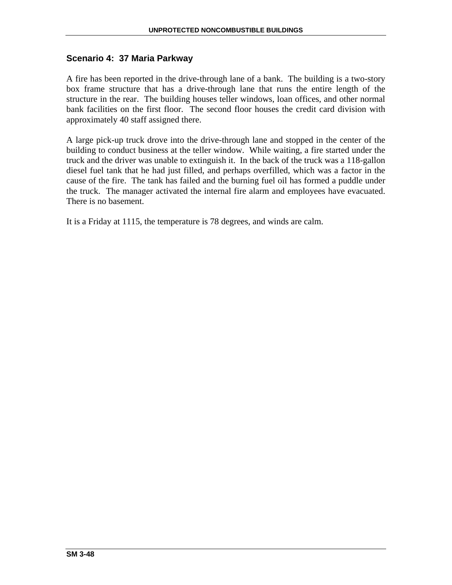# **Scenario 4: 37 Maria Parkway**

A fire has been reported in the drive-through lane of a bank. The building is a two-story box frame structure that has a drive-through lane that runs the entire length of the structure in the rear. The building houses teller windows, loan offices, and other normal bank facilities on the first floor. The second floor houses the credit card division with approximately 40 staff assigned there.

A large pick-up truck drove into the drive-through lane and stopped in the center of the building to conduct business at the teller window. While waiting, a fire started under the truck and the driver was unable to extinguish it. In the back of the truck was a 118-gallon diesel fuel tank that he had just filled, and perhaps overfilled, which was a factor in the cause of the fire. The tank has failed and the burning fuel oil has formed a puddle under the truck. The manager activated the internal fire alarm and employees have evacuated. There is no basement.

It is a Friday at 1115, the temperature is 78 degrees, and winds are calm.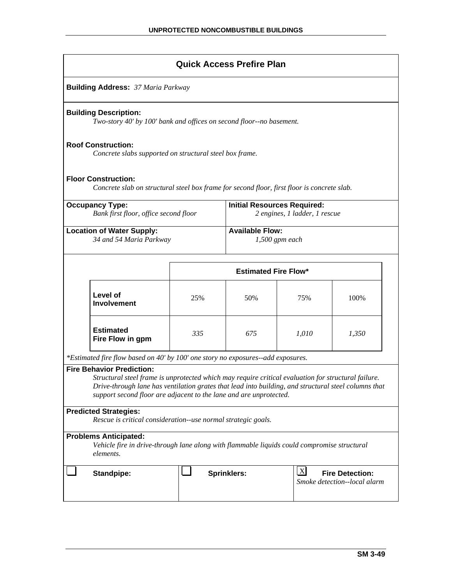|                                                                                                                                                                                                                                                                                                                       |                                                                                                                           |                                                                                    | <b>Quick Access Prefire Plan</b> |       |       |  |
|-----------------------------------------------------------------------------------------------------------------------------------------------------------------------------------------------------------------------------------------------------------------------------------------------------------------------|---------------------------------------------------------------------------------------------------------------------------|------------------------------------------------------------------------------------|----------------------------------|-------|-------|--|
|                                                                                                                                                                                                                                                                                                                       | <b>Building Address: 37 Maria Parkway</b>                                                                                 |                                                                                    |                                  |       |       |  |
|                                                                                                                                                                                                                                                                                                                       | <b>Building Description:</b><br>Two-story 40' by 100' bank and offices on second floor--no basement.                      |                                                                                    |                                  |       |       |  |
|                                                                                                                                                                                                                                                                                                                       | <b>Roof Construction:</b><br>Concrete slabs supported on structural steel box frame.                                      |                                                                                    |                                  |       |       |  |
|                                                                                                                                                                                                                                                                                                                       | <b>Floor Construction:</b><br>Concrete slab on structural steel box frame for second floor, first floor is concrete slab. |                                                                                    |                                  |       |       |  |
| <b>Occupancy Type:</b><br><b>Initial Resources Required:</b><br>Bank first floor, office second floor<br>2 engines, 1 ladder, 1 rescue                                                                                                                                                                                |                                                                                                                           |                                                                                    |                                  |       |       |  |
| <b>Available Flow:</b><br><b>Location of Water Supply:</b><br>34 and 54 Maria Parkway<br>$1,500$ gpm each                                                                                                                                                                                                             |                                                                                                                           |                                                                                    |                                  |       |       |  |
|                                                                                                                                                                                                                                                                                                                       | <b>Estimated Fire Flow*</b>                                                                                               |                                                                                    |                                  |       |       |  |
|                                                                                                                                                                                                                                                                                                                       | Level of<br><b>Involvement</b>                                                                                            | 25%                                                                                | 50%                              | 75%   | 100%  |  |
|                                                                                                                                                                                                                                                                                                                       | <b>Estimated</b><br>Fire Flow in gpm                                                                                      | 335                                                                                | 675                              | 1,010 | 1,350 |  |
|                                                                                                                                                                                                                                                                                                                       | *Estimated fire flow based on 40' by 100' one story no exposures--add exposures.                                          |                                                                                    |                                  |       |       |  |
| <b>Fire Behavior Prediction:</b><br>Structural steel frame is unprotected which may require critical evaluation for structural failure.<br>Drive-through lane has ventilation grates that lead into building, and structural steel columns that<br>support second floor are adjacent to the lane and are unprotected. |                                                                                                                           |                                                                                    |                                  |       |       |  |
| <b>Predicted Strategies:</b><br>Rescue is critical consideration--use normal strategic goals.                                                                                                                                                                                                                         |                                                                                                                           |                                                                                    |                                  |       |       |  |
| <b>Problems Anticipated:</b><br>Vehicle fire in drive-through lane along with flammable liquids could compromise structural<br>elements.                                                                                                                                                                              |                                                                                                                           |                                                                                    |                                  |       |       |  |
|                                                                                                                                                                                                                                                                                                                       | <b>Standpipe:</b>                                                                                                         | X <br><b>Sprinklers:</b><br><b>Fire Detection:</b><br>Smoke detection--local alarm |                                  |       |       |  |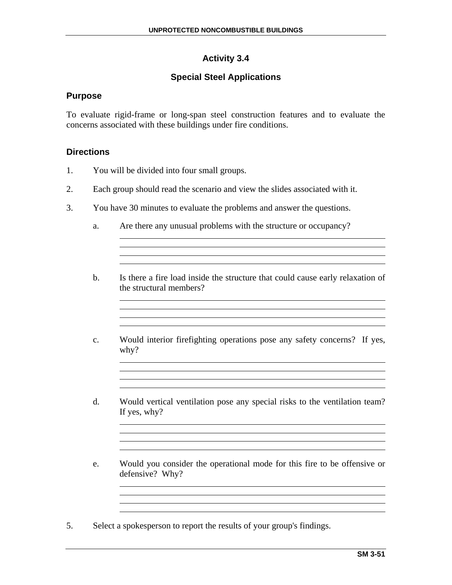# **Activity 3.4**

# **Special Steel Applications**

# **Purpose**

To evaluate rigid-frame or long-span steel construction features and to evaluate the concerns associated with these buildings under fire conditions.

# **Directions**

- 1. You will be divided into four small groups.
- 2. Each group should read the scenario and view the slides associated with it.
- 3. You have 30 minutes to evaluate the problems and answer the questions.
	- a. Are there any unusual problems with the structure or occupancy?
	- b. Is there a fire load inside the structure that could cause early relaxation of the structural members?

c. Would interior firefighting operations pose any safety concerns? If yes, why?

<u> 1989 - Johann Stoff, amerikansk politiker (\* 1908)</u>

<u> 1989 - Johann Stoff, amerikansk politiker (\* 1908)</u>

- d. Would vertical ventilation pose any special risks to the ventilation team? If yes, why?
- e. Would you consider the operational mode for this fire to be offensive or defensive? Why?
- 5. Select a spokesperson to report the results of your group's findings.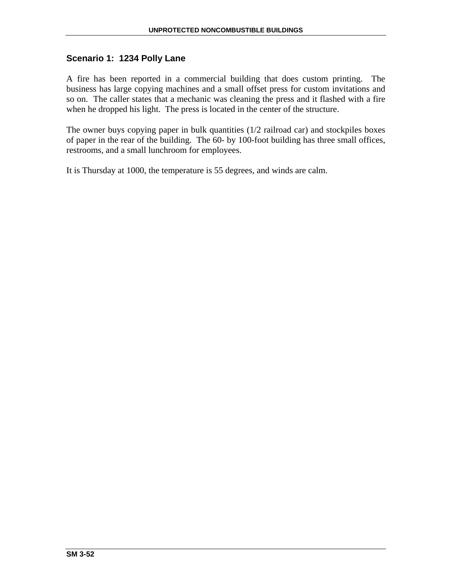# **Scenario 1: 1234 Polly Lane**

A fire has been reported in a commercial building that does custom printing. The business has large copying machines and a small offset press for custom invitations and so on. The caller states that a mechanic was cleaning the press and it flashed with a fire when he dropped his light. The press is located in the center of the structure.

The owner buys copying paper in bulk quantities (1/2 railroad car) and stockpiles boxes of paper in the rear of the building. The 60- by 100-foot building has three small offices, restrooms, and a small lunchroom for employees.

It is Thursday at 1000, the temperature is 55 degrees, and winds are calm.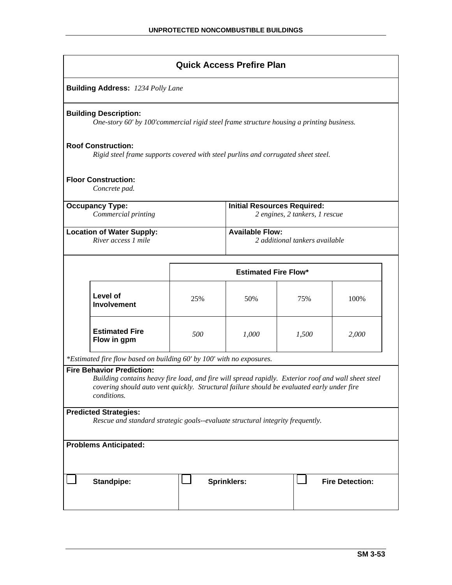| <b>Quick Access Prefire Plan</b>                                                                                         |  |     |                                                                                                                                                                                                   |       |                        |  |  |  |
|--------------------------------------------------------------------------------------------------------------------------|--|-----|---------------------------------------------------------------------------------------------------------------------------------------------------------------------------------------------------|-------|------------------------|--|--|--|
| <b>Building Address: 1234 Polly Lane</b>                                                                                 |  |     |                                                                                                                                                                                                   |       |                        |  |  |  |
| <b>Building Description:</b>                                                                                             |  |     | One-story 60' by 100' commercial rigid steel frame structure housing a printing business.                                                                                                         |       |                        |  |  |  |
| <b>Roof Construction:</b>                                                                                                |  |     | Rigid steel frame supports covered with steel purlins and corrugated sheet steel.                                                                                                                 |       |                        |  |  |  |
| <b>Floor Construction:</b><br>Concrete pad.                                                                              |  |     |                                                                                                                                                                                                   |       |                        |  |  |  |
| <b>Initial Resources Required:</b><br><b>Occupancy Type:</b><br>Commercial printing<br>2 engines, 2 tankers, 1 rescue    |  |     |                                                                                                                                                                                                   |       |                        |  |  |  |
| <b>Location of Water Supply:</b><br>River access 1 mile                                                                  |  |     | <b>Available Flow:</b><br>2 additional tankers available                                                                                                                                          |       |                        |  |  |  |
|                                                                                                                          |  |     | <b>Estimated Fire Flow*</b>                                                                                                                                                                       |       |                        |  |  |  |
| Level of<br><b>Involvement</b>                                                                                           |  | 25% | 50%                                                                                                                                                                                               | 75%   | 100%                   |  |  |  |
| <b>Estimated Fire</b><br>Flow in gpm                                                                                     |  | 500 | 1,000                                                                                                                                                                                             | 1,500 | 2,000                  |  |  |  |
| *Estimated fire flow based on building 60' by 100' with no exposures.<br><b>Fire Behavior Prediction:</b><br>conditions. |  |     | Building contains heavy fire load, and fire will spread rapidly. Exterior roof and wall sheet steel<br>covering should auto vent quickly. Structural failure should be evaluated early under fire |       |                        |  |  |  |
| <b>Predicted Strategies:</b>                                                                                             |  |     | Rescue and standard strategic goals--evaluate structural integrity frequently.                                                                                                                    |       |                        |  |  |  |
| <b>Problems Anticipated:</b>                                                                                             |  |     |                                                                                                                                                                                                   |       |                        |  |  |  |
| Standpipe:                                                                                                               |  |     | <b>Sprinklers:</b>                                                                                                                                                                                |       | <b>Fire Detection:</b> |  |  |  |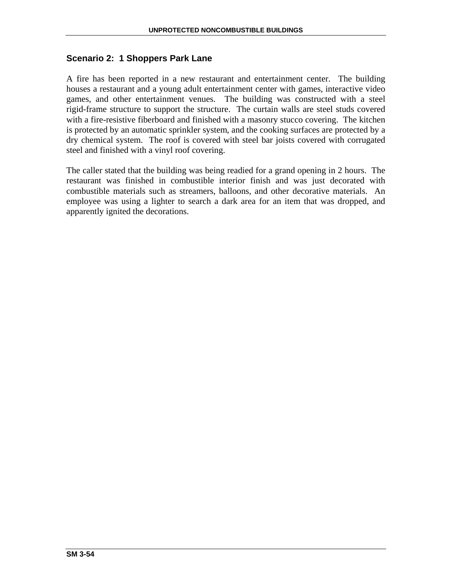# **Scenario 2: 1 Shoppers Park Lane**

A fire has been reported in a new restaurant and entertainment center. The building houses a restaurant and a young adult entertainment center with games, interactive video games, and other entertainment venues. The building was constructed with a steel rigid-frame structure to support the structure. The curtain walls are steel studs covered with a fire-resistive fiberboard and finished with a masonry stucco covering. The kitchen is protected by an automatic sprinkler system, and the cooking surfaces are protected by a dry chemical system. The roof is covered with steel bar joists covered with corrugated steel and finished with a vinyl roof covering.

The caller stated that the building was being readied for a grand opening in 2 hours. The restaurant was finished in combustible interior finish and was just decorated with combustible materials such as streamers, balloons, and other decorative materials. An employee was using a lighter to search a dark area for an item that was dropped, and apparently ignited the decorations.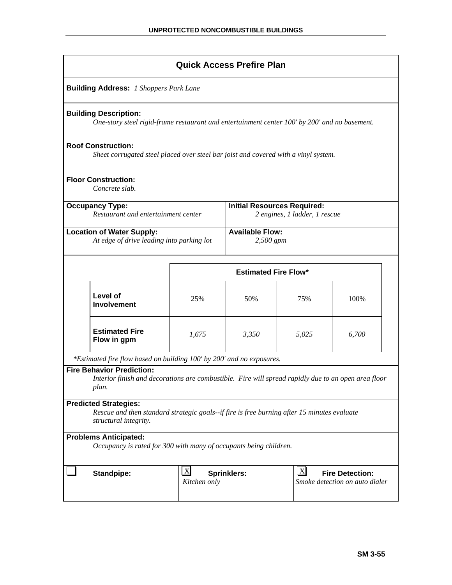| <b>Quick Access Prefire Plan</b>                                                                                                                     |                                                                                                                                |                             |                                     |       |  |  |  |  |
|------------------------------------------------------------------------------------------------------------------------------------------------------|--------------------------------------------------------------------------------------------------------------------------------|-----------------------------|-------------------------------------|-------|--|--|--|--|
| <b>Building Address:</b> 1 Shoppers Park Lane                                                                                                        |                                                                                                                                |                             |                                     |       |  |  |  |  |
| <b>Building Description:</b><br>One-story steel rigid-frame restaurant and entertainment center 100' by 200' and no basement.                        |                                                                                                                                |                             |                                     |       |  |  |  |  |
| <b>Roof Construction:</b><br>Sheet corrugated steel placed over steel bar joist and covered with a vinyl system.                                     |                                                                                                                                |                             |                                     |       |  |  |  |  |
| <b>Floor Construction:</b><br>Concrete slab.                                                                                                         |                                                                                                                                |                             |                                     |       |  |  |  |  |
| <b>Occupancy Type:</b>                                                                                                                               | <b>Initial Resources Required:</b><br>Restaurant and entertainment center<br>2 engines, 1 ladder, 1 rescue                     |                             |                                     |       |  |  |  |  |
| <b>Location of Water Supply:</b><br>At edge of drive leading into parking lot                                                                        |                                                                                                                                |                             | <b>Available Flow:</b><br>2,500 gpm |       |  |  |  |  |
|                                                                                                                                                      |                                                                                                                                | <b>Estimated Fire Flow*</b> |                                     |       |  |  |  |  |
| Level of<br><b>Involvement</b>                                                                                                                       | 25%                                                                                                                            | 50%                         | 75%                                 | 100%  |  |  |  |  |
| <b>Estimated Fire</b><br>Flow in gpm                                                                                                                 | 1,675                                                                                                                          |                             | 5,025                               | 6,700 |  |  |  |  |
| *Estimated fire flow based on building 100' by 200' and no exposures.                                                                                |                                                                                                                                |                             |                                     |       |  |  |  |  |
| <b>Fire Behavior Prediction:</b><br>Interior finish and decorations are combustible. Fire will spread rapidly due to an open area floor<br>plan.     |                                                                                                                                |                             |                                     |       |  |  |  |  |
| <b>Predicted Strategies:</b><br>Rescue and then standard strategic goals--if fire is free burning after 15 minutes evaluate<br>structural integrity. |                                                                                                                                |                             |                                     |       |  |  |  |  |
| <b>Problems Anticipated:</b><br>Occupancy is rated for 300 with many of occupants being children.                                                    |                                                                                                                                |                             |                                     |       |  |  |  |  |
| <b>Standpipe:</b>                                                                                                                                    | $\mathbf{X}$<br>$\mathbf{X}$<br><b>Fire Detection:</b><br><b>Sprinklers:</b><br>Smoke detection on auto dialer<br>Kitchen only |                             |                                     |       |  |  |  |  |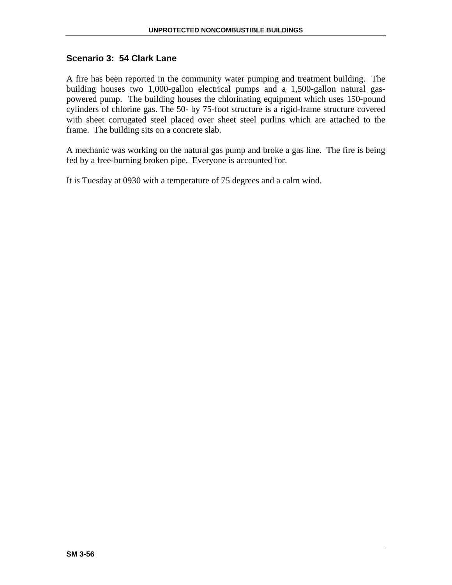# **Scenario 3: 54 Clark Lane**

A fire has been reported in the community water pumping and treatment building. The building houses two 1,000-gallon electrical pumps and a 1,500-gallon natural gaspowered pump. The building houses the chlorinating equipment which uses 150-pound cylinders of chlorine gas. The 50- by 75-foot structure is a rigid-frame structure covered with sheet corrugated steel placed over sheet steel purlins which are attached to the frame. The building sits on a concrete slab.

A mechanic was working on the natural gas pump and broke a gas line. The fire is being fed by a free-burning broken pipe. Everyone is accounted for.

It is Tuesday at 0930 with a temperature of 75 degrees and a calm wind.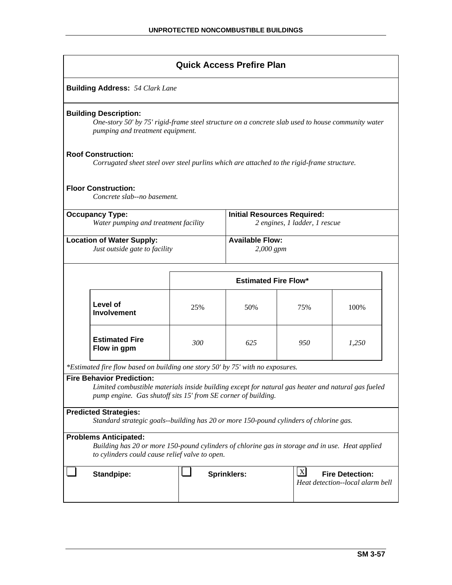| <b>Quick Access Prefire Plan</b>                                                                                                                                                  |                                                                                                                                                                                                         |                             |                                                                     |                                                            |       |  |  |  |
|-----------------------------------------------------------------------------------------------------------------------------------------------------------------------------------|---------------------------------------------------------------------------------------------------------------------------------------------------------------------------------------------------------|-----------------------------|---------------------------------------------------------------------|------------------------------------------------------------|-------|--|--|--|
| <b>Building Address: 54 Clark Lane</b>                                                                                                                                            |                                                                                                                                                                                                         |                             |                                                                     |                                                            |       |  |  |  |
|                                                                                                                                                                                   | <b>Building Description:</b><br>One-story 50' by 75' rigid-frame steel structure on a concrete slab used to house community water<br>pumping and treatment equipment.                                   |                             |                                                                     |                                                            |       |  |  |  |
|                                                                                                                                                                                   | <b>Roof Construction:</b><br>Corrugated sheet steel over steel purlins which are attached to the rigid-frame structure.                                                                                 |                             |                                                                     |                                                            |       |  |  |  |
|                                                                                                                                                                                   | <b>Floor Construction:</b><br>Concrete slab--no basement.                                                                                                                                               |                             |                                                                     |                                                            |       |  |  |  |
| <b>Occupancy Type:</b><br>Water pumping and treatment facility                                                                                                                    |                                                                                                                                                                                                         |                             | <b>Initial Resources Required:</b><br>2 engines, 1 ladder, 1 rescue |                                                            |       |  |  |  |
| <b>Location of Water Supply:</b><br>Just outside gate to facility                                                                                                                 |                                                                                                                                                                                                         |                             | <b>Available Flow:</b><br>$2,000$ gpm                               |                                                            |       |  |  |  |
|                                                                                                                                                                                   |                                                                                                                                                                                                         | <b>Estimated Fire Flow*</b> |                                                                     |                                                            |       |  |  |  |
|                                                                                                                                                                                   | Level of<br><b>Involvement</b>                                                                                                                                                                          | 25%                         | 50%                                                                 | 75%                                                        | 100%  |  |  |  |
|                                                                                                                                                                                   | <b>Estimated Fire</b><br>Flow in gpm                                                                                                                                                                    | 300                         | 625                                                                 | 950                                                        | 1,250 |  |  |  |
|                                                                                                                                                                                   | *Estimated fire flow based on building one story 50' by 75' with no exposures.                                                                                                                          |                             |                                                                     |                                                            |       |  |  |  |
|                                                                                                                                                                                   | <b>Fire Behavior Prediction:</b><br>Limited combustible materials inside building except for natural gas heater and natural gas fueled<br>pump engine. Gas shutoff sits 15' from SE corner of building. |                             |                                                                     |                                                            |       |  |  |  |
|                                                                                                                                                                                   | <b>Predicted Strategies:</b><br>Standard strategic goals--building has 20 or more 150-pound cylinders of chlorine gas.                                                                                  |                             |                                                                     |                                                            |       |  |  |  |
| <b>Problems Anticipated:</b><br>Building has 20 or more 150-pound cylinders of chlorine gas in storage and in use. Heat applied<br>to cylinders could cause relief valve to open. |                                                                                                                                                                                                         |                             |                                                                     |                                                            |       |  |  |  |
|                                                                                                                                                                                   | <b>Standpipe:</b>                                                                                                                                                                                       | <b>Sprinklers:</b>          | $\mathbf{X}$                                                        | <b>Fire Detection:</b><br>Heat detection--local alarm bell |       |  |  |  |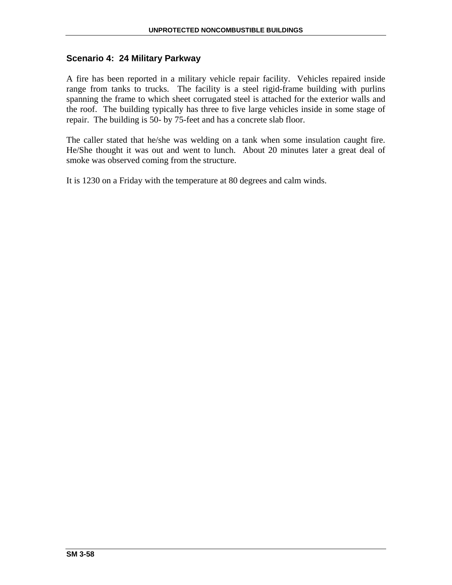# **Scenario 4: 24 Military Parkway**

A fire has been reported in a military vehicle repair facility. Vehicles repaired inside range from tanks to trucks. The facility is a steel rigid-frame building with purlins spanning the frame to which sheet corrugated steel is attached for the exterior walls and the roof. The building typically has three to five large vehicles inside in some stage of repair. The building is 50- by 75-feet and has a concrete slab floor.

The caller stated that he/she was welding on a tank when some insulation caught fire. He/She thought it was out and went to lunch. About 20 minutes later a great deal of smoke was observed coming from the structure.

It is 1230 on a Friday with the temperature at 80 degrees and calm winds.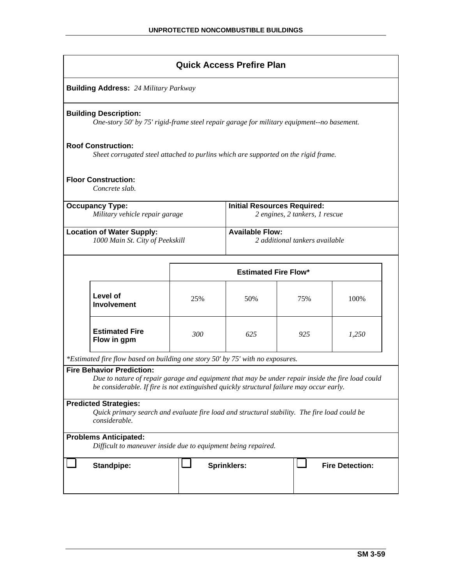| <b>Quick Access Prefire Plan</b>                                                                                                              |                                                                                                                                                                                                                                  |     |                                                                      |     |       |  |  |  |
|-----------------------------------------------------------------------------------------------------------------------------------------------|----------------------------------------------------------------------------------------------------------------------------------------------------------------------------------------------------------------------------------|-----|----------------------------------------------------------------------|-----|-------|--|--|--|
| <b>Building Address: 24 Military Parkway</b>                                                                                                  |                                                                                                                                                                                                                                  |     |                                                                      |     |       |  |  |  |
|                                                                                                                                               | <b>Building Description:</b><br>One-story 50' by 75' rigid-frame steel repair garage for military equipment--no basement.                                                                                                        |     |                                                                      |     |       |  |  |  |
|                                                                                                                                               | <b>Roof Construction:</b><br>Sheet corrugated steel attached to purlins which are supported on the rigid frame.                                                                                                                  |     |                                                                      |     |       |  |  |  |
|                                                                                                                                               | <b>Floor Construction:</b><br>Concrete slab.                                                                                                                                                                                     |     |                                                                      |     |       |  |  |  |
|                                                                                                                                               | <b>Occupancy Type:</b><br>Military vehicle repair garage                                                                                                                                                                         |     | <b>Initial Resources Required:</b><br>2 engines, 2 tankers, 1 rescue |     |       |  |  |  |
| <b>Location of Water Supply:</b><br>1000 Main St. City of Peekskill                                                                           |                                                                                                                                                                                                                                  |     | <b>Available Flow:</b><br>2 additional tankers available             |     |       |  |  |  |
|                                                                                                                                               |                                                                                                                                                                                                                                  |     | <b>Estimated Fire Flow*</b>                                          |     |       |  |  |  |
|                                                                                                                                               | Level of<br><b>Involvement</b>                                                                                                                                                                                                   | 25% | 50%                                                                  | 75% | 100%  |  |  |  |
|                                                                                                                                               | <b>Estimated Fire</b><br>Flow in gpm                                                                                                                                                                                             | 300 | 625                                                                  | 925 | 1,250 |  |  |  |
|                                                                                                                                               | *Estimated fire flow based on building one story 50' by 75' with no exposures.                                                                                                                                                   |     |                                                                      |     |       |  |  |  |
|                                                                                                                                               | <b>Fire Behavior Prediction:</b><br>Due to nature of repair garage and equipment that may be under repair inside the fire load could<br>be considerable. If fire is not extinguished quickly structural failure may occur early. |     |                                                                      |     |       |  |  |  |
| <b>Predicted Strategies:</b><br>Quick primary search and evaluate fire load and structural stability. The fire load could be<br>considerable. |                                                                                                                                                                                                                                  |     |                                                                      |     |       |  |  |  |
| <b>Problems Anticipated:</b><br>Difficult to maneuver inside due to equipment being repaired.                                                 |                                                                                                                                                                                                                                  |     |                                                                      |     |       |  |  |  |
|                                                                                                                                               | <b>Fire Detection:</b><br>Standpipe:<br><b>Sprinklers:</b>                                                                                                                                                                       |     |                                                                      |     |       |  |  |  |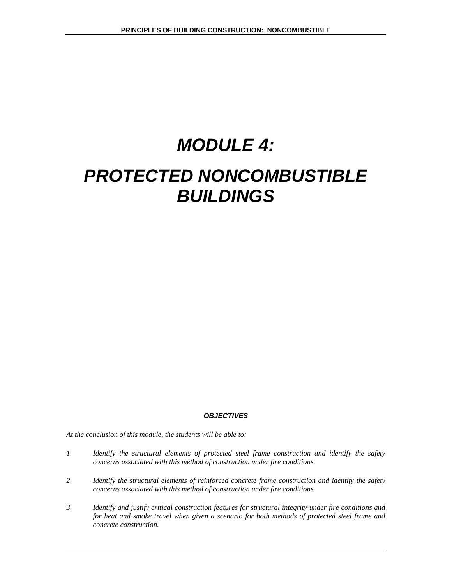# *MODULE 4:*

# *PROTECTED NONCOMBUSTIBLE BUILDINGS*

#### *OBJECTIVES*

*At the conclusion of this module, the students will be able to:* 

- *1. Identify the structural elements of protected steel frame construction and identify the safety concerns associated with this method of construction under fire conditions.*
- *2. Identify the structural elements of reinforced concrete frame construction and identify the safety concerns associated with this method of construction under fire conditions.*
- *3. Identify and justify critical construction features for structural integrity under fire conditions and for heat and smoke travel when given a scenario for both methods of protected steel frame and concrete construction.*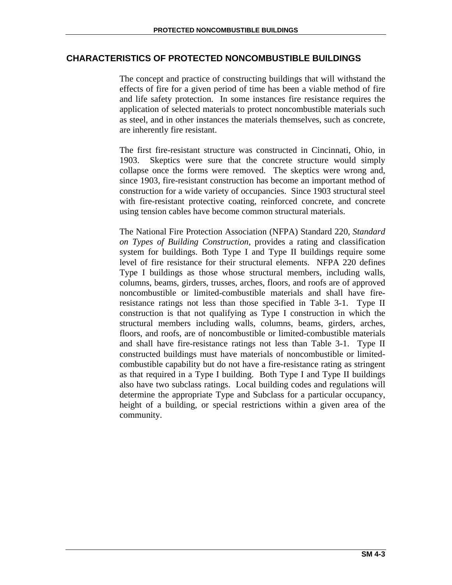# **CHARACTERISTICS OF PROTECTED NONCOMBUSTIBLE BUILDINGS**

The concept and practice of constructing buildings that will withstand the effects of fire for a given period of time has been a viable method of fire and life safety protection. In some instances fire resistance requires the application of selected materials to protect noncombustible materials such as steel, and in other instances the materials themselves, such as concrete, are inherently fire resistant.

The first fire-resistant structure was constructed in Cincinnati, Ohio, in 1903. Skeptics were sure that the concrete structure would simply collapse once the forms were removed. The skeptics were wrong and, since 1903, fire-resistant construction has become an important method of construction for a wide variety of occupancies. Since 1903 structural steel with fire-resistant protective coating, reinforced concrete, and concrete using tension cables have become common structural materials.

The National Fire Protection Association (NFPA) Standard 220, *Standard on Types of Building Construction,* provides a rating and classification system for buildings. Both Type I and Type II buildings require some level of fire resistance for their structural elements. NFPA 220 defines Type I buildings as those whose structural members, including walls, columns, beams, girders, trusses, arches, floors, and roofs are of approved noncombustible or limited-combustible materials and shall have fireresistance ratings not less than those specified in Table 3-1. Type II construction is that not qualifying as Type I construction in which the structural members including walls, columns, beams, girders, arches, floors, and roofs, are of noncombustible or limited-combustible materials and shall have fire-resistance ratings not less than Table 3-1. Type II constructed buildings must have materials of noncombustible or limitedcombustible capability but do not have a fire-resistance rating as stringent as that required in a Type I building. Both Type I and Type II buildings also have two subclass ratings. Local building codes and regulations will determine the appropriate Type and Subclass for a particular occupancy, height of a building, or special restrictions within a given area of the community.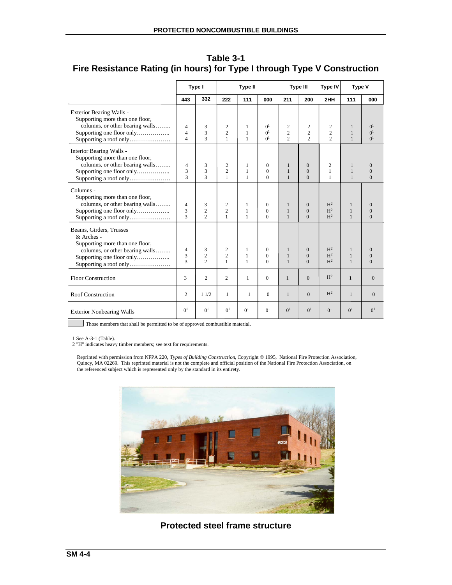|                                                                                                                                        | Type I                                             |                                       | <b>Type II</b>                                   |                        | <b>Type III</b>                                    |                                                   | Type V<br><b>Type IV</b>                         |                                                    |                                              |                                                           |
|----------------------------------------------------------------------------------------------------------------------------------------|----------------------------------------------------|---------------------------------------|--------------------------------------------------|------------------------|----------------------------------------------------|---------------------------------------------------|--------------------------------------------------|----------------------------------------------------|----------------------------------------------|-----------------------------------------------------------|
|                                                                                                                                        | 443                                                | 332                                   | 222                                              | 111                    | 000                                                | 211                                               | 200                                              | 2HH                                                | 111                                          | 000                                                       |
| Exterior Bearing Walls -<br>Supporting more than one floor,<br>columns, or other bearing walls<br>Supporting a roof only               | $\overline{4}$<br>$\overline{4}$<br>$\overline{4}$ | 3<br>3<br>$\mathbf{3}$                | 2<br>$\overline{c}$<br>1                         | 1<br>1<br>$\mathbf{1}$ | 0 <sup>1</sup><br>0 <sup>1</sup><br>0 <sup>1</sup> | $\overline{c}$<br>$\overline{c}$<br>$\mathcal{L}$ | $\mathbf{2}$<br>$\overline{c}$<br>$\mathfrak{D}$ | $\overline{c}$<br>$\overline{c}$<br>$\mathfrak{D}$ | $\mathbf{1}$<br>$\mathbf{1}$<br>$\mathbf{1}$ | 0 <sup>1</sup><br>0 <sup>1</sup><br>$\Omega$ <sup>1</sup> |
| Interior Bearing Walls -<br>Supporting more than one floor,<br>columns, or other bearing walls<br>Supporting a roof only               | 4<br>3<br>3                                        | 3<br>3<br>$\mathbf{3}$                | 2<br>$\overline{2}$<br>1                         | 1<br>1<br>$\mathbf{1}$ | $\mathbf{0}$<br>$\Omega$<br>$\Omega$               | $\mathbf{1}$<br>$\mathbf{1}$<br>$\mathbf{1}$      | $\mathbf{0}$<br>$\mathbf{0}$<br>$\Omega$         | $\overline{2}$<br>1<br>1                           | $\mathbf{1}$<br>$\mathbf{1}$<br>$\mathbf{1}$ | $\theta$<br>$\mathbf{0}$<br>$\Omega$                      |
| Columns -<br>Supporting more than one floor,<br>columns, or other bearing walls<br>Supporting one floor only<br>Supporting a roof only | $\overline{4}$<br>3<br>3                           | 3<br>$\overline{c}$<br>$\mathfrak{D}$ | $\overline{c}$<br>$\overline{c}$<br>$\mathbf{1}$ | 1<br>1<br>$\mathbf{1}$ | $\mathbf{0}$<br>$\Omega$<br>$\Omega$               | 1<br>$\mathbf{1}$<br>$\mathbf{1}$                 | $\mathbf{0}$<br>$\overline{0}$<br>$\Omega$       | H <sup>2</sup><br>H <sup>2</sup><br>H <sup>2</sup> | 1<br>$\mathbf{1}$<br>$\mathbf{1}$            | $\theta$<br>$\mathbf{0}$<br>$\Omega$                      |
| Beams, Girders, Trusses<br>& Arches -<br>Supporting more than one floor,<br>columns, or other bearing walls<br>Supporting a roof only  | $\overline{4}$<br>3<br>3                           | 3<br>$\overline{c}$<br>$\overline{c}$ | $\overline{c}$<br>$\overline{2}$<br>$\mathbf{1}$ | 1<br>1<br>$\mathbf{1}$ | $\mathbf{0}$<br>$\Omega$<br>$\Omega$               | $\mathbf{1}$<br>$\mathbf{1}$<br>$\mathbf{1}$      | $\mathbf{0}$<br>$\Omega$<br>$\Omega$             | H <sup>2</sup><br>H <sup>2</sup><br>H <sup>2</sup> | $\mathbf{1}$<br>$\mathbf{1}$<br>$\mathbf{1}$ | $\Omega$<br>$\overline{0}$<br>$\theta$                    |
| <b>Floor Construction</b>                                                                                                              | 3                                                  | $\overline{c}$                        | $\overline{2}$                                   | 1                      | $\Omega$                                           | $\mathbf{1}$                                      | $\Omega$                                         | H <sup>2</sup>                                     | $\mathbf{1}$                                 | $\overline{0}$                                            |
| Roof Construction                                                                                                                      | 2                                                  | 11/2                                  | $\mathbf{1}$                                     | $\mathbf{1}$           | $\Omega$                                           | $\mathbf{1}$                                      | $\Omega$                                         | H <sup>2</sup>                                     | $\mathbf{1}$                                 | $\mathbf{0}$                                              |
| <b>Exterior Nonbearing Walls</b>                                                                                                       | $\Omega$ <sup>1</sup>                              | 0 <sup>1</sup>                        | 0 <sup>1</sup>                                   | 0 <sup>1</sup>         | 0 <sup>1</sup>                                     | 0 <sup>1</sup>                                    | 0 <sup>1</sup>                                   | $\Omega$ <sup>1</sup>                              | 0 <sup>1</sup>                               | 0 <sup>1</sup>                                            |

**Table 3-1 Fire Resistance Rating (in hours) for Type I through Type V Construction** 

Those members that shall be permitted to be of approved combustible material.

1 See A-3-1 (Table).

Г

2 "H" indicates heavy timber members; see text for requirements.

Reprinted with permission from NFPA 220, *Types of Building Construction*, Copyright © 1995, National Fire Protection Association, Quincy, MA 02269. This reprinted material is not the complete and official position of the National Fire Protection Association, on the referenced subject which is represented only by the standard in its entirety.



**Protected steel frame structure**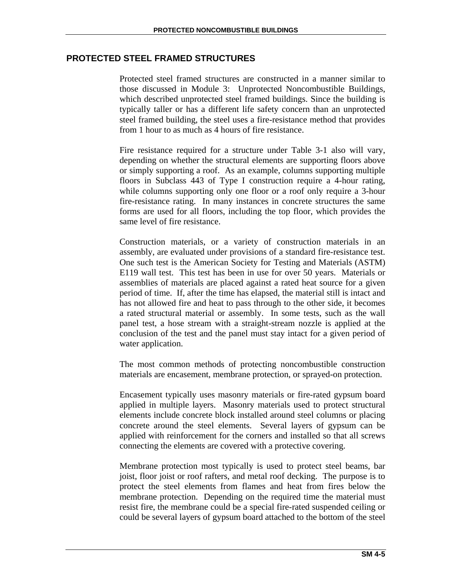## **PROTECTED STEEL FRAMED STRUCTURES**

Protected steel framed structures are constructed in a manner similar to those discussed in Module 3: Unprotected Noncombustible Buildings, which described unprotected steel framed buildings. Since the building is typically taller or has a different life safety concern than an unprotected steel framed building, the steel uses a fire-resistance method that provides from 1 hour to as much as 4 hours of fire resistance.

Fire resistance required for a structure under Table 3-1 also will vary, depending on whether the structural elements are supporting floors above or simply supporting a roof. As an example, columns supporting multiple floors in Subclass 443 of Type I construction require a 4-hour rating, while columns supporting only one floor or a roof only require a 3-hour fire-resistance rating. In many instances in concrete structures the same forms are used for all floors, including the top floor, which provides the same level of fire resistance.

Construction materials, or a variety of construction materials in an assembly, are evaluated under provisions of a standard fire-resistance test. One such test is the American Society for Testing and Materials (ASTM) E119 wall test. This test has been in use for over 50 years. Materials or assemblies of materials are placed against a rated heat source for a given period of time. If, after the time has elapsed, the material still is intact and has not allowed fire and heat to pass through to the other side, it becomes a rated structural material or assembly. In some tests, such as the wall panel test, a hose stream with a straight-stream nozzle is applied at the conclusion of the test and the panel must stay intact for a given period of water application.

The most common methods of protecting noncombustible construction materials are encasement, membrane protection, or sprayed-on protection.

Encasement typically uses masonry materials or fire-rated gypsum board applied in multiple layers. Masonry materials used to protect structural elements include concrete block installed around steel columns or placing concrete around the steel elements. Several layers of gypsum can be applied with reinforcement for the corners and installed so that all screws connecting the elements are covered with a protective covering.

Membrane protection most typically is used to protect steel beams, bar joist, floor joist or roof rafters, and metal roof decking. The purpose is to protect the steel elements from flames and heat from fires below the membrane protection. Depending on the required time the material must resist fire, the membrane could be a special fire-rated suspended ceiling or could be several layers of gypsum board attached to the bottom of the steel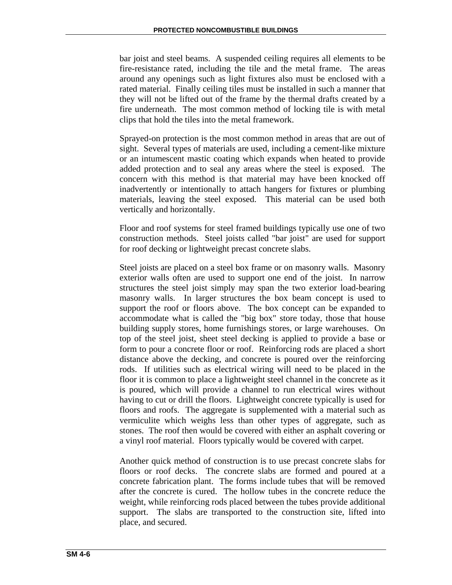bar joist and steel beams. A suspended ceiling requires all elements to be fire-resistance rated, including the tile and the metal frame. The areas around any openings such as light fixtures also must be enclosed with a rated material. Finally ceiling tiles must be installed in such a manner that they will not be lifted out of the frame by the thermal drafts created by a fire underneath. The most common method of locking tile is with metal clips that hold the tiles into the metal framework.

Sprayed-on protection is the most common method in areas that are out of sight. Several types of materials are used, including a cement-like mixture or an intumescent mastic coating which expands when heated to provide added protection and to seal any areas where the steel is exposed. The concern with this method is that material may have been knocked off inadvertently or intentionally to attach hangers for fixtures or plumbing materials, leaving the steel exposed. This material can be used both vertically and horizontally.

Floor and roof systems for steel framed buildings typically use one of two construction methods. Steel joists called "bar joist" are used for support for roof decking or lightweight precast concrete slabs.

Steel joists are placed on a steel box frame or on masonry walls. Masonry exterior walls often are used to support one end of the joist. In narrow structures the steel joist simply may span the two exterior load-bearing masonry walls. In larger structures the box beam concept is used to support the roof or floors above. The box concept can be expanded to accommodate what is called the "big box" store today, those that house building supply stores, home furnishings stores, or large warehouses. On top of the steel joist, sheet steel decking is applied to provide a base or form to pour a concrete floor or roof. Reinforcing rods are placed a short distance above the decking, and concrete is poured over the reinforcing rods. If utilities such as electrical wiring will need to be placed in the floor it is common to place a lightweight steel channel in the concrete as it is poured, which will provide a channel to run electrical wires without having to cut or drill the floors. Lightweight concrete typically is used for floors and roofs. The aggregate is supplemented with a material such as vermiculite which weighs less than other types of aggregate, such as stones. The roof then would be covered with either an asphalt covering or a vinyl roof material. Floors typically would be covered with carpet.

Another quick method of construction is to use precast concrete slabs for floors or roof decks. The concrete slabs are formed and poured at a concrete fabrication plant. The forms include tubes that will be removed after the concrete is cured. The hollow tubes in the concrete reduce the weight, while reinforcing rods placed between the tubes provide additional support. The slabs are transported to the construction site, lifted into place, and secured.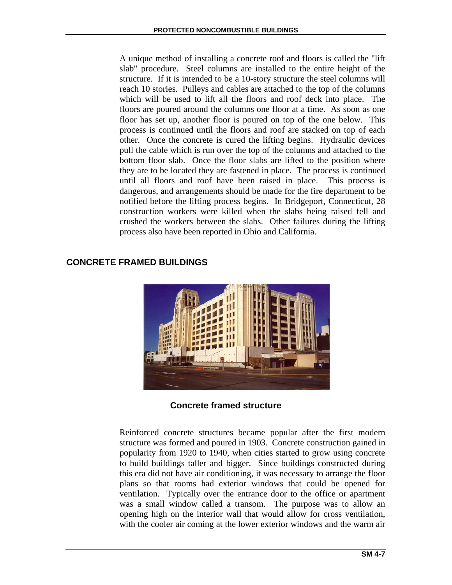A unique method of installing a concrete roof and floors is called the "lift slab" procedure. Steel columns are installed to the entire height of the structure. If it is intended to be a 10-story structure the steel columns will reach 10 stories. Pulleys and cables are attached to the top of the columns which will be used to lift all the floors and roof deck into place. The floors are poured around the columns one floor at a time. As soon as one floor has set up, another floor is poured on top of the one below. This process is continued until the floors and roof are stacked on top of each other. Once the concrete is cured the lifting begins. Hydraulic devices pull the cable which is run over the top of the columns and attached to the bottom floor slab. Once the floor slabs are lifted to the position where they are to be located they are fastened in place. The process is continued until all floors and roof have been raised in place. This process is dangerous, and arrangements should be made for the fire department to be notified before the lifting process begins. In Bridgeport, Connecticut, 28 construction workers were killed when the slabs being raised fell and crushed the workers between the slabs. Other failures during the lifting process also have been reported in Ohio and California.

# **CONCRETE FRAMED BUILDINGS**



**Concrete framed structure** 

Reinforced concrete structures became popular after the first modern structure was formed and poured in 1903. Concrete construction gained in popularity from 1920 to 1940, when cities started to grow using concrete to build buildings taller and bigger. Since buildings constructed during this era did not have air conditioning, it was necessary to arrange the floor plans so that rooms had exterior windows that could be opened for ventilation. Typically over the entrance door to the office or apartment was a small window called a transom. The purpose was to allow an opening high on the interior wall that would allow for cross ventilation, with the cooler air coming at the lower exterior windows and the warm air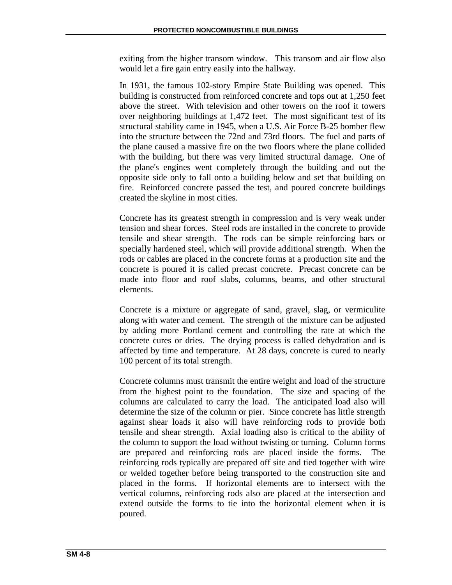exiting from the higher transom window. This transom and air flow also would let a fire gain entry easily into the hallway.

In 1931, the famous 102-story Empire State Building was opened. This building is constructed from reinforced concrete and tops out at 1,250 feet above the street. With television and other towers on the roof it towers over neighboring buildings at 1,472 feet. The most significant test of its structural stability came in 1945, when a U.S. Air Force B-25 bomber flew into the structure between the 72nd and 73rd floors. The fuel and parts of the plane caused a massive fire on the two floors where the plane collided with the building, but there was very limited structural damage. One of the plane's engines went completely through the building and out the opposite side only to fall onto a building below and set that building on fire. Reinforced concrete passed the test, and poured concrete buildings created the skyline in most cities.

Concrete has its greatest strength in compression and is very weak under tension and shear forces. Steel rods are installed in the concrete to provide tensile and shear strength. The rods can be simple reinforcing bars or specially hardened steel, which will provide additional strength. When the rods or cables are placed in the concrete forms at a production site and the concrete is poured it is called precast concrete. Precast concrete can be made into floor and roof slabs, columns, beams, and other structural elements.

Concrete is a mixture or aggregate of sand, gravel, slag, or vermiculite along with water and cement. The strength of the mixture can be adjusted by adding more Portland cement and controlling the rate at which the concrete cures or dries. The drying process is called dehydration and is affected by time and temperature. At 28 days, concrete is cured to nearly 100 percent of its total strength.

Concrete columns must transmit the entire weight and load of the structure from the highest point to the foundation. The size and spacing of the columns are calculated to carry the load. The anticipated load also will determine the size of the column or pier. Since concrete has little strength against shear loads it also will have reinforcing rods to provide both tensile and shear strength. Axial loading also is critical to the ability of the column to support the load without twisting or turning. Column forms are prepared and reinforcing rods are placed inside the forms. The reinforcing rods typically are prepared off site and tied together with wire or welded together before being transported to the construction site and placed in the forms. If horizontal elements are to intersect with the vertical columns, reinforcing rods also are placed at the intersection and extend outside the forms to tie into the horizontal element when it is poured.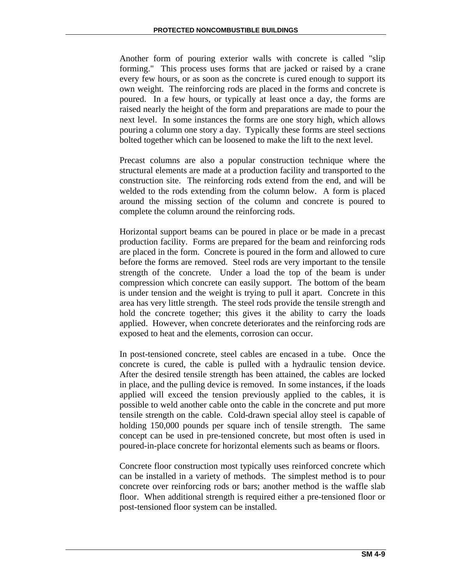Another form of pouring exterior walls with concrete is called "slip forming." This process uses forms that are jacked or raised by a crane every few hours, or as soon as the concrete is cured enough to support its own weight. The reinforcing rods are placed in the forms and concrete is poured. In a few hours, or typically at least once a day, the forms are raised nearly the height of the form and preparations are made to pour the next level. In some instances the forms are one story high, which allows pouring a column one story a day. Typically these forms are steel sections bolted together which can be loosened to make the lift to the next level.

Precast columns are also a popular construction technique where the structural elements are made at a production facility and transported to the construction site. The reinforcing rods extend from the end, and will be welded to the rods extending from the column below. A form is placed around the missing section of the column and concrete is poured to complete the column around the reinforcing rods.

Horizontal support beams can be poured in place or be made in a precast production facility. Forms are prepared for the beam and reinforcing rods are placed in the form. Concrete is poured in the form and allowed to cure before the forms are removed. Steel rods are very important to the tensile strength of the concrete. Under a load the top of the beam is under compression which concrete can easily support. The bottom of the beam is under tension and the weight is trying to pull it apart. Concrete in this area has very little strength. The steel rods provide the tensile strength and hold the concrete together; this gives it the ability to carry the loads applied. However, when concrete deteriorates and the reinforcing rods are exposed to heat and the elements, corrosion can occur.

In post-tensioned concrete, steel cables are encased in a tube. Once the concrete is cured, the cable is pulled with a hydraulic tension device. After the desired tensile strength has been attained, the cables are locked in place, and the pulling device is removed. In some instances, if the loads applied will exceed the tension previously applied to the cables, it is possible to weld another cable onto the cable in the concrete and put more tensile strength on the cable. Cold-drawn special alloy steel is capable of holding 150,000 pounds per square inch of tensile strength. The same concept can be used in pre-tensioned concrete, but most often is used in poured-in-place concrete for horizontal elements such as beams or floors.

Concrete floor construction most typically uses reinforced concrete which can be installed in a variety of methods. The simplest method is to pour concrete over reinforcing rods or bars; another method is the waffle slab floor. When additional strength is required either a pre-tensioned floor or post-tensioned floor system can be installed.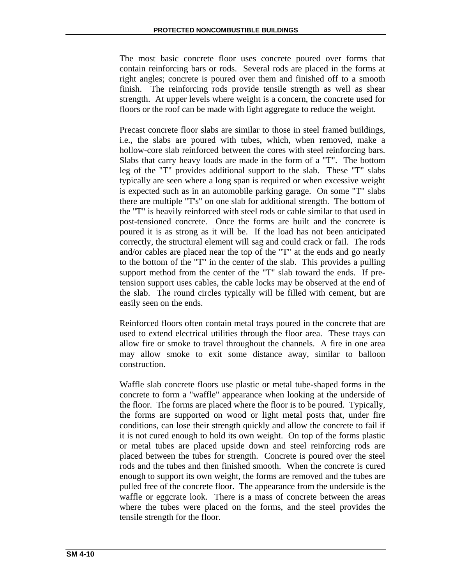The most basic concrete floor uses concrete poured over forms that contain reinforcing bars or rods. Several rods are placed in the forms at right angles; concrete is poured over them and finished off to a smooth finish. The reinforcing rods provide tensile strength as well as shear strength. At upper levels where weight is a concern, the concrete used for floors or the roof can be made with light aggregate to reduce the weight.

Precast concrete floor slabs are similar to those in steel framed buildings, i.e., the slabs are poured with tubes, which, when removed, make a hollow-core slab reinforced between the cores with steel reinforcing bars. Slabs that carry heavy loads are made in the form of a "T". The bottom leg of the "T" provides additional support to the slab. These "T" slabs typically are seen where a long span is required or when excessive weight is expected such as in an automobile parking garage. On some "T" slabs there are multiple "T's" on one slab for additional strength. The bottom of the "T" is heavily reinforced with steel rods or cable similar to that used in post-tensioned concrete. Once the forms are built and the concrete is poured it is as strong as it will be. If the load has not been anticipated correctly, the structural element will sag and could crack or fail. The rods and/or cables are placed near the top of the "T" at the ends and go nearly to the bottom of the "T" in the center of the slab. This provides a pulling support method from the center of the "T" slab toward the ends. If pretension support uses cables, the cable locks may be observed at the end of the slab. The round circles typically will be filled with cement, but are easily seen on the ends.

Reinforced floors often contain metal trays poured in the concrete that are used to extend electrical utilities through the floor area. These trays can allow fire or smoke to travel throughout the channels. A fire in one area may allow smoke to exit some distance away, similar to balloon construction.

Waffle slab concrete floors use plastic or metal tube-shaped forms in the concrete to form a "waffle" appearance when looking at the underside of the floor. The forms are placed where the floor is to be poured. Typically, the forms are supported on wood or light metal posts that, under fire conditions, can lose their strength quickly and allow the concrete to fail if it is not cured enough to hold its own weight. On top of the forms plastic or metal tubes are placed upside down and steel reinforcing rods are placed between the tubes for strength. Concrete is poured over the steel rods and the tubes and then finished smooth. When the concrete is cured enough to support its own weight, the forms are removed and the tubes are pulled free of the concrete floor. The appearance from the underside is the waffle or eggcrate look. There is a mass of concrete between the areas where the tubes were placed on the forms, and the steel provides the tensile strength for the floor.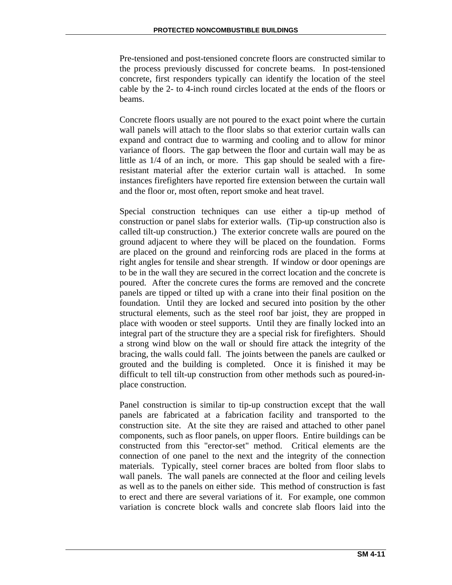Pre-tensioned and post-tensioned concrete floors are constructed similar to the process previously discussed for concrete beams. In post-tensioned concrete, first responders typically can identify the location of the steel cable by the 2- to 4-inch round circles located at the ends of the floors or beams.

Concrete floors usually are not poured to the exact point where the curtain wall panels will attach to the floor slabs so that exterior curtain walls can expand and contract due to warming and cooling and to allow for minor variance of floors. The gap between the floor and curtain wall may be as little as 1/4 of an inch, or more. This gap should be sealed with a fireresistant material after the exterior curtain wall is attached. In some instances firefighters have reported fire extension between the curtain wall and the floor or, most often, report smoke and heat travel.

Special construction techniques can use either a tip-up method of construction or panel slabs for exterior walls. (Tip-up construction also is called tilt-up construction.) The exterior concrete walls are poured on the ground adjacent to where they will be placed on the foundation. Forms are placed on the ground and reinforcing rods are placed in the forms at right angles for tensile and shear strength. If window or door openings are to be in the wall they are secured in the correct location and the concrete is poured. After the concrete cures the forms are removed and the concrete panels are tipped or tilted up with a crane into their final position on the foundation. Until they are locked and secured into position by the other structural elements, such as the steel roof bar joist, they are propped in place with wooden or steel supports. Until they are finally locked into an integral part of the structure they are a special risk for firefighters. Should a strong wind blow on the wall or should fire attack the integrity of the bracing, the walls could fall. The joints between the panels are caulked or grouted and the building is completed. Once it is finished it may be difficult to tell tilt-up construction from other methods such as poured-inplace construction.

Panel construction is similar to tip-up construction except that the wall panels are fabricated at a fabrication facility and transported to the construction site. At the site they are raised and attached to other panel components, such as floor panels, on upper floors. Entire buildings can be constructed from this "erector-set" method. Critical elements are the connection of one panel to the next and the integrity of the connection materials. Typically, steel corner braces are bolted from floor slabs to wall panels. The wall panels are connected at the floor and ceiling levels as well as to the panels on either side. This method of construction is fast to erect and there are several variations of it. For example, one common variation is concrete block walls and concrete slab floors laid into the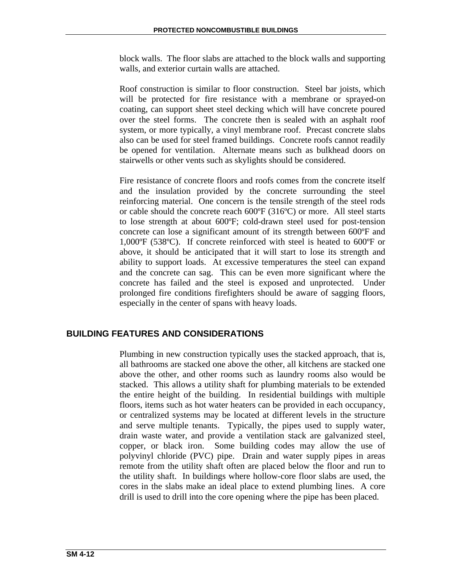block walls. The floor slabs are attached to the block walls and supporting walls, and exterior curtain walls are attached.

Roof construction is similar to floor construction. Steel bar joists, which will be protected for fire resistance with a membrane or sprayed-on coating, can support sheet steel decking which will have concrete poured over the steel forms. The concrete then is sealed with an asphalt roof system, or more typically, a vinyl membrane roof. Precast concrete slabs also can be used for steel framed buildings. Concrete roofs cannot readily be opened for ventilation. Alternate means such as bulkhead doors on stairwells or other vents such as skylights should be considered.

Fire resistance of concrete floors and roofs comes from the concrete itself and the insulation provided by the concrete surrounding the steel reinforcing material. One concern is the tensile strength of the steel rods or cable should the concrete reach 600ºF (316ºC) or more. All steel starts to lose strength at about 600ºF; cold-drawn steel used for post-tension concrete can lose a significant amount of its strength between 600ºF and 1,000ºF (538ºC). If concrete reinforced with steel is heated to 600ºF or above, it should be anticipated that it will start to lose its strength and ability to support loads. At excessive temperatures the steel can expand and the concrete can sag. This can be even more significant where the concrete has failed and the steel is exposed and unprotected. Under prolonged fire conditions firefighters should be aware of sagging floors, especially in the center of spans with heavy loads.

# **BUILDING FEATURES AND CONSIDERATIONS**

Plumbing in new construction typically uses the stacked approach, that is, all bathrooms are stacked one above the other, all kitchens are stacked one above the other, and other rooms such as laundry rooms also would be stacked. This allows a utility shaft for plumbing materials to be extended the entire height of the building. In residential buildings with multiple floors, items such as hot water heaters can be provided in each occupancy, or centralized systems may be located at different levels in the structure and serve multiple tenants. Typically, the pipes used to supply water, drain waste water, and provide a ventilation stack are galvanized steel, copper, or black iron. Some building codes may allow the use of polyvinyl chloride (PVC) pipe. Drain and water supply pipes in areas remote from the utility shaft often are placed below the floor and run to the utility shaft. In buildings where hollow-core floor slabs are used, the cores in the slabs make an ideal place to extend plumbing lines. A core drill is used to drill into the core opening where the pipe has been placed.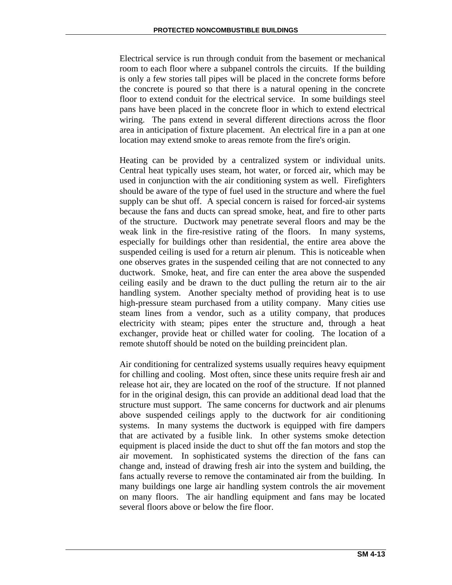Electrical service is run through conduit from the basement or mechanical room to each floor where a subpanel controls the circuits. If the building is only a few stories tall pipes will be placed in the concrete forms before the concrete is poured so that there is a natural opening in the concrete floor to extend conduit for the electrical service. In some buildings steel pans have been placed in the concrete floor in which to extend electrical wiring. The pans extend in several different directions across the floor area in anticipation of fixture placement. An electrical fire in a pan at one location may extend smoke to areas remote from the fire's origin.

Heating can be provided by a centralized system or individual units. Central heat typically uses steam, hot water, or forced air, which may be used in conjunction with the air conditioning system as well. Firefighters should be aware of the type of fuel used in the structure and where the fuel supply can be shut off. A special concern is raised for forced-air systems because the fans and ducts can spread smoke, heat, and fire to other parts of the structure. Ductwork may penetrate several floors and may be the weak link in the fire-resistive rating of the floors. In many systems, especially for buildings other than residential, the entire area above the suspended ceiling is used for a return air plenum. This is noticeable when one observes grates in the suspended ceiling that are not connected to any ductwork. Smoke, heat, and fire can enter the area above the suspended ceiling easily and be drawn to the duct pulling the return air to the air handling system. Another specialty method of providing heat is to use high-pressure steam purchased from a utility company. Many cities use steam lines from a vendor, such as a utility company, that produces electricity with steam; pipes enter the structure and, through a heat exchanger, provide heat or chilled water for cooling. The location of a remote shutoff should be noted on the building preincident plan.

Air conditioning for centralized systems usually requires heavy equipment for chilling and cooling. Most often, since these units require fresh air and release hot air, they are located on the roof of the structure. If not planned for in the original design, this can provide an additional dead load that the structure must support. The same concerns for ductwork and air plenums above suspended ceilings apply to the ductwork for air conditioning systems. In many systems the ductwork is equipped with fire dampers that are activated by a fusible link. In other systems smoke detection equipment is placed inside the duct to shut off the fan motors and stop the air movement. In sophisticated systems the direction of the fans can change and, instead of drawing fresh air into the system and building, the fans actually reverse to remove the contaminated air from the building. In many buildings one large air handling system controls the air movement on many floors. The air handling equipment and fans may be located several floors above or below the fire floor.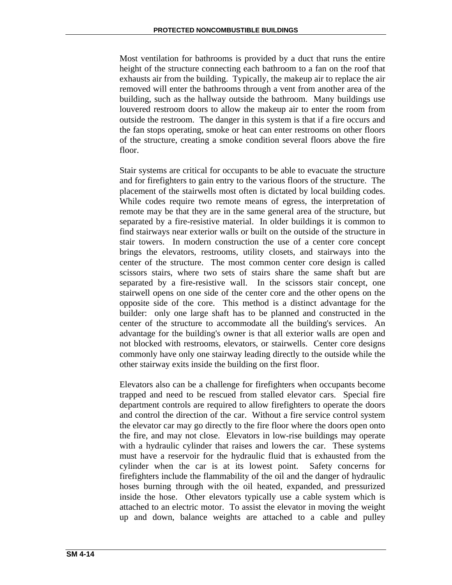Most ventilation for bathrooms is provided by a duct that runs the entire height of the structure connecting each bathroom to a fan on the roof that exhausts air from the building. Typically, the makeup air to replace the air removed will enter the bathrooms through a vent from another area of the building, such as the hallway outside the bathroom. Many buildings use louvered restroom doors to allow the makeup air to enter the room from outside the restroom. The danger in this system is that if a fire occurs and the fan stops operating, smoke or heat can enter restrooms on other floors of the structure, creating a smoke condition several floors above the fire floor.

Stair systems are critical for occupants to be able to evacuate the structure and for firefighters to gain entry to the various floors of the structure. The placement of the stairwells most often is dictated by local building codes. While codes require two remote means of egress, the interpretation of remote may be that they are in the same general area of the structure, but separated by a fire-resistive material. In older buildings it is common to find stairways near exterior walls or built on the outside of the structure in stair towers. In modern construction the use of a center core concept brings the elevators, restrooms, utility closets, and stairways into the center of the structure. The most common center core design is called scissors stairs, where two sets of stairs share the same shaft but are separated by a fire-resistive wall. In the scissors stair concept, one stairwell opens on one side of the center core and the other opens on the opposite side of the core. This method is a distinct advantage for the builder: only one large shaft has to be planned and constructed in the center of the structure to accommodate all the building's services. An advantage for the building's owner is that all exterior walls are open and not blocked with restrooms, elevators, or stairwells. Center core designs commonly have only one stairway leading directly to the outside while the other stairway exits inside the building on the first floor.

Elevators also can be a challenge for firefighters when occupants become trapped and need to be rescued from stalled elevator cars. Special fire department controls are required to allow firefighters to operate the doors and control the direction of the car. Without a fire service control system the elevator car may go directly to the fire floor where the doors open onto the fire, and may not close. Elevators in low-rise buildings may operate with a hydraulic cylinder that raises and lowers the car. These systems must have a reservoir for the hydraulic fluid that is exhausted from the cylinder when the car is at its lowest point. Safety concerns for firefighters include the flammability of the oil and the danger of hydraulic hoses burning through with the oil heated, expanded, and pressurized inside the hose. Other elevators typically use a cable system which is attached to an electric motor. To assist the elevator in moving the weight up and down, balance weights are attached to a cable and pulley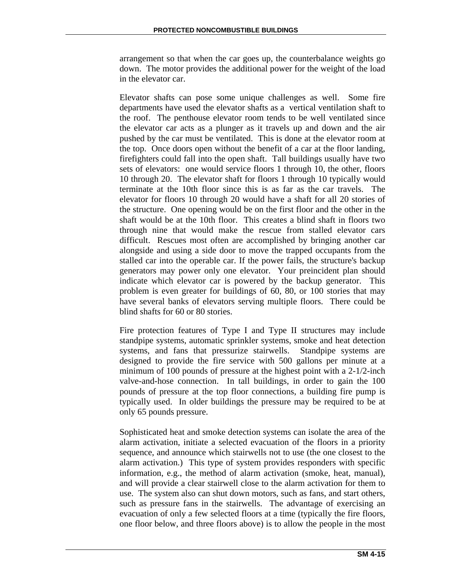arrangement so that when the car goes up, the counterbalance weights go down. The motor provides the additional power for the weight of the load in the elevator car.

Elevator shafts can pose some unique challenges as well. Some fire departments have used the elevator shafts as a vertical ventilation shaft to the roof. The penthouse elevator room tends to be well ventilated since the elevator car acts as a plunger as it travels up and down and the air pushed by the car must be ventilated. This is done at the elevator room at the top. Once doors open without the benefit of a car at the floor landing, firefighters could fall into the open shaft. Tall buildings usually have two sets of elevators: one would service floors 1 through 10, the other, floors 10 through 20. The elevator shaft for floors 1 through 10 typically would terminate at the 10th floor since this is as far as the car travels. The elevator for floors 10 through 20 would have a shaft for all 20 stories of the structure. One opening would be on the first floor and the other in the shaft would be at the 10th floor. This creates a blind shaft in floors two through nine that would make the rescue from stalled elevator cars difficult. Rescues most often are accomplished by bringing another car alongside and using a side door to move the trapped occupants from the stalled car into the operable car. If the power fails, the structure's backup generators may power only one elevator. Your preincident plan should indicate which elevator car is powered by the backup generator. This problem is even greater for buildings of 60, 80, or 100 stories that may have several banks of elevators serving multiple floors. There could be blind shafts for 60 or 80 stories.

Fire protection features of Type I and Type II structures may include standpipe systems, automatic sprinkler systems, smoke and heat detection systems, and fans that pressurize stairwells. Standpipe systems are designed to provide the fire service with 500 gallons per minute at a minimum of 100 pounds of pressure at the highest point with a 2-1/2-inch valve-and-hose connection. In tall buildings, in order to gain the 100 pounds of pressure at the top floor connections, a building fire pump is typically used. In older buildings the pressure may be required to be at only 65 pounds pressure.

Sophisticated heat and smoke detection systems can isolate the area of the alarm activation, initiate a selected evacuation of the floors in a priority sequence, and announce which stairwells not to use (the one closest to the alarm activation.) This type of system provides responders with specific information, e.g., the method of alarm activation (smoke, heat, manual), and will provide a clear stairwell close to the alarm activation for them to use. The system also can shut down motors, such as fans, and start others, such as pressure fans in the stairwells. The advantage of exercising an evacuation of only a few selected floors at a time (typically the fire floors, one floor below, and three floors above) is to allow the people in the most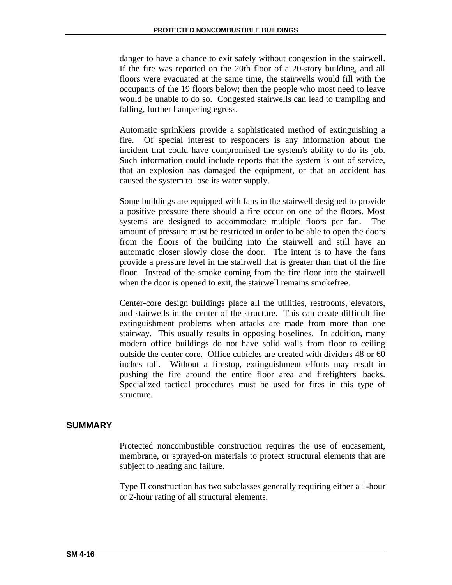danger to have a chance to exit safely without congestion in the stairwell. If the fire was reported on the 20th floor of a 20-story building, and all floors were evacuated at the same time, the stairwells would fill with the occupants of the 19 floors below; then the people who most need to leave would be unable to do so. Congested stairwells can lead to trampling and falling, further hampering egress.

Automatic sprinklers provide a sophisticated method of extinguishing a fire. Of special interest to responders is any information about the incident that could have compromised the system's ability to do its job. Such information could include reports that the system is out of service, that an explosion has damaged the equipment, or that an accident has caused the system to lose its water supply.

Some buildings are equipped with fans in the stairwell designed to provide a positive pressure there should a fire occur on one of the floors. Most systems are designed to accommodate multiple floors per fan. The amount of pressure must be restricted in order to be able to open the doors from the floors of the building into the stairwell and still have an automatic closer slowly close the door. The intent is to have the fans provide a pressure level in the stairwell that is greater than that of the fire floor. Instead of the smoke coming from the fire floor into the stairwell when the door is opened to exit, the stairwell remains smokefree.

Center-core design buildings place all the utilities, restrooms, elevators, and stairwells in the center of the structure. This can create difficult fire extinguishment problems when attacks are made from more than one stairway. This usually results in opposing hoselines. In addition, many modern office buildings do not have solid walls from floor to ceiling outside the center core. Office cubicles are created with dividers 48 or 60 inches tall. Without a firestop, extinguishment efforts may result in pushing the fire around the entire floor area and firefighters' backs. Specialized tactical procedures must be used for fires in this type of structure.

# **SUMMARY**

Protected noncombustible construction requires the use of encasement, membrane, or sprayed-on materials to protect structural elements that are subject to heating and failure.

Type II construction has two subclasses generally requiring either a 1-hour or 2-hour rating of all structural elements.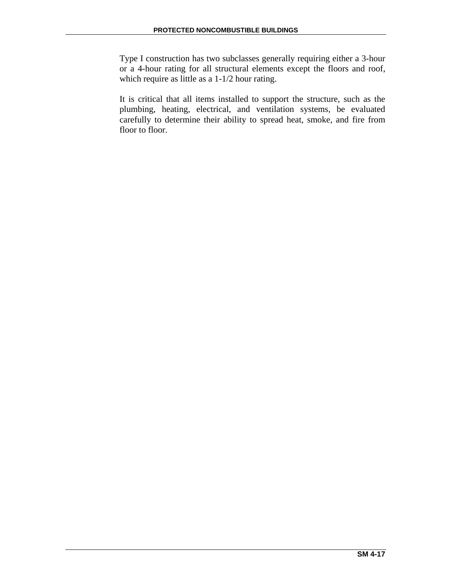Type I construction has two subclasses generally requiring either a 3-hour or a 4-hour rating for all structural elements except the floors and roof, which require as little as a 1-1/2 hour rating.

It is critical that all items installed to support the structure, such as the plumbing, heating, electrical, and ventilation systems, be evaluated carefully to determine their ability to spread heat, smoke, and fire from floor to floor.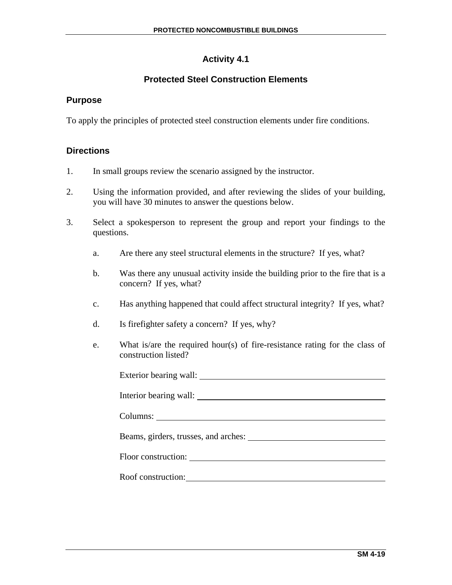# **Activity 4.1**

# **Protected Steel Construction Elements**

## **Purpose**

To apply the principles of protected steel construction elements under fire conditions.

## **Directions**

- 1. In small groups review the scenario assigned by the instructor.
- 2. Using the information provided, and after reviewing the slides of your building, you will have 30 minutes to answer the questions below.
- 3. Select a spokesperson to represent the group and report your findings to the questions.
	- a. Are there any steel structural elements in the structure? If yes, what?
	- b. Was there any unusual activity inside the building prior to the fire that is a concern? If yes, what?
	- c. Has anything happened that could affect structural integrity? If yes, what?
	- d. Is firefighter safety a concern? If yes, why?
	- e. What is/are the required hour(s) of fire-resistance rating for the class of construction listed?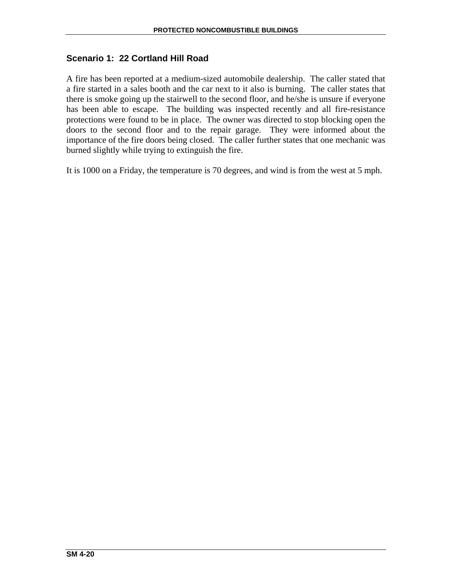# **Scenario 1: 22 Cortland Hill Road**

A fire has been reported at a medium-sized automobile dealership. The caller stated that a fire started in a sales booth and the car next to it also is burning. The caller states that there is smoke going up the stairwell to the second floor, and he/she is unsure if everyone has been able to escape. The building was inspected recently and all fire-resistance protections were found to be in place. The owner was directed to stop blocking open the doors to the second floor and to the repair garage. They were informed about the importance of the fire doors being closed. The caller further states that one mechanic was burned slightly while trying to extinguish the fire.

It is 1000 on a Friday, the temperature is 70 degrees, and wind is from the west at 5 mph.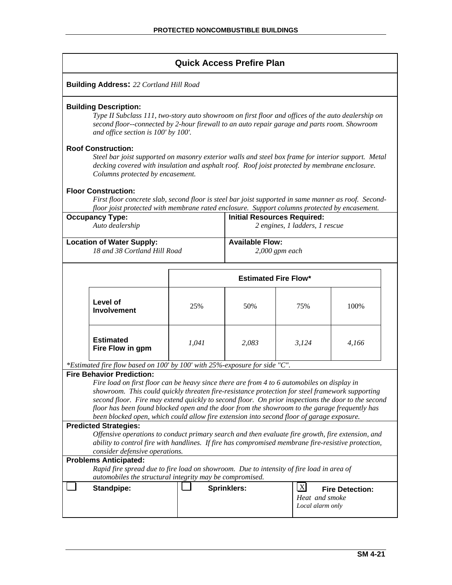## **Quick Access Prefire Plan**

#### **Building Address:** *22 Cortland Hill Road*

#### **Building Description:**

*Type II Subclass 111, two-story auto showroom on first floor and offices of the auto dealership on second floor--connected by 2-hour firewall to an auto repair garage and parts room. Showroom and office section is 100' by 100'.* 

#### **Roof Construction:**

*Steel bar joist supported on masonry exterior walls and steel box frame for interior support. Metal decking covered with insulation and asphalt roof. Roof joist protected by membrane enclosure. Columns protected by encasement.* 

#### **Floor Construction:**

*First floor concrete slab, second floor is steel bar joist supported in same manner as roof. Secondfloor joist protected with membrane rated enclosure. Support columns protected by encasement.* 

| <b>Occupancy Type:</b>           | <b>Initial Resources Required:</b> |
|----------------------------------|------------------------------------|
| Auto dealership                  | 2 engines, 1 ladders, 1 rescue     |
|                                  |                                    |
| <b>Location of Water Supply:</b> | <b>Available Flow:</b>             |
| 18 and 38 Cortland Hill Road     | $2,000$ gpm each                   |
|                                  |                                    |

|                                      |       | <b>Estimated Fire Flow*</b> |       |       |  |
|--------------------------------------|-------|-----------------------------|-------|-------|--|
| Level of<br><b>Involvement</b>       | 25%   | 50%                         | 75%   | 100%  |  |
| <b>Estimated</b><br>Fire Flow in gpm | 1,041 | 2,083                       | 3,124 | 4,166 |  |

*\*Estimated fire flow based on 100' by 100' with 25%-exposure for side "C".* 

### **Fire Behavior Prediction:**

*Fire load on first floor can be heavy since there are from 4 to 6 automobiles on display in showroom. This could quickly threaten fire-resistance protection for steel framework supporting second floor. Fire may extend quickly to second floor. On prior inspections the door to the second floor has been found blocked open and the door from the showroom to the garage frequently has been blocked open, which could allow fire extension into second floor of garage exposure.* 

#### **Predicted Strategies:**

*Offensive operations to conduct primary search and then evaluate fire growth, fire extension, and ability to control fire with handlines. If fire has compromised membrane fire-resistive protection, consider defensive operations.* 

#### **Problems Anticipated:**

*Rapid fire spread due to fire load on showroom. Due to intensity of fire load in area of automobiles the structural integrity may be compromised.* 

| Standpipe: | <b>Sprinklers:</b> |                                    | <b>Fire Detection:</b> |
|------------|--------------------|------------------------------------|------------------------|
|            |                    | Heat and smoke<br>Local alarm only |                        |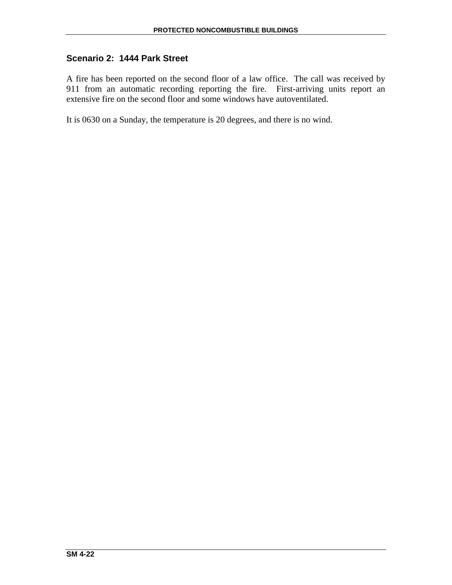# **Scenario 2: 1444 Park Street**

A fire has been reported on the second floor of a law office. The call was received by 911 from an automatic recording reporting the fire. First-arriving units report an extensive fire on the second floor and some windows have autoventilated.

It is 0630 on a Sunday, the temperature is 20 degrees, and there is no wind.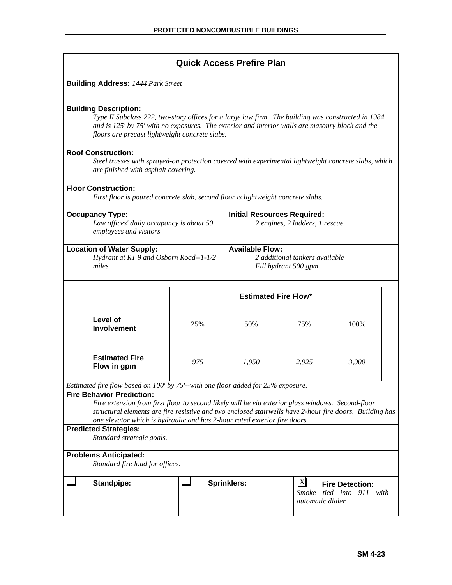# **Quick Access Prefire Plan**

|                                                                                                                                                                                                                                                                                                                               |     | QUIUN AUUCSS ΓΙΓΙΙΙ ΓΓΙΑΙΙ         |                                                        |                                              |  |
|-------------------------------------------------------------------------------------------------------------------------------------------------------------------------------------------------------------------------------------------------------------------------------------------------------------------------------|-----|------------------------------------|--------------------------------------------------------|----------------------------------------------|--|
| <b>Building Address: 1444 Park Street</b>                                                                                                                                                                                                                                                                                     |     |                                    |                                                        |                                              |  |
| <b>Building Description:</b><br>Type II Subclass 222, two-story offices for a large law firm. The building was constructed in 1984<br>and is 125' by 75' with no exposures. The exterior and interior walls are masonry block and the<br>floors are precast lightweight concrete slabs.                                       |     |                                    |                                                        |                                              |  |
| <b>Roof Construction:</b><br>Steel trusses with sprayed-on protection covered with experimental lightweight concrete slabs, which<br>are finished with asphalt covering.                                                                                                                                                      |     |                                    |                                                        |                                              |  |
| <b>Floor Construction:</b><br>First floor is poured concrete slab, second floor is lightweight concrete slabs.                                                                                                                                                                                                                |     |                                    |                                                        |                                              |  |
| <b>Occupancy Type:</b><br>Law offices' daily occupancy is about 50<br>employees and visitors                                                                                                                                                                                                                                  |     | <b>Initial Resources Required:</b> | 2 engines, 2 ladders, 1 rescue                         |                                              |  |
| <b>Location of Water Supply:</b><br>Hydrant at RT 9 and Osborn Road--1-1/2<br>miles                                                                                                                                                                                                                                           |     | <b>Available Flow:</b>             | 2 additional tankers available<br>Fill hydrant 500 gpm |                                              |  |
|                                                                                                                                                                                                                                                                                                                               |     | <b>Estimated Fire Flow*</b>        |                                                        |                                              |  |
| Level of<br><b>Involvement</b>                                                                                                                                                                                                                                                                                                | 25% | 50%                                | 75%                                                    | 100%                                         |  |
| <b>Estimated Fire</b><br>Flow in gpm                                                                                                                                                                                                                                                                                          | 975 | 1,950                              | 2,925                                                  | 3,900                                        |  |
| Estimated fire flow based on 100' by 75'--with one floor added for 25% exposure.                                                                                                                                                                                                                                              |     |                                    |                                                        |                                              |  |
| <b>Fire Behavior Prediction:</b><br>Fire extension from first floor to second likely will be via exterior glass windows. Second-floor<br>structural elements are fire resistive and two enclosed stairwells have 2-hour fire doors. Building has<br>one elevator which is hydraulic and has 2-hour rated exterior fire doors. |     |                                    |                                                        |                                              |  |
| <b>Predicted Strategies:</b><br>Standard strategic goals.                                                                                                                                                                                                                                                                     |     |                                    |                                                        |                                              |  |
| <b>Problems Anticipated:</b>                                                                                                                                                                                                                                                                                                  |     |                                    |                                                        |                                              |  |
| Standard fire load for offices.                                                                                                                                                                                                                                                                                               |     |                                    |                                                        |                                              |  |
| <b>Standpipe:</b>                                                                                                                                                                                                                                                                                                             |     | <b>Sprinklers:</b>                 | $\mathbf{X}$<br>Smoke<br><i>automatic dialer</i>       | <b>Fire Detection:</b><br>tied into 911 with |  |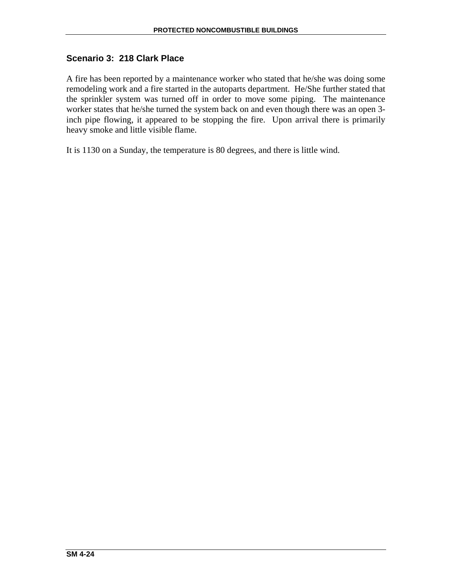# **Scenario 3: 218 Clark Place**

A fire has been reported by a maintenance worker who stated that he/she was doing some remodeling work and a fire started in the autoparts department. He/She further stated that the sprinkler system was turned off in order to move some piping. The maintenance worker states that he/she turned the system back on and even though there was an open 3 inch pipe flowing, it appeared to be stopping the fire. Upon arrival there is primarily heavy smoke and little visible flame.

It is 1130 on a Sunday, the temperature is 80 degrees, and there is little wind.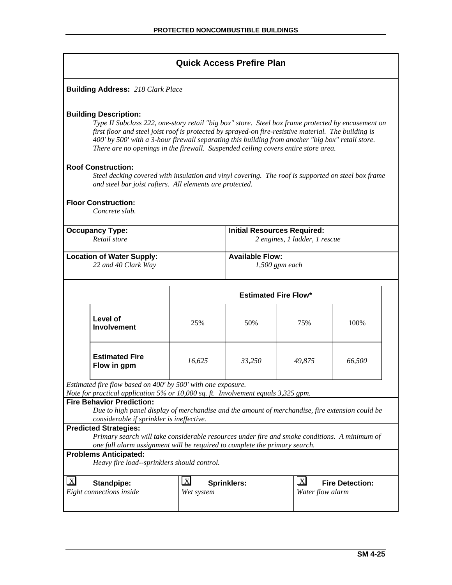| <b>Quick Access Prefire Plan</b> |  |  |
|----------------------------------|--|--|
|----------------------------------|--|--|

**Building Address:** *218 Clark Place*

#### **Building Description:**

*Type II Subclass 222, one-story retail "big box" store. Steel box frame protected by encasement on first floor and steel joist roof is protected by sprayed-on fire-resistive material. The building is 400' by 500' with a 3-hour firewall separating this building from another "big box" retail store. There are no openings in the firewall. Suspended ceiling covers entire store area.* 

#### **Roof Construction:**

*Steel decking covered with insulation and vinyl covering. The roof is supported on steel box frame and steel bar joist rafters. All elements are protected.* 

#### **Floor Construction:**

*Concrete slab.* 

| <b>Occupancy Type:</b>           | <b>Initial Resources Required:</b> |
|----------------------------------|------------------------------------|
| Retail store                     | 2 engines, 1 ladder, 1 rescue      |
| <b>Location of Water Supply:</b> | <b>Available Flow:</b>             |
| 22 and 40 Clark Way              | $1,500$ gpm each                   |

|                                      | <b>Estimated Fire Flow*</b> |        |        |        |
|--------------------------------------|-----------------------------|--------|--------|--------|
| Level of<br><b>Involvement</b>       | 25%                         | 50%    | 75%    | 100%   |
| <b>Estimated Fire</b><br>Flow in gpm | 16,625                      | 33,250 | 49,875 | 66,500 |

*Estimated fire flow based on 400' by 500' with one exposure.* 

*Note for practical application 5% or 10,000 sq. ft. Involvement equals 3,325 gpm.* 

#### **Fire Behavior Prediction:**

*Due to high panel display of merchandise and the amount of merchandise, fire extension could be considerable if sprinkler is ineffective.* 

#### **Predicted Strategies:**

*Primary search will take considerable resources under fire and smoke conditions. A minimum of one full alarm assignment will be required to complete the primary search.*

#### **Problems Anticipated:**

*Heavy fire load--sprinklers should control.* 

| $\lfloor x \rfloor$<br><b>Standpipe:</b> | $ {\bf X} $<br><b>Sprinklers:</b> | X <br><b>Fire Detection:</b> |
|------------------------------------------|-----------------------------------|------------------------------|
| Eight connections inside                 | Wet system                        | Water flow alarm             |
|                                          |                                   |                              |
|                                          |                                   |                              |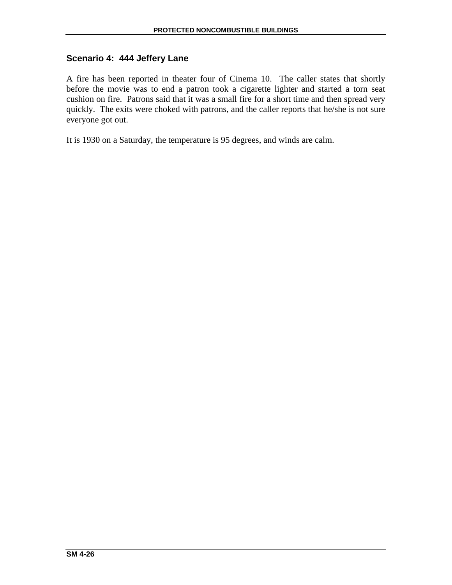# **Scenario 4: 444 Jeffery Lane**

A fire has been reported in theater four of Cinema 10. The caller states that shortly before the movie was to end a patron took a cigarette lighter and started a torn seat cushion on fire. Patrons said that it was a small fire for a short time and then spread very quickly. The exits were choked with patrons, and the caller reports that he/she is not sure everyone got out.

It is 1930 on a Saturday, the temperature is 95 degrees, and winds are calm.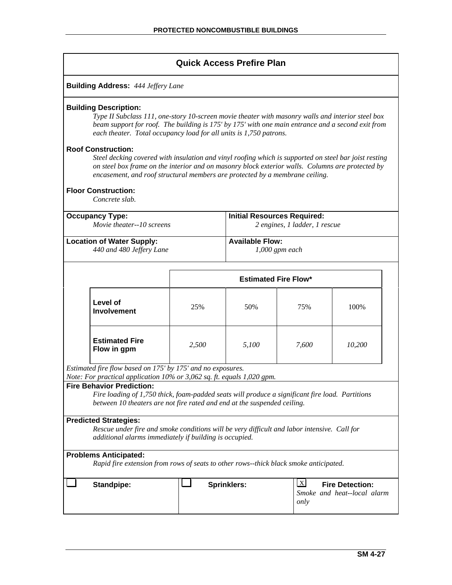|                                                                                                                                                                                                                                                                                           | <b>Quick Access Prefire Plan</b>                                                                                                                                                                                                                                                                                                                     |       |                                    |                                                               |        |  |
|-------------------------------------------------------------------------------------------------------------------------------------------------------------------------------------------------------------------------------------------------------------------------------------------|------------------------------------------------------------------------------------------------------------------------------------------------------------------------------------------------------------------------------------------------------------------------------------------------------------------------------------------------------|-------|------------------------------------|---------------------------------------------------------------|--------|--|
|                                                                                                                                                                                                                                                                                           | <b>Building Address: 444 Jeffery Lane</b>                                                                                                                                                                                                                                                                                                            |       |                                    |                                                               |        |  |
|                                                                                                                                                                                                                                                                                           | <b>Building Description:</b><br>Type II Subclass 111, one-story 10-screen movie theater with masonry walls and interior steel box<br>beam support for roof. The building is 175' by 175' with one main entrance and a second exit from<br>each theater. Total occupancy load for all units is 1,750 patrons.                                         |       |                                    |                                                               |        |  |
|                                                                                                                                                                                                                                                                                           | <b>Roof Construction:</b><br>Steel decking covered with insulation and vinyl roofing which is supported on steel bar joist resting<br>on steel box frame on the interior and on masonry block exterior walls. Columns are protected by<br>encasement, and roof structural members are protected by a membrane ceiling.<br><b>Floor Construction:</b> |       |                                    |                                                               |        |  |
|                                                                                                                                                                                                                                                                                           | Concrete slab.                                                                                                                                                                                                                                                                                                                                       |       |                                    |                                                               |        |  |
|                                                                                                                                                                                                                                                                                           | <b>Occupancy Type:</b><br>Movie theater--10 screens                                                                                                                                                                                                                                                                                                  |       | <b>Initial Resources Required:</b> | 2 engines, 1 ladder, 1 rescue                                 |        |  |
| <b>Available Flow:</b><br><b>Location of Water Supply:</b><br>440 and 480 Jeffery Lane<br>$1,000$ gpm each                                                                                                                                                                                |                                                                                                                                                                                                                                                                                                                                                      |       |                                    |                                                               |        |  |
|                                                                                                                                                                                                                                                                                           |                                                                                                                                                                                                                                                                                                                                                      |       | <b>Estimated Fire Flow*</b>        |                                                               |        |  |
|                                                                                                                                                                                                                                                                                           | Level of<br><b>Involvement</b>                                                                                                                                                                                                                                                                                                                       | 25%   | 50%                                | 75%                                                           | 100%   |  |
|                                                                                                                                                                                                                                                                                           | <b>Estimated Fire</b><br>Flow in gpm                                                                                                                                                                                                                                                                                                                 | 2,500 | 5,100                              | 7,600                                                         | 10,200 |  |
|                                                                                                                                                                                                                                                                                           | Estimated fire flow based on 175' by 175' and no exposures.                                                                                                                                                                                                                                                                                          |       |                                    |                                                               |        |  |
| Note: For practical application 10% or 3,062 sq. ft. equals 1,020 gpm.<br><b>Fire Behavior Prediction:</b><br>Fire loading of 1,750 thick, foam-padded seats will produce a significant fire load. Partitions<br>between 10 theaters are not fire rated and end at the suspended ceiling. |                                                                                                                                                                                                                                                                                                                                                      |       |                                    |                                                               |        |  |
| <b>Predicted Strategies:</b><br>Rescue under fire and smoke conditions will be very difficult and labor intensive. Call for<br>additional alarms immediately if building is occupied.                                                                                                     |                                                                                                                                                                                                                                                                                                                                                      |       |                                    |                                                               |        |  |
|                                                                                                                                                                                                                                                                                           | <b>Problems Anticipated:</b><br>Rapid fire extension from rows of seats to other rows--thick black smoke anticipated.                                                                                                                                                                                                                                |       |                                    |                                                               |        |  |
|                                                                                                                                                                                                                                                                                           |                                                                                                                                                                                                                                                                                                                                                      |       |                                    | $\lfloor x \rfloor$                                           |        |  |
|                                                                                                                                                                                                                                                                                           | <b>Standpipe:</b>                                                                                                                                                                                                                                                                                                                                    |       | <b>Sprinklers:</b>                 | <b>Fire Detection:</b><br>Smoke and heat--local alarm<br>only |        |  |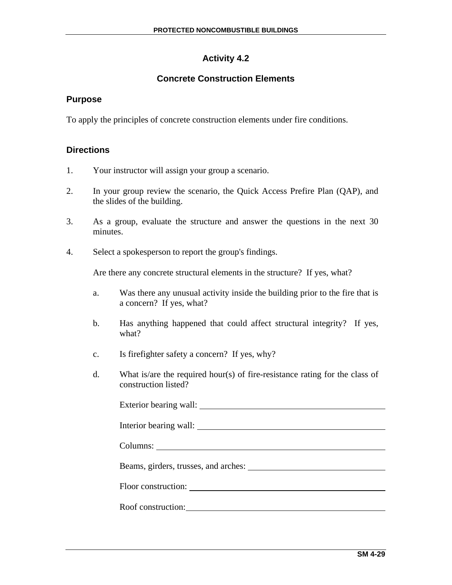# **Activity 4.2**

# **Concrete Construction Elements**

## **Purpose**

To apply the principles of concrete construction elements under fire conditions.

## **Directions**

- 1. Your instructor will assign your group a scenario.
- 2. In your group review the scenario, the Quick Access Prefire Plan (QAP), and the slides of the building.
- 3. As a group, evaluate the structure and answer the questions in the next 30 minutes.
- 4. Select a spokesperson to report the group's findings.

Are there any concrete structural elements in the structure? If yes, what?

- a. Was there any unusual activity inside the building prior to the fire that is a concern? If yes, what?
- b. Has anything happened that could affect structural integrity? If yes, what?
- c. Is firefighter safety a concern? If yes, why?
- d. What is/are the required hour(s) of fire-resistance rating for the class of construction listed?

| Roof construction: |  |
|--------------------|--|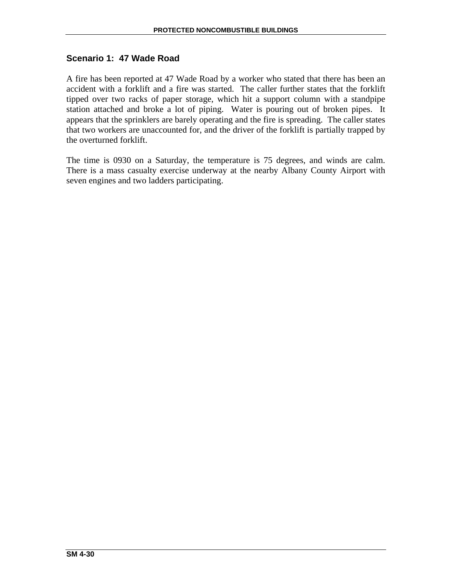## **Scenario 1: 47 Wade Road**

A fire has been reported at 47 Wade Road by a worker who stated that there has been an accident with a forklift and a fire was started. The caller further states that the forklift tipped over two racks of paper storage, which hit a support column with a standpipe station attached and broke a lot of piping. Water is pouring out of broken pipes. It appears that the sprinklers are barely operating and the fire is spreading. The caller states that two workers are unaccounted for, and the driver of the forklift is partially trapped by the overturned forklift.

The time is 0930 on a Saturday, the temperature is 75 degrees, and winds are calm. There is a mass casualty exercise underway at the nearby Albany County Airport with seven engines and two ladders participating.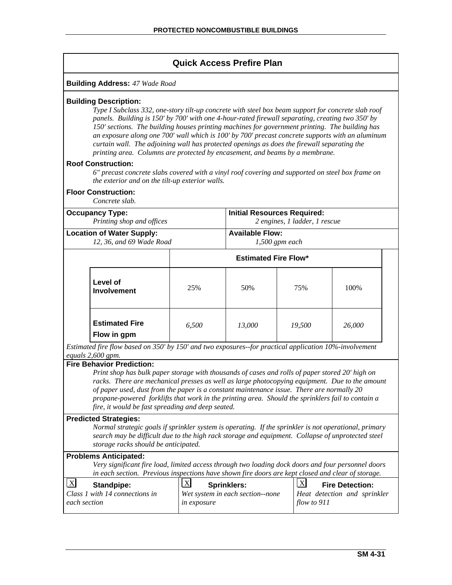| <b>Quick Access Prefire Plan</b>                                                                                                                                                                                                                                                                                                                                                                                                                                                                                                                                                                                                                                                                                                                                                                                |                                                                                                                                                                                                                                                                                                                                          |       |                             |        |        |  |
|-----------------------------------------------------------------------------------------------------------------------------------------------------------------------------------------------------------------------------------------------------------------------------------------------------------------------------------------------------------------------------------------------------------------------------------------------------------------------------------------------------------------------------------------------------------------------------------------------------------------------------------------------------------------------------------------------------------------------------------------------------------------------------------------------------------------|------------------------------------------------------------------------------------------------------------------------------------------------------------------------------------------------------------------------------------------------------------------------------------------------------------------------------------------|-------|-----------------------------|--------|--------|--|
|                                                                                                                                                                                                                                                                                                                                                                                                                                                                                                                                                                                                                                                                                                                                                                                                                 | <b>Building Address: 47 Wade Road</b>                                                                                                                                                                                                                                                                                                    |       |                             |        |        |  |
| <b>Building Description:</b><br>Type I Subclass 332, one-story tilt-up concrete with steel box beam support for concrete slab roof<br>panels. Building is 150' by 700' with one 4-hour-rated firewall separating, creating two 350' by<br>150' sections. The building houses printing machines for government printing. The building has<br>an exposure along one 700' wall which is 100' by 700' precast concrete supports with an aluminum<br>curtain wall. The adjoining wall has protected openings as does the firewall separating the<br>printing area. Columns are protected by encasement, and beams by a membrane.<br><b>Roof Construction:</b><br>6" precast concrete slabs covered with a vinyl roof covering and supported on steel box frame on<br>the exterior and on the tilt-up exterior walls. |                                                                                                                                                                                                                                                                                                                                          |       |                             |        |        |  |
|                                                                                                                                                                                                                                                                                                                                                                                                                                                                                                                                                                                                                                                                                                                                                                                                                 | <b>Floor Construction:</b><br>Concrete slab.                                                                                                                                                                                                                                                                                             |       |                             |        |        |  |
|                                                                                                                                                                                                                                                                                                                                                                                                                                                                                                                                                                                                                                                                                                                                                                                                                 | <b>Initial Resources Required:</b><br><b>Occupancy Type:</b><br>Printing shop and offices<br>2 engines, 1 ladder, 1 rescue<br><b>Available Flow:</b><br><b>Location of Water Supply:</b><br>12, 36, and 69 Wade Road<br>$1,500$ gpm each                                                                                                 |       |                             |        |        |  |
|                                                                                                                                                                                                                                                                                                                                                                                                                                                                                                                                                                                                                                                                                                                                                                                                                 |                                                                                                                                                                                                                                                                                                                                          |       | <b>Estimated Fire Flow*</b> |        |        |  |
|                                                                                                                                                                                                                                                                                                                                                                                                                                                                                                                                                                                                                                                                                                                                                                                                                 | Level of<br><b>Involvement</b>                                                                                                                                                                                                                                                                                                           | 25%   | 50%                         | 75%    | 100%   |  |
|                                                                                                                                                                                                                                                                                                                                                                                                                                                                                                                                                                                                                                                                                                                                                                                                                 | <b>Estimated Fire</b><br>Flow in gpm                                                                                                                                                                                                                                                                                                     | 6,500 | 13,000                      | 19,500 | 26,000 |  |
|                                                                                                                                                                                                                                                                                                                                                                                                                                                                                                                                                                                                                                                                                                                                                                                                                 | Estimated fire flow based on 350' by 150' and two exposures-for practical application 10%-involvement<br>equals 2,600 gpm.<br><b>Fire Behavior Prediction:</b>                                                                                                                                                                           |       |                             |        |        |  |
| Print shop has bulk paper storage with thousands of cases and rolls of paper stored 20' high on<br>racks. There are mechanical presses as well as large photocopying equipment. Due to the amount<br>of paper used, dust from the paper is a constant maintenance issue. There are normally 20<br>propane-powered forklifts that work in the printing area. Should the sprinklers fail to contain a<br>fire, it would be fast spreading and deep seated.                                                                                                                                                                                                                                                                                                                                                        |                                                                                                                                                                                                                                                                                                                                          |       |                             |        |        |  |
| <b>Predicted Strategies:</b><br>Normal strategic goals if sprinkler system is operating. If the sprinkler is not operational, primary<br>search may be difficult due to the high rack storage and equipment. Collapse of unprotected steel<br>storage racks should be anticipated.                                                                                                                                                                                                                                                                                                                                                                                                                                                                                                                              |                                                                                                                                                                                                                                                                                                                                          |       |                             |        |        |  |
|                                                                                                                                                                                                                                                                                                                                                                                                                                                                                                                                                                                                                                                                                                                                                                                                                 | <b>Problems Anticipated:</b><br>Very significant fire load, limited access through two loading dock doors and four personnel doors                                                                                                                                                                                                       |       |                             |        |        |  |
| $\boldsymbol{\mathrm{X}}$                                                                                                                                                                                                                                                                                                                                                                                                                                                                                                                                                                                                                                                                                                                                                                                       | in each section. Previous inspections have shown fire doors are kept closed and clear of storage.<br> X <br>X<br><b>Fire Detection:</b><br><b>Standpipe:</b><br><b>Sprinklers:</b><br>Class 1 with 14 connections in<br>Wet system in each section--none<br>Heat detection and sprinkler<br>each section<br>flow to $911$<br>in exposure |       |                             |        |        |  |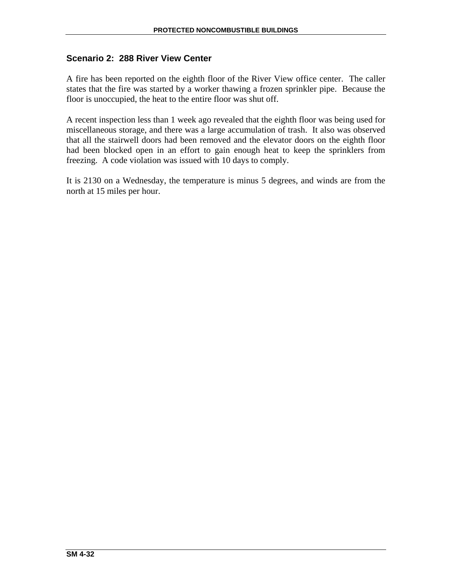# **Scenario 2: 288 River View Center**

A fire has been reported on the eighth floor of the River View office center. The caller states that the fire was started by a worker thawing a frozen sprinkler pipe. Because the floor is unoccupied, the heat to the entire floor was shut off.

A recent inspection less than 1 week ago revealed that the eighth floor was being used for miscellaneous storage, and there was a large accumulation of trash. It also was observed that all the stairwell doors had been removed and the elevator doors on the eighth floor had been blocked open in an effort to gain enough heat to keep the sprinklers from freezing. A code violation was issued with 10 days to comply.

It is 2130 on a Wednesday, the temperature is minus 5 degrees, and winds are from the north at 15 miles per hour.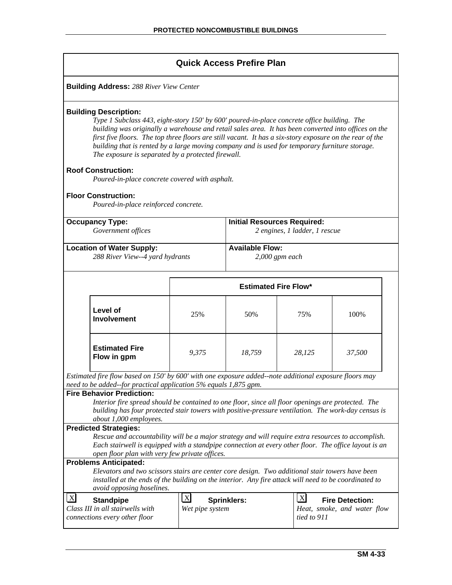| <b>Quick Access Prefire Plan</b>                                                                                                                                                                                                                                                                                                                                                                                                                                                                        |                                                       |                                                                     |                                    |                                                       |  |  |  |  |  |
|---------------------------------------------------------------------------------------------------------------------------------------------------------------------------------------------------------------------------------------------------------------------------------------------------------------------------------------------------------------------------------------------------------------------------------------------------------------------------------------------------------|-------------------------------------------------------|---------------------------------------------------------------------|------------------------------------|-------------------------------------------------------|--|--|--|--|--|
| <b>Building Address: 288 River View Center</b>                                                                                                                                                                                                                                                                                                                                                                                                                                                          |                                                       |                                                                     |                                    |                                                       |  |  |  |  |  |
| <b>Building Description:</b><br>Type 1 Subclass 443, eight-story 150' by 600' poured-in-place concrete office building. The<br>building was originally a warehouse and retail sales area. It has been converted into offices on the<br>first five floors. The top three floors are still vacant. It has a six-story exposure on the rear of the<br>building that is rented by a large moving company and is used for temporary furniture storage.<br>The exposure is separated by a protected firewall. |                                                       |                                                                     |                                    |                                                       |  |  |  |  |  |
| <b>Roof Construction:</b><br>Poured-in-place concrete covered with asphalt.                                                                                                                                                                                                                                                                                                                                                                                                                             |                                                       |                                                                     |                                    |                                                       |  |  |  |  |  |
| <b>Floor Construction:</b><br>Poured-in-place reinforced concrete.                                                                                                                                                                                                                                                                                                                                                                                                                                      |                                                       |                                                                     |                                    |                                                       |  |  |  |  |  |
| <b>Occupancy Type:</b><br>Government offices                                                                                                                                                                                                                                                                                                                                                                                                                                                            |                                                       | <b>Initial Resources Required:</b><br>2 engines, 1 ladder, 1 rescue |                                    |                                                       |  |  |  |  |  |
| <b>Location of Water Supply:</b><br>288 River View--4 yard hydrants                                                                                                                                                                                                                                                                                                                                                                                                                                     |                                                       | <b>Available Flow:</b><br>$2,000$ gpm each                          |                                    |                                                       |  |  |  |  |  |
|                                                                                                                                                                                                                                                                                                                                                                                                                                                                                                         | <b>Estimated Fire Flow*</b>                           |                                                                     |                                    |                                                       |  |  |  |  |  |
| Level of<br><b>Involvement</b>                                                                                                                                                                                                                                                                                                                                                                                                                                                                          | 25%                                                   | 50%                                                                 | 75%                                | 100%                                                  |  |  |  |  |  |
| <b>Estimated Fire</b><br>Flow in gpm                                                                                                                                                                                                                                                                                                                                                                                                                                                                    | 9,375                                                 | 18,759                                                              | 28,125                             | 37,500                                                |  |  |  |  |  |
| Estimated fire flow based on 150' by 600' with one exposure added--note additional exposure floors may                                                                                                                                                                                                                                                                                                                                                                                                  |                                                       |                                                                     |                                    |                                                       |  |  |  |  |  |
| need to be added-for practical application 5% equals 1,875 gpm.<br><b>Fire Behavior Prediction:</b><br>Interior fire spread should be contained to one floor, since all floor openings are protected. The<br>building has four protected stair towers with positive-pressure ventilation. The work-day census is<br>about 1,000 employees.                                                                                                                                                              |                                                       |                                                                     |                                    |                                                       |  |  |  |  |  |
| <b>Predicted Strategies:</b>                                                                                                                                                                                                                                                                                                                                                                                                                                                                            |                                                       |                                                                     |                                    |                                                       |  |  |  |  |  |
| Rescue and accountability will be a major strategy and will require extra resources to accomplish.<br>Each stairwell is equipped with a standpipe connection at every other floor. The office layout is an<br>open floor plan with very few private offices.                                                                                                                                                                                                                                            |                                                       |                                                                     |                                    |                                                       |  |  |  |  |  |
| <b>Problems Anticipated:</b><br>Elevators and two scissors stairs are center core design. Two additional stair towers have been<br>installed at the ends of the building on the interior. Any fire attack will need to be coordinated to<br>avoid opposing hoselines.                                                                                                                                                                                                                                   |                                                       |                                                                     |                                    |                                                       |  |  |  |  |  |
| $\boldsymbol{\mathrm{X}}$<br><b>Standpipe</b><br>Class III in all stairwells with<br>connections every other floor                                                                                                                                                                                                                                                                                                                                                                                      | $\mathbf{X}$<br><b>Sprinklers:</b><br>Wet pipe system |                                                                     | $\lfloor x \rfloor$<br>tied to 911 | <b>Fire Detection:</b><br>Heat, smoke, and water flow |  |  |  |  |  |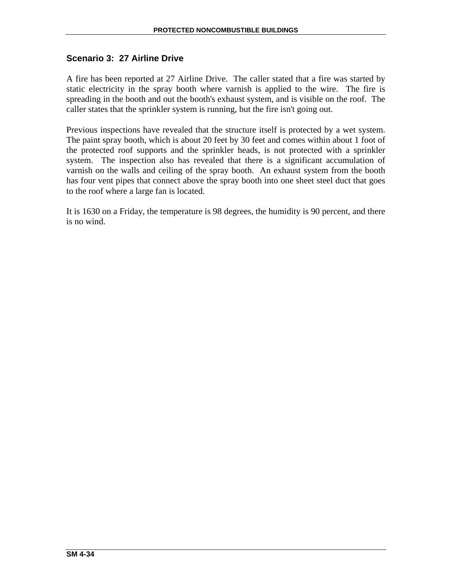# **Scenario 3: 27 Airline Drive**

A fire has been reported at 27 Airline Drive. The caller stated that a fire was started by static electricity in the spray booth where varnish is applied to the wire. The fire is spreading in the booth and out the booth's exhaust system, and is visible on the roof. The caller states that the sprinkler system is running, but the fire isn't going out.

Previous inspections have revealed that the structure itself is protected by a wet system. The paint spray booth, which is about 20 feet by 30 feet and comes within about 1 foot of the protected roof supports and the sprinkler heads, is not protected with a sprinkler system. The inspection also has revealed that there is a significant accumulation of varnish on the walls and ceiling of the spray booth. An exhaust system from the booth has four vent pipes that connect above the spray booth into one sheet steel duct that goes to the roof where a large fan is located.

It is 1630 on a Friday, the temperature is 98 degrees, the humidity is 90 percent, and there is no wind.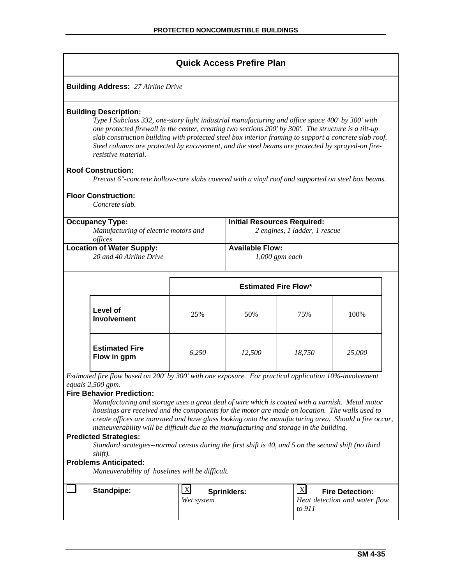| <b>Quick Access Prefire Plan</b>                                                                                                                                                                                                                                                                                                                                                                                                                                                                          |                                                                                                                                                   |                                    |                               |              |                                                         |  |  |  |
|-----------------------------------------------------------------------------------------------------------------------------------------------------------------------------------------------------------------------------------------------------------------------------------------------------------------------------------------------------------------------------------------------------------------------------------------------------------------------------------------------------------|---------------------------------------------------------------------------------------------------------------------------------------------------|------------------------------------|-------------------------------|--------------|---------------------------------------------------------|--|--|--|
| <b>Building Address: 27 Airline Drive</b>                                                                                                                                                                                                                                                                                                                                                                                                                                                                 |                                                                                                                                                   |                                    |                               |              |                                                         |  |  |  |
| <b>Building Description:</b><br>Type I Subclass 332, one-story light industrial manufacturing and office space 400' by 300' with<br>one protected firewall in the center, creating two sections 200' by 300'. The structure is a tilt-up<br>slab construction building with protected steel box interior framing to support a concrete slab roof.<br>Steel columns are protected by encasement, and the steel beams are protected by sprayed-on fire-<br>resistive material.<br><b>Roof Construction:</b> |                                                                                                                                                   |                                    |                               |              |                                                         |  |  |  |
|                                                                                                                                                                                                                                                                                                                                                                                                                                                                                                           | Precast 6"-concrete hollow-core slabs covered with a vinyl roof and supported on steel box beams.<br><b>Floor Construction:</b><br>Concrete slab. |                                    |                               |              |                                                         |  |  |  |
|                                                                                                                                                                                                                                                                                                                                                                                                                                                                                                           | <b>Occupancy Type:</b>                                                                                                                            | <b>Initial Resources Required:</b> |                               |              |                                                         |  |  |  |
|                                                                                                                                                                                                                                                                                                                                                                                                                                                                                                           | Manufacturing of electric motors and<br>offices                                                                                                   |                                    | 2 engines, 1 ladder, 1 rescue |              |                                                         |  |  |  |
|                                                                                                                                                                                                                                                                                                                                                                                                                                                                                                           | <b>Location of Water Supply:</b>                                                                                                                  |                                    | <b>Available Flow:</b>        |              |                                                         |  |  |  |
|                                                                                                                                                                                                                                                                                                                                                                                                                                                                                                           | 20 and 40 Airline Drive                                                                                                                           |                                    | $1,000$ gpm each              |              |                                                         |  |  |  |
|                                                                                                                                                                                                                                                                                                                                                                                                                                                                                                           |                                                                                                                                                   |                                    |                               |              |                                                         |  |  |  |
|                                                                                                                                                                                                                                                                                                                                                                                                                                                                                                           |                                                                                                                                                   | <b>Estimated Fire Flow*</b>        |                               |              |                                                         |  |  |  |
|                                                                                                                                                                                                                                                                                                                                                                                                                                                                                                           | Level of<br><b>Involvement</b>                                                                                                                    | 25%                                | 50%                           | 75%          | 100%                                                    |  |  |  |
|                                                                                                                                                                                                                                                                                                                                                                                                                                                                                                           | <b>Estimated Fire</b><br>Flow in gpm                                                                                                              | 6,250                              | 12,500                        | 18,750       | 25,000                                                  |  |  |  |
|                                                                                                                                                                                                                                                                                                                                                                                                                                                                                                           | Estimated fire flow based on 200' by 300' with one exposure. For practical application 10%-involvement                                            |                                    |                               |              |                                                         |  |  |  |
|                                                                                                                                                                                                                                                                                                                                                                                                                                                                                                           | equals 2,500 gpm.                                                                                                                                 |                                    |                               |              |                                                         |  |  |  |
| <b>Fire Behavior Prediction:</b><br>Manufacturing and storage uses a great deal of wire which is coated with a varnish. Metal motor<br>housings are received and the components for the motor are made on location. The walls used to<br>create offices are nonrated and have glass looking onto the manufacturing area. Should a fire occur,<br>maneuverability will be difficult due to the manufacturing and storage in the building.                                                                  |                                                                                                                                                   |                                    |                               |              |                                                         |  |  |  |
| <b>Predicted Strategies:</b>                                                                                                                                                                                                                                                                                                                                                                                                                                                                              |                                                                                                                                                   |                                    |                               |              |                                                         |  |  |  |
| Standard strategies--normal census during the first shift is 40, and 5 on the second shift (no third<br>shift).                                                                                                                                                                                                                                                                                                                                                                                           |                                                                                                                                                   |                                    |                               |              |                                                         |  |  |  |
| <b>Problems Anticipated:</b><br>Maneuverability of hoselines will be difficult.                                                                                                                                                                                                                                                                                                                                                                                                                           |                                                                                                                                                   |                                    |                               |              |                                                         |  |  |  |
|                                                                                                                                                                                                                                                                                                                                                                                                                                                                                                           | <b>Standpipe:</b>                                                                                                                                 | $\mathbf{X}$<br>Wet system         | <b>Sprinklers:</b>            | X <br>to 911 | <b>Fire Detection:</b><br>Heat detection and water flow |  |  |  |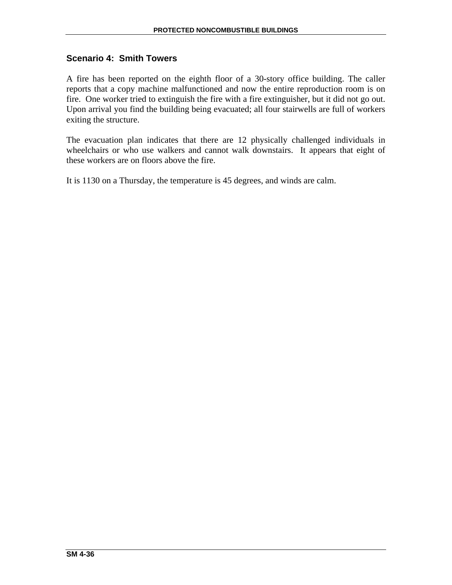## **Scenario 4: Smith Towers**

A fire has been reported on the eighth floor of a 30-story office building. The caller reports that a copy machine malfunctioned and now the entire reproduction room is on fire. One worker tried to extinguish the fire with a fire extinguisher, but it did not go out. Upon arrival you find the building being evacuated; all four stairwells are full of workers exiting the structure.

The evacuation plan indicates that there are 12 physically challenged individuals in wheelchairs or who use walkers and cannot walk downstairs. It appears that eight of these workers are on floors above the fire.

It is 1130 on a Thursday, the temperature is 45 degrees, and winds are calm.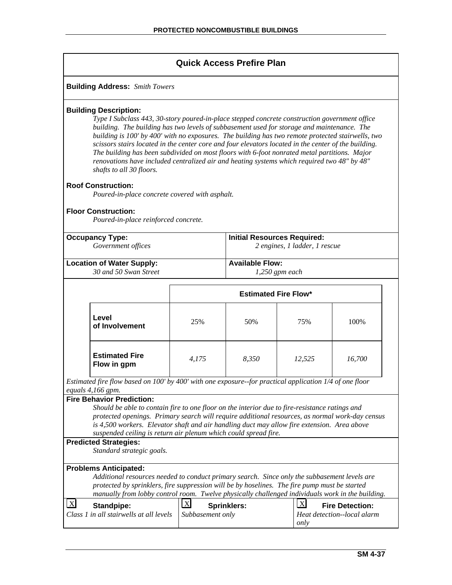## **Quick Access Prefire Plan Building Address:** *Smith Towers* **Building Description:**  *Type I Subclass 443, 30-story poured-in-place stepped concrete construction government office building. The building has two levels of subbasement used for storage and maintenance. The building is 100' by 400' with no exposures. The building has two remote protected stairwells, two scissors stairs located in the center core and four elevators located in the center of the building. The building has been subdivided on most floors with 6-foot nonrated metal partitions. Major renovations have included centralized air and heating systems which required two 48" by 48" shafts to all 30 floors.*  **Roof Construction:**  *Poured-in-place concrete covered with asphalt.*  **Floor Construction:** *Poured-in-place reinforced concrete.*  **Occupancy Type:**  *Government offices*  **Initial Resources Required:**  *2 engines, 1 ladder, 1 rescue*  **Location of Water Supply:**  *30 and 50 Swan Street* **Available Flow:**  *1,250 gpm each*  **Estimated Fire Flow\* Level of Involvement** 25% 50% 75% 100% **Estimated Fire Flow in gpm** *4,175 8,350 12,525 16,700 Estimated fire flow based on 100' by 400' with one exposure--for practical application 1/4 of one floor equals 4,166 gpm.*  **Fire Behavior Prediction:**  *Should be able to contain fire to one floor on the interior due to fire-resistance ratings and protected openings. Primary search will require additional resources, as normal work-day census is 4,500 workers. Elevator shaft and air handling duct may allow fire extension. Area above suspended ceiling is return air plenum which could spread fire.*  **Predicted Strategies:**  *Standard strategic goals.*  **Problems Anticipated:**  *Additional resources needed to conduct primary search. Since only the subbasement levels are protected by sprinklers, fire suppression will be by hoselines. The fire pump must be started manually from lobby control room. Twelve physically challenged individuals work in the building.*   $\overline{X}$  Standpipe: *Class 1 in all stairwells at all levels*  X **Sprinklers:** *Subbasement only*  X **Fire Detection:** *Heat detection--local alarm only*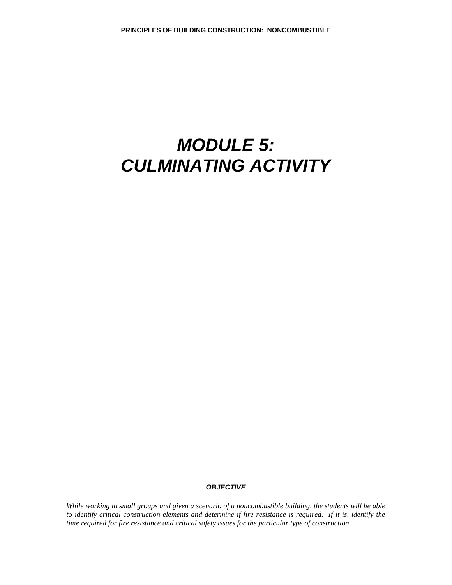# *MODULE 5: CULMINATING ACTIVITY*

#### *OBJECTIVE*

*While working in small groups and given a scenario of a noncombustible building, the students will be able to identify critical construction elements and determine if fire resistance is required. If it is, identify the time required for fire resistance and critical safety issues for the particular type of construction.*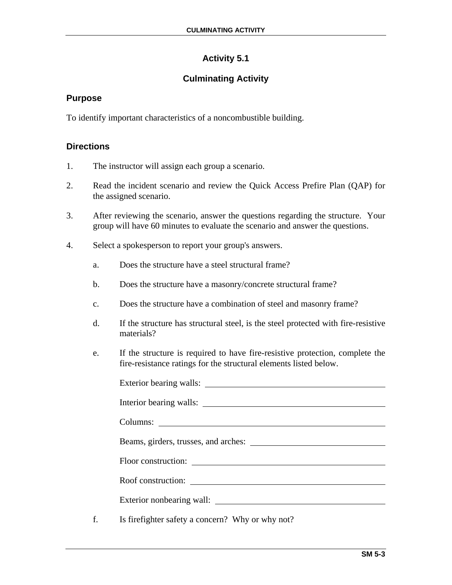# **Activity 5.1**

# **Culminating Activity**

### **Purpose**

To identify important characteristics of a noncombustible building.

# **Directions**

- 1. The instructor will assign each group a scenario.
- 2. Read the incident scenario and review the Quick Access Prefire Plan (QAP) for the assigned scenario.
- 3. After reviewing the scenario, answer the questions regarding the structure. Your group will have 60 minutes to evaluate the scenario and answer the questions.
- 4. Select a spokesperson to report your group's answers.
	- a. Does the structure have a steel structural frame?
	- b. Does the structure have a masonry/concrete structural frame?
	- c. Does the structure have a combination of steel and masonry frame?
	- d. If the structure has structural steel, is the steel protected with fire-resistive materials?
	- e. If the structure is required to have fire-resistive protection, complete the fire-resistance ratings for the structural elements listed below.

| Exterior bearing walls:                           |
|---------------------------------------------------|
| Interior bearing walls:                           |
| Columns: <u>containing</u>                        |
|                                                   |
|                                                   |
|                                                   |
|                                                   |
| Is fire fighter safety a concern? Why or why not? |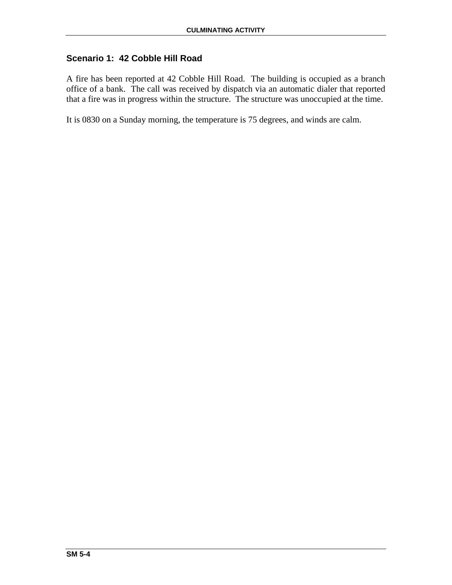# **Scenario 1: 42 Cobble Hill Road**

A fire has been reported at 42 Cobble Hill Road. The building is occupied as a branch office of a bank. The call was received by dispatch via an automatic dialer that reported that a fire was in progress within the structure. The structure was unoccupied at the time.

It is 0830 on a Sunday morning, the temperature is 75 degrees, and winds are calm.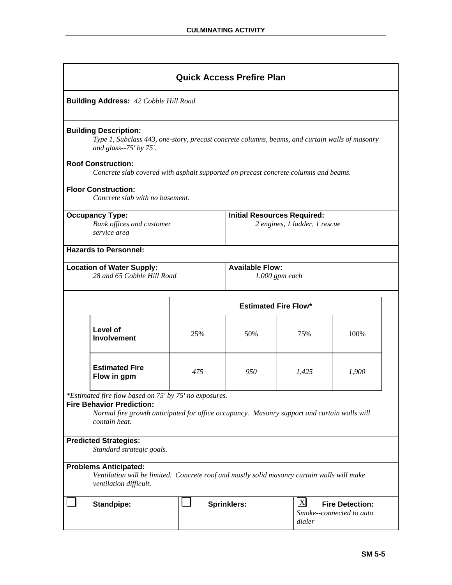|                                                                                                                                                                                                                                                                                                                                                     | <b>Quick Access Prefire Plan</b>                                                                                                                      |                                                                                                    |                                    |                               |       |  |  |  |
|-----------------------------------------------------------------------------------------------------------------------------------------------------------------------------------------------------------------------------------------------------------------------------------------------------------------------------------------------------|-------------------------------------------------------------------------------------------------------------------------------------------------------|----------------------------------------------------------------------------------------------------|------------------------------------|-------------------------------|-------|--|--|--|
|                                                                                                                                                                                                                                                                                                                                                     | <b>Building Address: 42 Cobble Hill Road</b>                                                                                                          |                                                                                                    |                                    |                               |       |  |  |  |
| <b>Building Description:</b><br>Type 1, Subclass 443, one-story, precast concrete columns, beams, and curtain walls of masonry<br>and glass-- $75'$ by $75'$ .<br><b>Roof Construction:</b><br>Concrete slab covered with asphalt supported on precast concrete columns and beams.<br><b>Floor Construction:</b><br>Concrete slab with no basement. |                                                                                                                                                       |                                                                                                    |                                    |                               |       |  |  |  |
|                                                                                                                                                                                                                                                                                                                                                     | <b>Occupancy Type:</b><br><b>Bank offices and customer</b><br>service area                                                                            |                                                                                                    | <b>Initial Resources Required:</b> | 2 engines, 1 ladder, 1 rescue |       |  |  |  |
|                                                                                                                                                                                                                                                                                                                                                     | <b>Hazards to Personnel:</b>                                                                                                                          |                                                                                                    |                                    |                               |       |  |  |  |
| <b>Available Flow:</b><br><b>Location of Water Supply:</b><br>28 and 65 Cobble Hill Road<br>$1,000$ gpm each                                                                                                                                                                                                                                        |                                                                                                                                                       |                                                                                                    |                                    |                               |       |  |  |  |
|                                                                                                                                                                                                                                                                                                                                                     |                                                                                                                                                       |                                                                                                    | <b>Estimated Fire Flow*</b>        |                               |       |  |  |  |
|                                                                                                                                                                                                                                                                                                                                                     | Level of<br><b>Involvement</b>                                                                                                                        | 25%                                                                                                | 50%                                | 75%                           | 100%  |  |  |  |
|                                                                                                                                                                                                                                                                                                                                                     | <b>Estimated Fire</b><br>Flow in gpm                                                                                                                  | 475                                                                                                | 950                                | 1,425                         | 1,900 |  |  |  |
|                                                                                                                                                                                                                                                                                                                                                     | *Estimated fire flow based on 75' by 75' no exposures.                                                                                                |                                                                                                    |                                    |                               |       |  |  |  |
|                                                                                                                                                                                                                                                                                                                                                     | <b>Fire Behavior Prediction:</b><br>Normal fire growth anticipated for office occupancy. Masonry support and curtain walls will<br>contain heat.      |                                                                                                    |                                    |                               |       |  |  |  |
| <b>Predicted Strategies:</b><br>Standard strategic goals.                                                                                                                                                                                                                                                                                           |                                                                                                                                                       |                                                                                                    |                                    |                               |       |  |  |  |
|                                                                                                                                                                                                                                                                                                                                                     | <b>Problems Anticipated:</b><br>Ventilation will be limited. Concrete roof and mostly solid masonry curtain walls will make<br>ventilation difficult. |                                                                                                    |                                    |                               |       |  |  |  |
|                                                                                                                                                                                                                                                                                                                                                     | <b>Standpipe:</b>                                                                                                                                     | $\mathbf{X}$<br><b>Fire Detection:</b><br><b>Sprinklers:</b><br>Smoke--connected to auto<br>dialer |                                    |                               |       |  |  |  |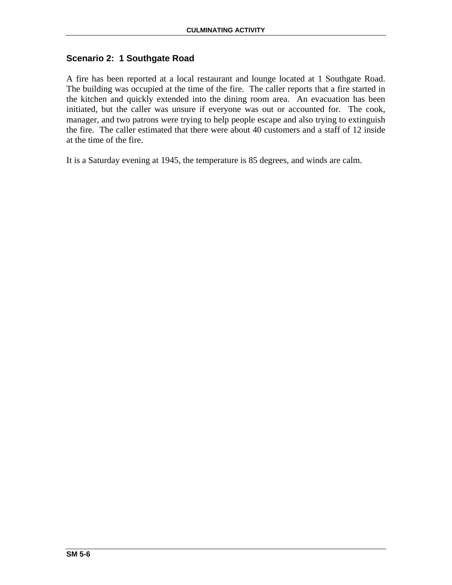## **Scenario 2: 1 Southgate Road**

A fire has been reported at a local restaurant and lounge located at 1 Southgate Road. The building was occupied at the time of the fire. The caller reports that a fire started in the kitchen and quickly extended into the dining room area. An evacuation has been initiated, but the caller was unsure if everyone was out or accounted for. The cook, manager, and two patrons were trying to help people escape and also trying to extinguish the fire. The caller estimated that there were about 40 customers and a staff of 12 inside at the time of the fire.

It is a Saturday evening at 1945, the temperature is 85 degrees, and winds are calm.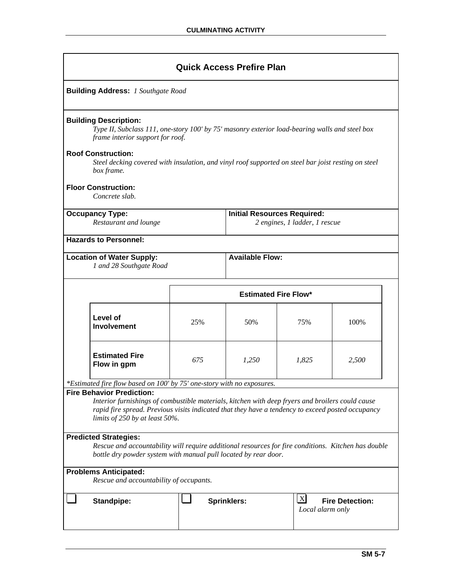|                                                                                                                                                                                                        | <b>Quick Access Prefire Plan</b>                                                                                                                                                                                                                                                  |                                    |                               |                        |  |  |  |  |
|--------------------------------------------------------------------------------------------------------------------------------------------------------------------------------------------------------|-----------------------------------------------------------------------------------------------------------------------------------------------------------------------------------------------------------------------------------------------------------------------------------|------------------------------------|-------------------------------|------------------------|--|--|--|--|
|                                                                                                                                                                                                        | <b>Building Address: 1 Southgate Road</b>                                                                                                                                                                                                                                         |                                    |                               |                        |  |  |  |  |
| <b>Building Description:</b><br>Type II, Subclass 111, one-story 100' by 75' masonry exterior load-bearing walls and steel box<br>frame interior support for roof.                                     |                                                                                                                                                                                                                                                                                   |                                    |                               |                        |  |  |  |  |
| <b>Roof Construction:</b><br>box frame.                                                                                                                                                                | Steel decking covered with insulation, and vinyl roof supported on steel bar joist resting on steel                                                                                                                                                                               |                                    |                               |                        |  |  |  |  |
| <b>Floor Construction:</b><br>Concrete slab.                                                                                                                                                           |                                                                                                                                                                                                                                                                                   |                                    |                               |                        |  |  |  |  |
| <b>Occupancy Type:</b><br>Restaurant and lounge                                                                                                                                                        |                                                                                                                                                                                                                                                                                   | <b>Initial Resources Required:</b> | 2 engines, 1 ladder, 1 rescue |                        |  |  |  |  |
| <b>Hazards to Personnel:</b>                                                                                                                                                                           |                                                                                                                                                                                                                                                                                   |                                    |                               |                        |  |  |  |  |
| <b>Available Flow:</b><br><b>Location of Water Supply:</b><br>1 and 28 Southgate Road                                                                                                                  |                                                                                                                                                                                                                                                                                   |                                    |                               |                        |  |  |  |  |
|                                                                                                                                                                                                        | <b>Estimated Fire Flow*</b>                                                                                                                                                                                                                                                       |                                    |                               |                        |  |  |  |  |
| Level of<br><b>Involvement</b>                                                                                                                                                                         | 25%                                                                                                                                                                                                                                                                               | 50%                                | 75%                           | 100%                   |  |  |  |  |
| <b>Estimated Fire</b><br>Flow in gpm                                                                                                                                                                   | 675                                                                                                                                                                                                                                                                               | 1,250                              | 1,825                         | 2,500                  |  |  |  |  |
| *Estimated fire flow based on 100' by 75' one-story with no exposures.                                                                                                                                 |                                                                                                                                                                                                                                                                                   |                                    |                               |                        |  |  |  |  |
|                                                                                                                                                                                                        | <b>Fire Behavior Prediction:</b><br>Interior furnishings of combustible materials, kitchen with deep fryers and broilers could cause<br>rapid fire spread. Previous visits indicated that they have a tendency to exceed posted occupancy<br>limits of $250$ by at least $50\%$ . |                                    |                               |                        |  |  |  |  |
| <b>Predicted Strategies:</b><br>Rescue and accountability will require additional resources for fire conditions. Kitchen has double<br>bottle dry powder system with manual pull located by rear door. |                                                                                                                                                                                                                                                                                   |                                    |                               |                        |  |  |  |  |
| <b>Problems Anticipated:</b><br>Rescue and accountability of occupants.                                                                                                                                |                                                                                                                                                                                                                                                                                   |                                    |                               |                        |  |  |  |  |
| <b>Standpipe:</b>                                                                                                                                                                                      |                                                                                                                                                                                                                                                                                   | <b>Sprinklers:</b>                 | X <br>Local alarm only        | <b>Fire Detection:</b> |  |  |  |  |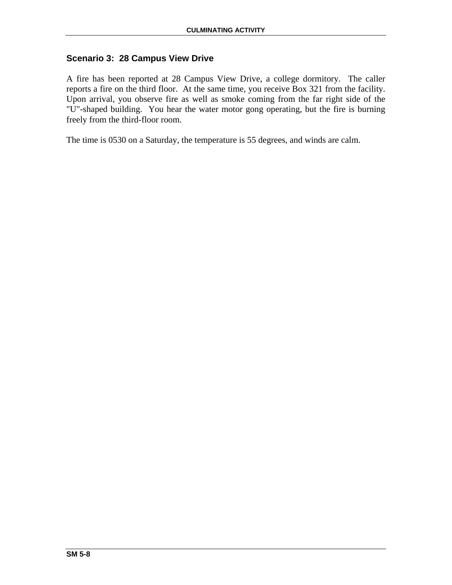## **Scenario 3: 28 Campus View Drive**

A fire has been reported at 28 Campus View Drive, a college dormitory. The caller reports a fire on the third floor. At the same time, you receive Box 321 from the facility. Upon arrival, you observe fire as well as smoke coming from the far right side of the "U"-shaped building. You hear the water motor gong operating, but the fire is burning freely from the third-floor room.

The time is 0530 on a Saturday, the temperature is 55 degrees, and winds are calm.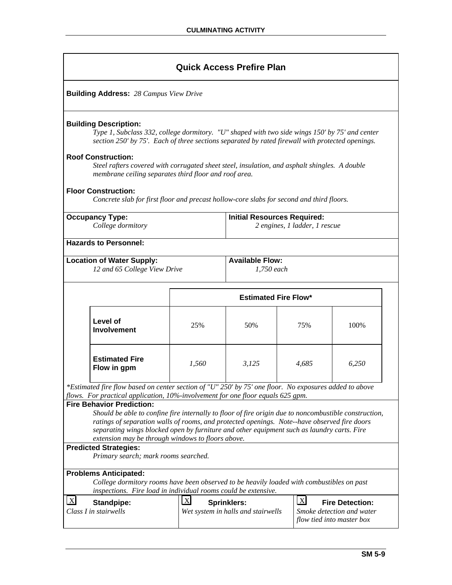**Building Address:** *28 Campus View Drive* 

### **Building Description:**

*Type 1, Subclass 332, college dormitory. "U" shaped with two side wings 150' by 75' and center section 250' by 75'. Each of three sections separated by rated firewall with protected openings.* 

### **Roof Construction:**

*Steel rafters covered with corrugated sheet steel, insulation, and asphalt shingles. A double membrane ceiling separates third floor and roof area.*

### **Floor Construction:**

*Concrete slab for first floor and precast hollow-core slabs for second and third floors.*

| <b>Occupancy Type:</b><br>College dormitory                                                                                                                                                                                                                                                                                                                                                                                  |                                                                                                                                                                                                                                     |             | <b>Initial Resources Required:</b><br>2 engines, 1 ladder, 1 rescue |              |                                                                                  |  |
|------------------------------------------------------------------------------------------------------------------------------------------------------------------------------------------------------------------------------------------------------------------------------------------------------------------------------------------------------------------------------------------------------------------------------|-------------------------------------------------------------------------------------------------------------------------------------------------------------------------------------------------------------------------------------|-------------|---------------------------------------------------------------------|--------------|----------------------------------------------------------------------------------|--|
|                                                                                                                                                                                                                                                                                                                                                                                                                              | <b>Hazards to Personnel:</b>                                                                                                                                                                                                        |             |                                                                     |              |                                                                                  |  |
|                                                                                                                                                                                                                                                                                                                                                                                                                              | <b>Location of Water Supply:</b><br>12 and 65 College View Drive                                                                                                                                                                    |             | <b>Available Flow:</b><br>1.750 each                                |              |                                                                                  |  |
|                                                                                                                                                                                                                                                                                                                                                                                                                              |                                                                                                                                                                                                                                     |             | <b>Estimated Fire Flow*</b>                                         |              |                                                                                  |  |
|                                                                                                                                                                                                                                                                                                                                                                                                                              | Level of<br><b>Involvement</b>                                                                                                                                                                                                      | 25%         | 50%                                                                 | 75%          | 100%                                                                             |  |
|                                                                                                                                                                                                                                                                                                                                                                                                                              | <b>Estimated Fire</b><br>Flow in gpm                                                                                                                                                                                                | 1,560       | 3,125                                                               | 4,685        | 6,250                                                                            |  |
|                                                                                                                                                                                                                                                                                                                                                                                                                              | *Estimated fire flow based on center section of "U" 250' by 75' one floor. No exposures added to above<br>flows. For practical application, 10%-involvement for one floor equals 625 gpm.                                           |             |                                                                     |              |                                                                                  |  |
| <b>Fire Behavior Prediction:</b><br>Should be able to confine fire internally to floor of fire origin due to noncombustible construction,<br>ratings of separation walls of rooms, and protected openings. Note--have observed fire doors<br>separating wings blocked open by furniture and other equipment such as laundry carts. Fire<br>extension may be through windows to floors above.<br><b>Predicted Strategies:</b> |                                                                                                                                                                                                                                     |             |                                                                     |              |                                                                                  |  |
|                                                                                                                                                                                                                                                                                                                                                                                                                              | Primary search; mark rooms searched.<br><b>Problems Anticipated:</b><br>College dormitory rooms have been observed to be heavily loaded with combustibles on past<br>inspections. Fire load in individual rooms could be extensive. |             |                                                                     |              |                                                                                  |  |
| $\lfloor x \rfloor$                                                                                                                                                                                                                                                                                                                                                                                                          | <b>Standpipe:</b><br>Class I in stairwells                                                                                                                                                                                          | $\mathbf X$ | <b>Sprinklers:</b><br>Wet system in halls and stairwells            | $\mathbf{X}$ | <b>Fire Detection:</b><br>Smoke detection and water<br>flow tied into master box |  |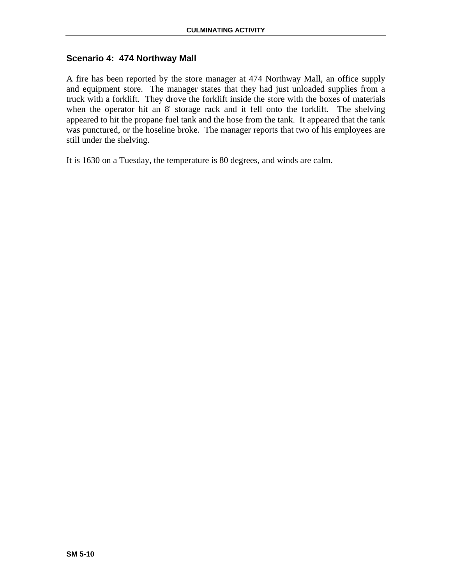## **Scenario 4: 474 Northway Mall**

A fire has been reported by the store manager at 474 Northway Mall, an office supply and equipment store. The manager states that they had just unloaded supplies from a truck with a forklift. They drove the forklift inside the store with the boxes of materials when the operator hit an 8' storage rack and it fell onto the forklift. The shelving appeared to hit the propane fuel tank and the hose from the tank. It appeared that the tank was punctured, or the hoseline broke. The manager reports that two of his employees are still under the shelving.

It is 1630 on a Tuesday, the temperature is 80 degrees, and winds are calm.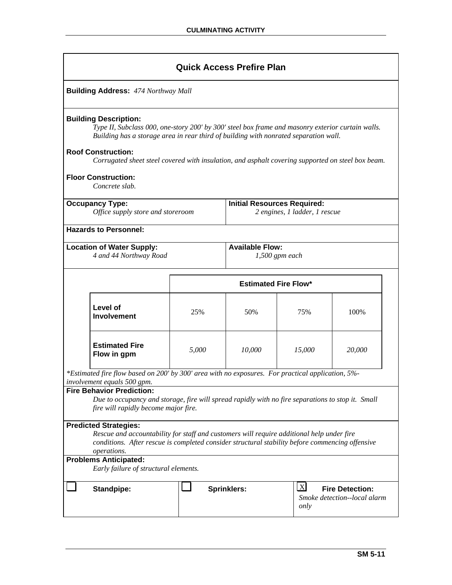|                                                                                                                                                                                                                                                                             |                                                                                                                                                                                                                                                                                                                                                                                                             |       | <b>Quick Access Prefire Plan</b>   |                               |        |  |  |  |
|-----------------------------------------------------------------------------------------------------------------------------------------------------------------------------------------------------------------------------------------------------------------------------|-------------------------------------------------------------------------------------------------------------------------------------------------------------------------------------------------------------------------------------------------------------------------------------------------------------------------------------------------------------------------------------------------------------|-------|------------------------------------|-------------------------------|--------|--|--|--|
|                                                                                                                                                                                                                                                                             | <b>Building Address: 474 Northway Mall</b>                                                                                                                                                                                                                                                                                                                                                                  |       |                                    |                               |        |  |  |  |
|                                                                                                                                                                                                                                                                             | <b>Building Description:</b><br>Type II, Subclass 000, one-story 200' by 300' steel box frame and masonry exterior curtain walls.<br>Building has a storage area in rear third of building with nonrated separation wall.<br><b>Roof Construction:</b><br>Corrugated sheet steel covered with insulation, and asphalt covering supported on steel box beam.<br><b>Floor Construction:</b><br>Concrete slab. |       |                                    |                               |        |  |  |  |
|                                                                                                                                                                                                                                                                             | <b>Occupancy Type:</b><br>Office supply store and storeroom                                                                                                                                                                                                                                                                                                                                                 |       | <b>Initial Resources Required:</b> | 2 engines, 1 ladder, 1 rescue |        |  |  |  |
|                                                                                                                                                                                                                                                                             | <b>Hazards to Personnel:</b>                                                                                                                                                                                                                                                                                                                                                                                |       |                                    |                               |        |  |  |  |
| <b>Available Flow:</b><br><b>Location of Water Supply:</b><br>4 and 44 Northway Road<br>$1,500$ gpm each                                                                                                                                                                    |                                                                                                                                                                                                                                                                                                                                                                                                             |       |                                    |                               |        |  |  |  |
|                                                                                                                                                                                                                                                                             |                                                                                                                                                                                                                                                                                                                                                                                                             |       | <b>Estimated Fire Flow*</b>        |                               |        |  |  |  |
|                                                                                                                                                                                                                                                                             | Level of<br><b>Involvement</b>                                                                                                                                                                                                                                                                                                                                                                              | 25%   | 50%                                | 75%                           | 100%   |  |  |  |
|                                                                                                                                                                                                                                                                             | <b>Estimated Fire</b><br>Flow in gpm                                                                                                                                                                                                                                                                                                                                                                        | 5,000 | 10,000                             | 15,000                        | 20,000 |  |  |  |
|                                                                                                                                                                                                                                                                             | *Estimated fire flow based on 200' by 300' area with no exposures. For practical application, 5%-<br>involvement equals 500 gpm.                                                                                                                                                                                                                                                                            |       |                                    |                               |        |  |  |  |
|                                                                                                                                                                                                                                                                             | <b>Fire Behavior Prediction:</b><br>Due to occupancy and storage, fire will spread rapidly with no fire separations to stop it. Small<br>fire will rapidly become major fire.                                                                                                                                                                                                                               |       |                                    |                               |        |  |  |  |
| <b>Predicted Strategies:</b><br>Rescue and accountability for staff and customers will require additional help under fire<br>conditions. After rescue is completed consider structural stability before commencing offensive<br>operations.<br><b>Problems Anticipated:</b> |                                                                                                                                                                                                                                                                                                                                                                                                             |       |                                    |                               |        |  |  |  |
|                                                                                                                                                                                                                                                                             | Early failure of structural elements.<br>$\mathbf{X}$<br><b>Sprinklers:</b><br><b>Fire Detection:</b><br>Standpipe:<br>Smoke detection--local alarm<br>only                                                                                                                                                                                                                                                 |       |                                    |                               |        |  |  |  |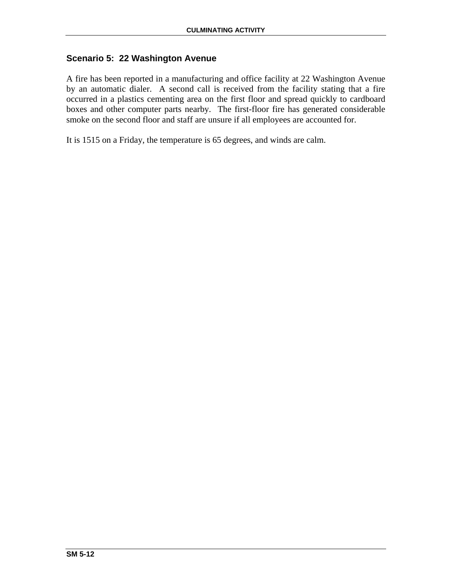## **Scenario 5: 22 Washington Avenue**

A fire has been reported in a manufacturing and office facility at 22 Washington Avenue by an automatic dialer. A second call is received from the facility stating that a fire occurred in a plastics cementing area on the first floor and spread quickly to cardboard boxes and other computer parts nearby. The first-floor fire has generated considerable smoke on the second floor and staff are unsure if all employees are accounted for.

It is 1515 on a Friday, the temperature is 65 degrees, and winds are calm.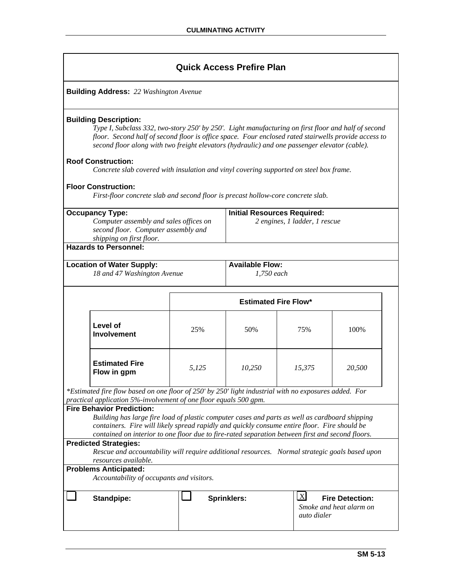**Building Address:** *22 Washington Avenue* 

#### **Building Description:**

*Type I, Subclass 332, two-story 250' by 250'. Light manufacturing on first floor and half of second floor. Second half of second floor is office space. Four enclosed rated stairwells provide access to second floor along with two freight elevators (hydraulic) and one passenger elevator (cable).* 

#### **Roof Construction:**

*Concrete slab covered with insulation and vinyl covering supported on steel box frame.*

### **Floor Construction:**

*First-floor concrete slab and second floor is precast hollow-core concrete slab.*

| <b>Occupancy Type:</b><br>Computer assembly and sales offices on<br>second floor. Computer assembly and<br>shipping on first floor.                                                                                                                                                                                                                                                                                                                                                                                  | <b>Initial Resources Required:</b><br>2 engines, 1 ladder, 1 rescue |                                      |                                                   |        |
|----------------------------------------------------------------------------------------------------------------------------------------------------------------------------------------------------------------------------------------------------------------------------------------------------------------------------------------------------------------------------------------------------------------------------------------------------------------------------------------------------------------------|---------------------------------------------------------------------|--------------------------------------|---------------------------------------------------|--------|
| <b>Hazards to Personnel:</b>                                                                                                                                                                                                                                                                                                                                                                                                                                                                                         |                                                                     |                                      |                                                   |        |
| <b>Location of Water Supply:</b><br>18 and 47 Washington Avenue                                                                                                                                                                                                                                                                                                                                                                                                                                                      |                                                                     | <b>Available Flow:</b><br>1,750 each |                                                   |        |
|                                                                                                                                                                                                                                                                                                                                                                                                                                                                                                                      |                                                                     | <b>Estimated Fire Flow*</b>          |                                                   |        |
| Level of<br><b>Involvement</b>                                                                                                                                                                                                                                                                                                                                                                                                                                                                                       | 25%                                                                 | 50%                                  | 75%                                               | 100%   |
| <b>Estimated Fire</b><br>Flow in gpm                                                                                                                                                                                                                                                                                                                                                                                                                                                                                 | 5,125                                                               | 10,250                               | 15,375                                            | 20,500 |
| *Estimated fire flow based on one floor of 250' by 250' light industrial with no exposures added. For<br>practical application 5%-involvement of one floor equals 500 gpm.<br><b>Fire Behavior Prediction:</b><br>Building has large fire load of plastic computer cases and parts as well as cardboard shipping<br>containers. Fire will likely spread rapidly and quickly consume entire floor. Fire should be<br>contained on interior to one floor due to fire-rated separation between first and second floors. |                                                                     |                                      |                                                   |        |
| <b>Predicted Strategies:</b><br>Rescue and accountability will require additional resources. Normal strategic goals based upon<br>resources available.<br><b>Problems Anticipated:</b>                                                                                                                                                                                                                                                                                                                               |                                                                     |                                      |                                                   |        |
| Accountability of occupants and visitors.                                                                                                                                                                                                                                                                                                                                                                                                                                                                            |                                                                     |                                      |                                                   |        |
| <b>Standpipe:</b>                                                                                                                                                                                                                                                                                                                                                                                                                                                                                                    | $\mathbf{X}$<br><b>Sprinklers:</b><br>auto dialer                   |                                      | <b>Fire Detection:</b><br>Smoke and heat alarm on |        |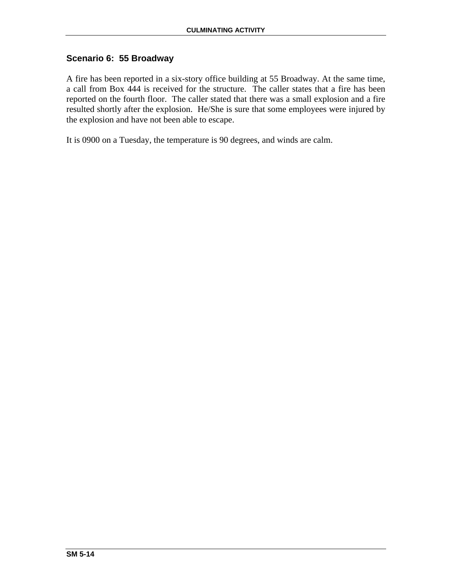## **Scenario 6: 55 Broadway**

A fire has been reported in a six-story office building at 55 Broadway. At the same time, a call from Box 444 is received for the structure. The caller states that a fire has been reported on the fourth floor. The caller stated that there was a small explosion and a fire resulted shortly after the explosion. He/She is sure that some employees were injured by the explosion and have not been able to escape.

It is 0900 on a Tuesday, the temperature is 90 degrees, and winds are calm.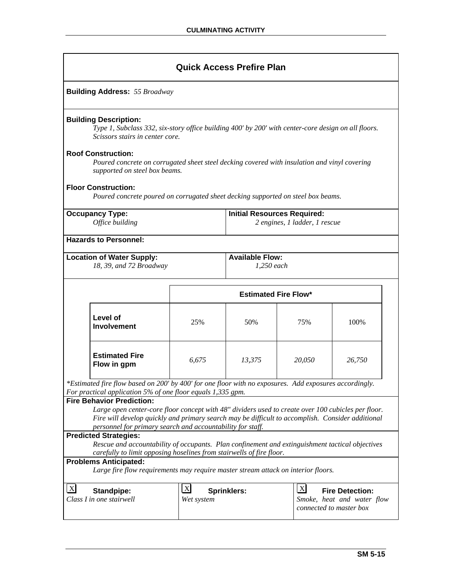|                                                                                                                                                                                                         | <b>Quick Access Prefire Plan</b>                                                                                                                                                                                                                                     |                                                                                                                                                     |                             |        |        |  |
|---------------------------------------------------------------------------------------------------------------------------------------------------------------------------------------------------------|----------------------------------------------------------------------------------------------------------------------------------------------------------------------------------------------------------------------------------------------------------------------|-----------------------------------------------------------------------------------------------------------------------------------------------------|-----------------------------|--------|--------|--|
|                                                                                                                                                                                                         | <b>Building Address: 55 Broadway</b>                                                                                                                                                                                                                                 |                                                                                                                                                     |                             |        |        |  |
|                                                                                                                                                                                                         | <b>Building Description:</b><br>Type 1, Subclass 332, six-story office building 400' by 200' with center-core design on all floors.<br>Scissors stairs in center core.                                                                                               |                                                                                                                                                     |                             |        |        |  |
|                                                                                                                                                                                                         | <b>Roof Construction:</b><br>Poured concrete on corrugated sheet steel decking covered with insulation and vinyl covering<br>supported on steel box beams.                                                                                                           |                                                                                                                                                     |                             |        |        |  |
|                                                                                                                                                                                                         | <b>Floor Construction:</b><br>Poured concrete poured on corrugated sheet decking supported on steel box beams.                                                                                                                                                       |                                                                                                                                                     |                             |        |        |  |
|                                                                                                                                                                                                         | <b>Occupancy Type:</b><br><b>Initial Resources Required:</b><br>Office building<br>2 engines, 1 ladder, 1 rescue                                                                                                                                                     |                                                                                                                                                     |                             |        |        |  |
|                                                                                                                                                                                                         | <b>Hazards to Personnel:</b>                                                                                                                                                                                                                                         |                                                                                                                                                     |                             |        |        |  |
| <b>Available Flow:</b><br><b>Location of Water Supply:</b><br>18, 39, and 72 Broadway<br>1,250 each                                                                                                     |                                                                                                                                                                                                                                                                      |                                                                                                                                                     |                             |        |        |  |
|                                                                                                                                                                                                         |                                                                                                                                                                                                                                                                      |                                                                                                                                                     | <b>Estimated Fire Flow*</b> |        |        |  |
|                                                                                                                                                                                                         | Level of<br><b>Involvement</b>                                                                                                                                                                                                                                       | 25%                                                                                                                                                 | 50%                         | 75%    | 100%   |  |
|                                                                                                                                                                                                         | <b>Estimated Fire</b><br>Flow in gpm                                                                                                                                                                                                                                 | 6,675                                                                                                                                               | 13,375                      | 20,050 | 26,750 |  |
|                                                                                                                                                                                                         | *Estimated fire flow based on 200' by 400' for one floor with no exposures. Add exposures accordingly.<br>For practical application 5% of one floor equals 1,335 gpm.<br><b>Fire Behavior Prediction:</b>                                                            |                                                                                                                                                     |                             |        |        |  |
|                                                                                                                                                                                                         | Large open center-core floor concept with 48" dividers used to create over 100 cubicles per floor.<br>Fire will develop quickly and primary search may be difficult to accomplish. Consider additional<br>personnel for primary search and accountability for staff. |                                                                                                                                                     |                             |        |        |  |
| <b>Predicted Strategies:</b><br>Rescue and accountability of occupants. Plan confinement and extinguishment tactical objectives<br>carefully to limit opposing hoselines from stairwells of fire floor. |                                                                                                                                                                                                                                                                      |                                                                                                                                                     |                             |        |        |  |
|                                                                                                                                                                                                         | <b>Problems Anticipated:</b><br>Large fire flow requirements may require master stream attack on interior floors.                                                                                                                                                    |                                                                                                                                                     |                             |        |        |  |
| $\boldsymbol{\mathrm{X}}$                                                                                                                                                                               | <b>Standpipe:</b><br>Class I in one stairwell                                                                                                                                                                                                                        | $\mathbf{X}$<br>$\mathbf{X}$<br><b>Sprinklers:</b><br><b>Fire Detection:</b><br>Smoke, heat and water flow<br>Wet system<br>connected to master box |                             |        |        |  |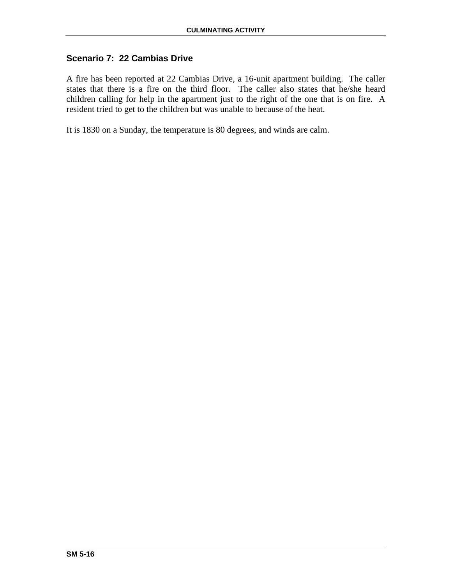# **Scenario 7: 22 Cambias Drive**

A fire has been reported at 22 Cambias Drive, a 16-unit apartment building. The caller states that there is a fire on the third floor. The caller also states that he/she heard children calling for help in the apartment just to the right of the one that is on fire. A resident tried to get to the children but was unable to because of the heat.

It is 1830 on a Sunday, the temperature is 80 degrees, and winds are calm.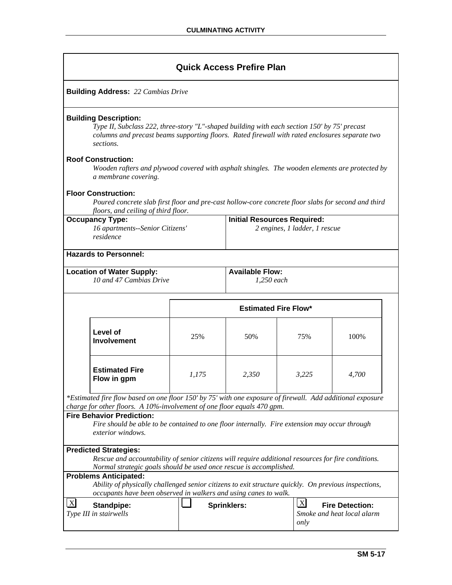|                                                                                                                                                                                                                                   | <b>Quick Access Prefire Plan</b>                                                                                                                                                                                                            |                                                                                                           |                                        |       |       |  |  |
|-----------------------------------------------------------------------------------------------------------------------------------------------------------------------------------------------------------------------------------|---------------------------------------------------------------------------------------------------------------------------------------------------------------------------------------------------------------------------------------------|-----------------------------------------------------------------------------------------------------------|----------------------------------------|-------|-------|--|--|
|                                                                                                                                                                                                                                   | <b>Building Address:</b> 22 Cambias Drive                                                                                                                                                                                                   |                                                                                                           |                                        |       |       |  |  |
|                                                                                                                                                                                                                                   | <b>Building Description:</b><br>Type II, Subclass 222, three-story "L"-shaped building with each section 150' by 75' precast<br>columns and precast beams supporting floors. Rated firewall with rated enclosures separate two<br>sections. |                                                                                                           |                                        |       |       |  |  |
|                                                                                                                                                                                                                                   | <b>Roof Construction:</b><br>Wooden rafters and plywood covered with asphalt shingles. The wooden elements are protected by<br>a membrane covering.                                                                                         |                                                                                                           |                                        |       |       |  |  |
|                                                                                                                                                                                                                                   | <b>Floor Construction:</b><br>Poured concrete slab first floor and pre-cast hollow-core concrete floor slabs for second and third<br>floors, and ceiling of third floor.                                                                    |                                                                                                           |                                        |       |       |  |  |
|                                                                                                                                                                                                                                   | <b>Occupancy Type:</b><br><b>Initial Resources Required:</b><br>16 apartments--Senior Citizens'<br>2 engines, 1 ladder, 1 rescue<br>residence                                                                                               |                                                                                                           |                                        |       |       |  |  |
|                                                                                                                                                                                                                                   | <b>Hazards to Personnel:</b>                                                                                                                                                                                                                |                                                                                                           |                                        |       |       |  |  |
|                                                                                                                                                                                                                                   | <b>Location of Water Supply:</b><br>10 and 47 Cambias Drive                                                                                                                                                                                 |                                                                                                           | <b>Available Flow:</b><br>$1,250$ each |       |       |  |  |
|                                                                                                                                                                                                                                   |                                                                                                                                                                                                                                             |                                                                                                           | <b>Estimated Fire Flow*</b>            |       |       |  |  |
|                                                                                                                                                                                                                                   | Level of<br><b>Involvement</b>                                                                                                                                                                                                              | 25%                                                                                                       | 50%                                    | 75%   | 100%  |  |  |
|                                                                                                                                                                                                                                   | <b>Estimated Fire</b><br>Flow in gpm                                                                                                                                                                                                        | 1,175                                                                                                     | 2,350                                  | 3,225 | 4,700 |  |  |
|                                                                                                                                                                                                                                   | *Estimated fire flow based on one floor 150' by 75' with one exposure of firewall. Add additional exposure                                                                                                                                  |                                                                                                           |                                        |       |       |  |  |
| charge for other floors. A 10%-involvement of one floor equals 470 gpm.<br><b>Fire Behavior Prediction:</b><br>Fire should be able to be contained to one floor internally. Fire extension may occur through<br>exterior windows. |                                                                                                                                                                                                                                             |                                                                                                           |                                        |       |       |  |  |
| <b>Predicted Strategies:</b><br>Rescue and accountability of senior citizens will require additional resources for fire conditions.<br>Normal strategic goals should be used once rescue is accomplished.                         |                                                                                                                                                                                                                                             |                                                                                                           |                                        |       |       |  |  |
|                                                                                                                                                                                                                                   | <b>Problems Anticipated:</b><br>Ability of physically challenged senior citizens to exit structure quickly. On previous inspections,<br>occupants have been observed in walkers and using canes to walk.                                    |                                                                                                           |                                        |       |       |  |  |
| $\overline{\mathbf{X}}$                                                                                                                                                                                                           | Standpipe:<br>Type III in stairwells                                                                                                                                                                                                        | $\lfloor x \rfloor$<br><b>Fire Detection:</b><br><b>Sprinklers:</b><br>Smoke and heat local alarm<br>only |                                        |       |       |  |  |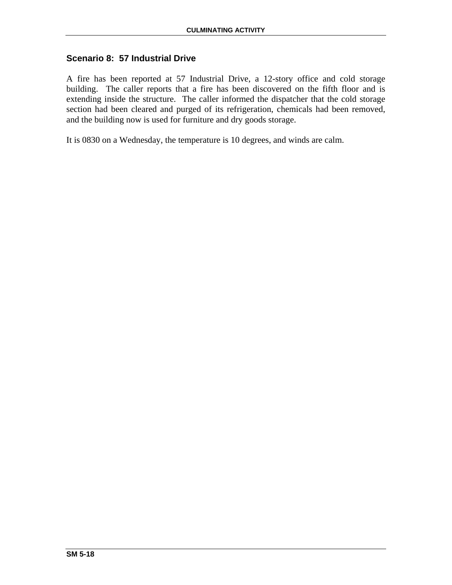## **Scenario 8: 57 Industrial Drive**

A fire has been reported at 57 Industrial Drive, a 12-story office and cold storage building. The caller reports that a fire has been discovered on the fifth floor and is extending inside the structure. The caller informed the dispatcher that the cold storage section had been cleared and purged of its refrigeration, chemicals had been removed, and the building now is used for furniture and dry goods storage.

It is 0830 on a Wednesday, the temperature is 10 degrees, and winds are calm.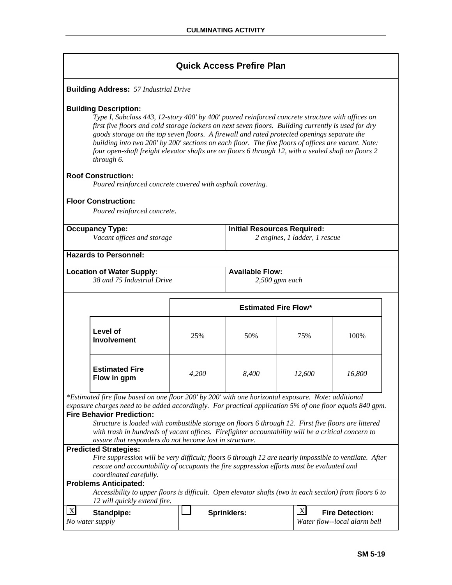|            |                                                                                                                                                                                                                                                                                                                                                                                                                                |       | <b>Quick Access Prefire Plan</b>   |                               |                              |
|------------|--------------------------------------------------------------------------------------------------------------------------------------------------------------------------------------------------------------------------------------------------------------------------------------------------------------------------------------------------------------------------------------------------------------------------------|-------|------------------------------------|-------------------------------|------------------------------|
|            | <b>Building Address:</b> 57 Industrial Drive                                                                                                                                                                                                                                                                                                                                                                                   |       |                                    |                               |                              |
|            | <b>Building Description:</b>                                                                                                                                                                                                                                                                                                                                                                                                   |       |                                    |                               |                              |
|            | Type I, Subclass 443, 12-story 400' by 400' poured reinforced concrete structure with offices on                                                                                                                                                                                                                                                                                                                               |       |                                    |                               |                              |
|            | first five floors and cold storage lockers on next seven floors. Building currently is used for dry<br>goods storage on the top seven floors. A firewall and rated protected openings separate the<br>building into two 200' by 200' sections on each floor. The five floors of offices are vacant. Note:<br>four open-shaft freight elevator shafts are on floors 6 through 12, with a sealed shaft on floors 2<br>through 6. |       |                                    |                               |                              |
|            | <b>Roof Construction:</b><br>Poured reinforced concrete covered with asphalt covering.                                                                                                                                                                                                                                                                                                                                         |       |                                    |                               |                              |
|            | <b>Floor Construction:</b>                                                                                                                                                                                                                                                                                                                                                                                                     |       |                                    |                               |                              |
|            | Poured reinforced concrete.                                                                                                                                                                                                                                                                                                                                                                                                    |       |                                    |                               |                              |
|            |                                                                                                                                                                                                                                                                                                                                                                                                                                |       |                                    |                               |                              |
|            | <b>Occupancy Type:</b>                                                                                                                                                                                                                                                                                                                                                                                                         |       | <b>Initial Resources Required:</b> |                               |                              |
|            | Vacant offices and storage                                                                                                                                                                                                                                                                                                                                                                                                     |       |                                    | 2 engines, 1 ladder, 1 rescue |                              |
|            | <b>Hazards to Personnel:</b>                                                                                                                                                                                                                                                                                                                                                                                                   |       |                                    |                               |                              |
|            | <b>Location of Water Supply:</b>                                                                                                                                                                                                                                                                                                                                                                                               |       | <b>Available Flow:</b>             |                               |                              |
|            | 38 and 75 Industrial Drive                                                                                                                                                                                                                                                                                                                                                                                                     |       |                                    | $2,500$ gpm each              |                              |
|            |                                                                                                                                                                                                                                                                                                                                                                                                                                |       | <b>Estimated Fire Flow*</b>        |                               |                              |
|            | Level of<br><b>Involvement</b>                                                                                                                                                                                                                                                                                                                                                                                                 | 25%   | 50%                                | 75%                           | 100%                         |
|            | <b>Estimated Fire</b><br>Flow in gpm                                                                                                                                                                                                                                                                                                                                                                                           | 4,200 | 8,400                              | 12,600                        | 16,800                       |
|            | *Estimated fire flow based on one floor 200' by 200' with one horizontal exposure. Note: additional<br>exposure charges need to be added accordingly. For practical application 5% of one floor equals 840 gpm.                                                                                                                                                                                                                |       |                                    |                               |                              |
|            | <b>Fire Behavior Prediction:</b>                                                                                                                                                                                                                                                                                                                                                                                               |       |                                    |                               |                              |
|            | Structure is loaded with combustible storage on floors 6 through 12. First five floors are littered<br>with trash in hundreds of vacant offices. Firefighter accountability will be a critical concern to                                                                                                                                                                                                                      |       |                                    |                               |                              |
|            | assure that responders do not become lost in structure.                                                                                                                                                                                                                                                                                                                                                                        |       |                                    |                               |                              |
|            | <b>Predicted Strategies:</b>                                                                                                                                                                                                                                                                                                                                                                                                   |       |                                    |                               |                              |
|            | Fire suppression will be very difficult; floors 6 through 12 are nearly impossible to ventilate. After<br>rescue and accountability of occupants the fire suppression efforts must be evaluated and                                                                                                                                                                                                                            |       |                                    |                               |                              |
|            | coordinated carefully.                                                                                                                                                                                                                                                                                                                                                                                                         |       |                                    |                               |                              |
|            | <b>Problems Anticipated:</b>                                                                                                                                                                                                                                                                                                                                                                                                   |       |                                    |                               |                              |
|            | Accessibility to upper floors is difficult. Open elevator shafts (two in each section) from floors 6 to<br>12 will quickly extend fire.                                                                                                                                                                                                                                                                                        |       |                                    |                               |                              |
| $\bold{X}$ | <b>Standpipe:</b>                                                                                                                                                                                                                                                                                                                                                                                                              |       | Sprinklers:                        | X                             | <b>Fire Detection:</b>       |
|            | No water supply                                                                                                                                                                                                                                                                                                                                                                                                                |       |                                    |                               | Water flow--local alarm bell |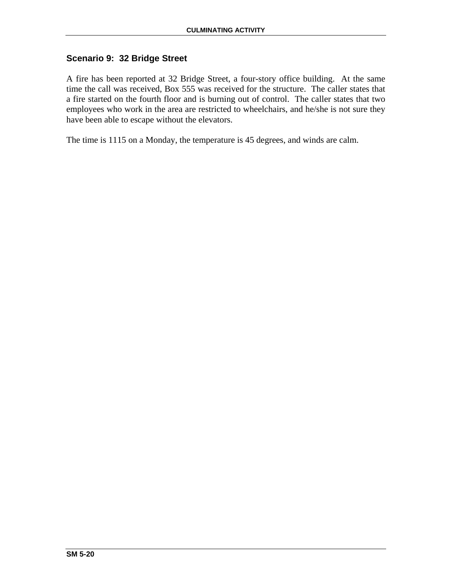## **Scenario 9: 32 Bridge Street**

A fire has been reported at 32 Bridge Street, a four-story office building. At the same time the call was received, Box 555 was received for the structure. The caller states that a fire started on the fourth floor and is burning out of control. The caller states that two employees who work in the area are restricted to wheelchairs, and he/she is not sure they have been able to escape without the elevators.

The time is 1115 on a Monday, the temperature is 45 degrees, and winds are calm.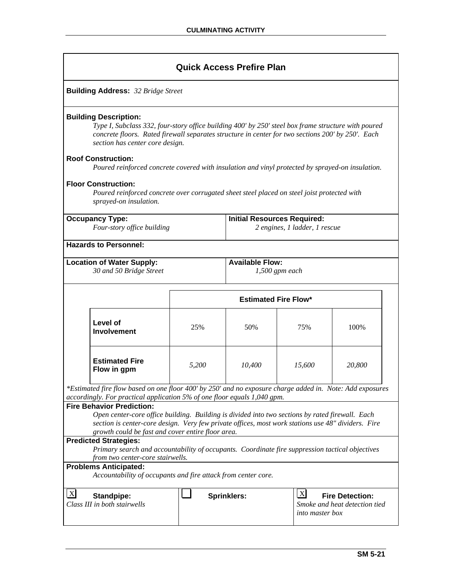| <b>Building Address:</b> 32 Bridge Street |  |
|-------------------------------------------|--|
|-------------------------------------------|--|

### **Building Description:**

*Type I, Subclass 332, four-story office building 400' by 250' steel box frame structure with poured concrete floors. Rated firewall separates structure in center for two sections 200' by 250'. Each section has center core design.* 

#### **Roof Construction:**

*Poured reinforced concrete covered with insulation and vinyl protected by sprayed-on insulation.*

#### **Floor Construction:**

*Poured reinforced concrete over corrugated sheet steel placed on steel joist protected with sprayed-on insulation.*

| <b>Occupancy Type:</b><br>Four-story office building        |                                                                                                                                                                                                                                                                                                                                                                                                                                                                       | <b>Initial Resources Required:</b><br>2 engines, 1 ladder, 1 rescue |                    |                                        |                                                         |  |
|-------------------------------------------------------------|-----------------------------------------------------------------------------------------------------------------------------------------------------------------------------------------------------------------------------------------------------------------------------------------------------------------------------------------------------------------------------------------------------------------------------------------------------------------------|---------------------------------------------------------------------|--------------------|----------------------------------------|---------------------------------------------------------|--|
|                                                             | <b>Hazards to Personnel:</b>                                                                                                                                                                                                                                                                                                                                                                                                                                          |                                                                     |                    |                                        |                                                         |  |
| <b>Location of Water Supply:</b><br>30 and 50 Bridge Street |                                                                                                                                                                                                                                                                                                                                                                                                                                                                       | <b>Available Flow:</b><br>$1,500$ gpm each                          |                    |                                        |                                                         |  |
|                                                             |                                                                                                                                                                                                                                                                                                                                                                                                                                                                       | <b>Estimated Fire Flow*</b>                                         |                    |                                        |                                                         |  |
|                                                             | Level of<br>Involvement                                                                                                                                                                                                                                                                                                                                                                                                                                               | 25%                                                                 | 50%                | 75%                                    | 100%                                                    |  |
|                                                             | <b>Estimated Fire</b><br>Flow in gpm                                                                                                                                                                                                                                                                                                                                                                                                                                  | 5,200                                                               | 10,400             | 15,600                                 | 20,800                                                  |  |
|                                                             | *Estimated fire flow based on one floor 400' by 250' and no exposure charge added in. Note: Add exposures<br>accordingly. For practical application 5% of one floor equals 1,040 gpm.                                                                                                                                                                                                                                                                                 |                                                                     |                    |                                        |                                                         |  |
|                                                             | <b>Fire Behavior Prediction:</b><br>Open center-core office building. Building is divided into two sections by rated firewall. Each<br>section is center-core design. Very few private offices, most work stations use 48" dividers. Fire<br>growth could be fast and cover entire floor area.<br><b>Predicted Strategies:</b><br>Primary search and accountability of occupants. Coordinate fire suppression tactical objectives<br>from two center-core stairwells. |                                                                     |                    |                                        |                                                         |  |
|                                                             | <b>Problems Anticipated:</b><br>Accountability of occupants and fire attack from center core.                                                                                                                                                                                                                                                                                                                                                                         |                                                                     |                    |                                        |                                                         |  |
| $\vert$ X                                                   | <b>Standpipe:</b><br>Class III in both stairwells                                                                                                                                                                                                                                                                                                                                                                                                                     |                                                                     | <b>Sprinklers:</b> | $\mathbf{X}$<br><i>into master box</i> | <b>Fire Detection:</b><br>Smoke and heat detection tied |  |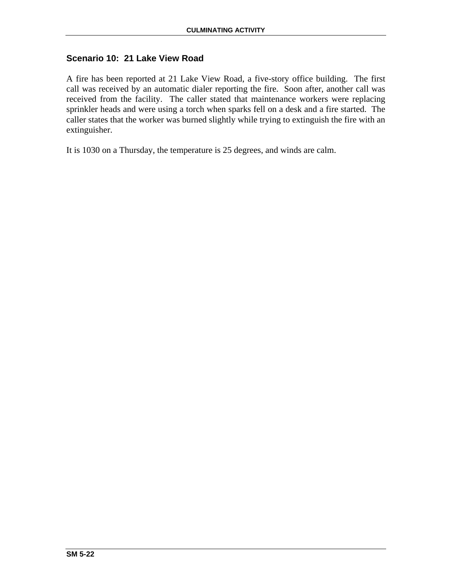## **Scenario 10: 21 Lake View Road**

A fire has been reported at 21 Lake View Road, a five-story office building. The first call was received by an automatic dialer reporting the fire. Soon after, another call was received from the facility. The caller stated that maintenance workers were replacing sprinkler heads and were using a torch when sparks fell on a desk and a fire started. The caller states that the worker was burned slightly while trying to extinguish the fire with an extinguisher.

It is 1030 on a Thursday, the temperature is 25 degrees, and winds are calm.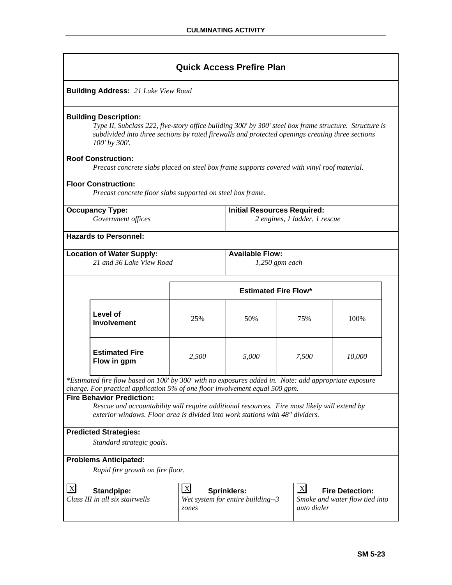|                                              |                                                                                                                                                                                                                                                             |                                                                     | <b>Quick Access Prefire Plan</b>                        |                             |                                                          |  |
|----------------------------------------------|-------------------------------------------------------------------------------------------------------------------------------------------------------------------------------------------------------------------------------------------------------------|---------------------------------------------------------------------|---------------------------------------------------------|-----------------------------|----------------------------------------------------------|--|
|                                              | <b>Building Address: 21 Lake View Road</b>                                                                                                                                                                                                                  |                                                                     |                                                         |                             |                                                          |  |
|                                              | <b>Building Description:</b><br>Type II, Subclass 222, five-story office building 300' by 300' steel box frame structure. Structure is<br>subdivided into three sections by rated firewalls and protected openings creating three sections<br>100' by 300'. |                                                                     |                                                         |                             |                                                          |  |
|                                              | <b>Roof Construction:</b><br>Precast concrete slabs placed on steel box frame supports covered with vinyl roof material.                                                                                                                                    |                                                                     |                                                         |                             |                                                          |  |
|                                              | <b>Floor Construction:</b><br>Precast concrete floor slabs supported on steel box frame.                                                                                                                                                                    |                                                                     |                                                         |                             |                                                          |  |
| <b>Occupancy Type:</b><br>Government offices |                                                                                                                                                                                                                                                             | <b>Initial Resources Required:</b><br>2 engines, 1 ladder, 1 rescue |                                                         |                             |                                                          |  |
|                                              | <b>Hazards to Personnel:</b>                                                                                                                                                                                                                                |                                                                     |                                                         |                             |                                                          |  |
|                                              | <b>Location of Water Supply:</b><br>21 and 36 Lake View Road                                                                                                                                                                                                |                                                                     | <b>Available Flow:</b><br>1,250 gpm each                |                             |                                                          |  |
|                                              |                                                                                                                                                                                                                                                             |                                                                     | <b>Estimated Fire Flow*</b>                             |                             |                                                          |  |
|                                              | Level of<br><b>Involvement</b>                                                                                                                                                                                                                              | 25%                                                                 | 50%                                                     | 75%                         | 100%                                                     |  |
|                                              | <b>Estimated Fire</b><br>Flow in gpm                                                                                                                                                                                                                        | 2,500                                                               | 5,000                                                   | 7,500                       | 10,000                                                   |  |
|                                              | *Estimated fire flow based on 100' by 300' with no exposures added in. Note: add appropriate exposure<br>charge. For practical application 5% of one floor involvement equal 500 gpm.                                                                       |                                                                     |                                                         |                             |                                                          |  |
|                                              | <b>Fire Behavior Prediction:</b><br>Rescue and accountability will require additional resources. Fire most likely will extend by<br>exterior windows. Floor area is divided into work stations with 48" dividers.                                           |                                                                     |                                                         |                             |                                                          |  |
|                                              | <b>Predicted Strategies:</b><br>Standard strategic goals.                                                                                                                                                                                                   |                                                                     |                                                         |                             |                                                          |  |
|                                              | <b>Problems Anticipated:</b>                                                                                                                                                                                                                                |                                                                     |                                                         |                             |                                                          |  |
|                                              | Rapid fire growth on fire floor.                                                                                                                                                                                                                            |                                                                     |                                                         |                             |                                                          |  |
| $\boldsymbol{\mathrm{X}}$                    | <b>Standpipe:</b><br>Class III in all six stairwells                                                                                                                                                                                                        | $\mathbf{X}$<br>zones                                               | <b>Sprinklers:</b><br>Wet system for entire building--3 | $\mathbf{X}$<br>auto dialer | <b>Fire Detection:</b><br>Smoke and water flow tied into |  |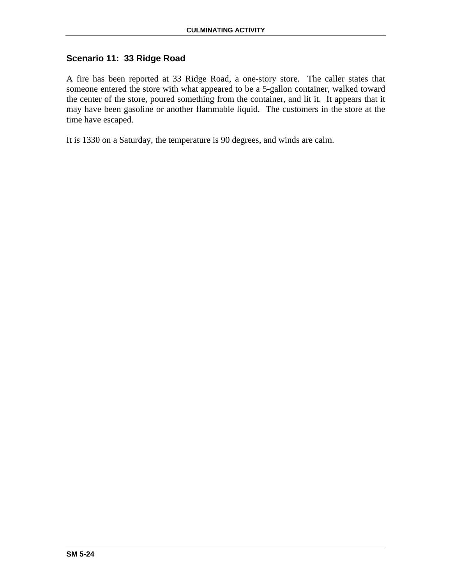## **Scenario 11: 33 Ridge Road**

A fire has been reported at 33 Ridge Road, a one-story store. The caller states that someone entered the store with what appeared to be a 5-gallon container, walked toward the center of the store, poured something from the container, and lit it. It appears that it may have been gasoline or another flammable liquid. The customers in the store at the time have escaped.

It is 1330 on a Saturday, the temperature is 90 degrees, and winds are calm.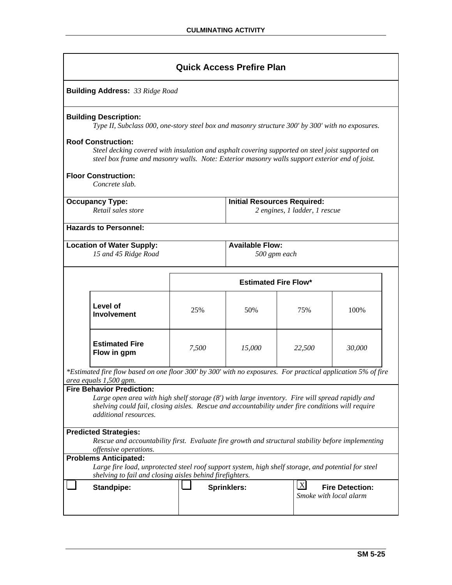|                                                                                                                                                                                                                                                                   |                             | <b>Quick Access Prefire Plan</b>       |                               |                                                  |  |
|-------------------------------------------------------------------------------------------------------------------------------------------------------------------------------------------------------------------------------------------------------------------|-----------------------------|----------------------------------------|-------------------------------|--------------------------------------------------|--|
| <b>Building Address: 33 Ridge Road</b>                                                                                                                                                                                                                            |                             |                                        |                               |                                                  |  |
| <b>Building Description:</b><br>Type II, Subclass 000, one-story steel box and masonry structure 300' by 300' with no exposures.                                                                                                                                  |                             |                                        |                               |                                                  |  |
| <b>Roof Construction:</b><br>Steel decking covered with insulation and asphalt covering supported on steel joist supported on<br>steel box frame and masonry walls. Note: Exterior masonry walls support exterior end of joist.                                   |                             |                                        |                               |                                                  |  |
| <b>Floor Construction:</b><br>Concrete slab.                                                                                                                                                                                                                      |                             |                                        |                               |                                                  |  |
| <b>Occupancy Type:</b><br>Retail sales store                                                                                                                                                                                                                      |                             | <b>Initial Resources Required:</b>     | 2 engines, 1 ladder, 1 rescue |                                                  |  |
| <b>Hazards to Personnel:</b>                                                                                                                                                                                                                                      |                             |                                        |                               |                                                  |  |
| <b>Location of Water Supply:</b><br>15 and 45 Ridge Road                                                                                                                                                                                                          |                             | <b>Available Flow:</b><br>500 gpm each |                               |                                                  |  |
|                                                                                                                                                                                                                                                                   | <b>Estimated Fire Flow*</b> |                                        |                               |                                                  |  |
| Level of<br><b>Involvement</b>                                                                                                                                                                                                                                    | 25%                         | 50%                                    | 75%                           | 100%                                             |  |
| <b>Estimated Fire</b><br>Flow in gpm                                                                                                                                                                                                                              | 7,500                       | 15,000                                 | 22,500                        | 30,000                                           |  |
| *Estimated fire flow based on one floor 300' by 300' with no exposures. For practical application 5% of fire<br>area equals 1,500 gpm.                                                                                                                            |                             |                                        |                               |                                                  |  |
| <b>Fire Behavior Prediction:</b><br>Large open area with high shelf storage (8') with large inventory. Fire will spread rapidly and<br>shelving could fail, closing aisles. Rescue and accountability under fire conditions will require<br>additional resources. |                             |                                        |                               |                                                  |  |
| <b>Predicted Strategies:</b><br>Rescue and accountability first. Evaluate fire growth and structural stability before implementing<br>offensive operations.                                                                                                       |                             |                                        |                               |                                                  |  |
| <b>Problems Anticipated:</b><br>Large fire load, unprotected steel roof support system, high shelf storage, and potential for steel                                                                                                                               |                             |                                        |                               |                                                  |  |
| shelving to fail and closing aisles behind firefighters.                                                                                                                                                                                                          |                             |                                        |                               |                                                  |  |
| <b>Standpipe:</b>                                                                                                                                                                                                                                                 |                             | <b>Sprinklers:</b>                     | $\lfloor x \rfloor$           | <b>Fire Detection:</b><br>Smoke with local alarm |  |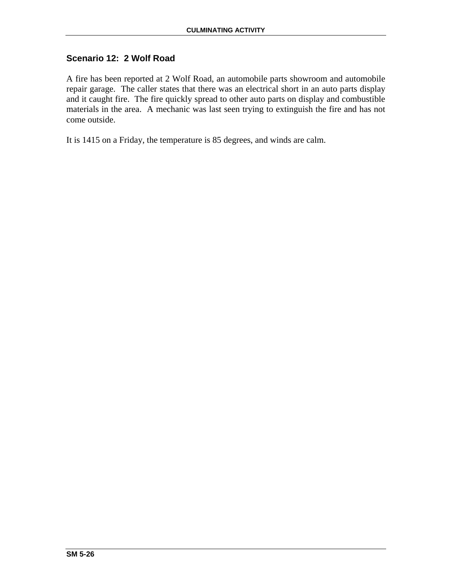# **Scenario 12: 2 Wolf Road**

A fire has been reported at 2 Wolf Road, an automobile parts showroom and automobile repair garage. The caller states that there was an electrical short in an auto parts display and it caught fire. The fire quickly spread to other auto parts on display and combustible materials in the area. A mechanic was last seen trying to extinguish the fire and has not come outside.

It is 1415 on a Friday, the temperature is 85 degrees, and winds are calm.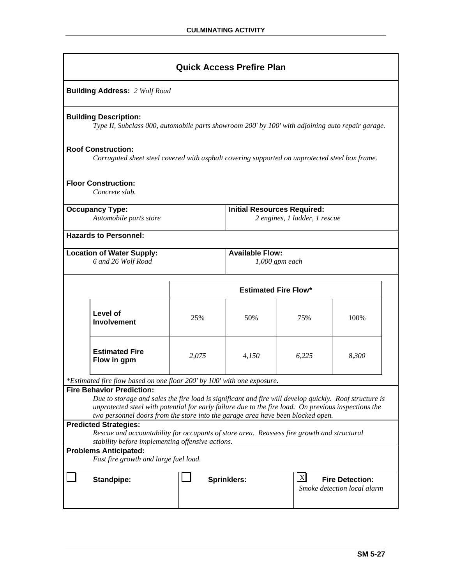| <b>Quick Access Prefire Plan</b>                                                                                                                                                                                                                                                                                                      |                                                                                                                                  |                                            |                               |           |                                                       |  |
|---------------------------------------------------------------------------------------------------------------------------------------------------------------------------------------------------------------------------------------------------------------------------------------------------------------------------------------|----------------------------------------------------------------------------------------------------------------------------------|--------------------------------------------|-------------------------------|-----------|-------------------------------------------------------|--|
|                                                                                                                                                                                                                                                                                                                                       | <b>Building Address: 2 Wolf Road</b>                                                                                             |                                            |                               |           |                                                       |  |
|                                                                                                                                                                                                                                                                                                                                       | <b>Building Description:</b><br>Type II, Subclass 000, automobile parts showroom 200' by 100' with adjoining auto repair garage. |                                            |                               |           |                                                       |  |
|                                                                                                                                                                                                                                                                                                                                       | <b>Roof Construction:</b><br>Corrugated sheet steel covered with asphalt covering supported on unprotected steel box frame.      |                                            |                               |           |                                                       |  |
| <b>Floor Construction:</b><br>Concrete slab.                                                                                                                                                                                                                                                                                          |                                                                                                                                  |                                            |                               |           |                                                       |  |
| <b>Occupancy Type:</b><br>Automobile parts store                                                                                                                                                                                                                                                                                      |                                                                                                                                  | <b>Initial Resources Required:</b>         | 2 engines, 1 ladder, 1 rescue |           |                                                       |  |
|                                                                                                                                                                                                                                                                                                                                       |                                                                                                                                  |                                            |                               |           |                                                       |  |
|                                                                                                                                                                                                                                                                                                                                       | <b>Hazards to Personnel:</b>                                                                                                     |                                            |                               |           |                                                       |  |
| <b>Location of Water Supply:</b><br>6 and 26 Wolf Road                                                                                                                                                                                                                                                                                |                                                                                                                                  | <b>Available Flow:</b><br>$1,000$ gpm each |                               |           |                                                       |  |
|                                                                                                                                                                                                                                                                                                                                       |                                                                                                                                  | <b>Estimated Fire Flow*</b>                |                               |           |                                                       |  |
|                                                                                                                                                                                                                                                                                                                                       | Level of<br><b>Involvement</b>                                                                                                   | 25%                                        | 50%                           | 75%       | 100%                                                  |  |
|                                                                                                                                                                                                                                                                                                                                       | <b>Estimated Fire</b><br>Flow in gpm                                                                                             | 2,075                                      | 4,150                         | 6,225     | 8,300                                                 |  |
|                                                                                                                                                                                                                                                                                                                                       | *Estimated fire flow based on one floor 200' by 100' with one exposure.                                                          |                                            |                               |           |                                                       |  |
| <b>Fire Behavior Prediction:</b><br>Due to storage and sales the fire load is significant and fire will develop quickly. Roof structure is<br>unprotected steel with potential for early failure due to the fire load. On previous inspections the<br>two personnel doors from the store into the garage area have been blocked open. |                                                                                                                                  |                                            |                               |           |                                                       |  |
| <b>Predicted Strategies:</b><br>Rescue and accountability for occupants of store area. Reassess fire growth and structural<br>stability before implementing offensive actions.                                                                                                                                                        |                                                                                                                                  |                                            |                               |           |                                                       |  |
|                                                                                                                                                                                                                                                                                                                                       | <b>Problems Anticipated:</b><br>Fast fire growth and large fuel load.                                                            |                                            |                               |           |                                                       |  |
|                                                                                                                                                                                                                                                                                                                                       |                                                                                                                                  |                                            |                               |           |                                                       |  |
|                                                                                                                                                                                                                                                                                                                                       | Standpipe:                                                                                                                       |                                            | <b>Sprinklers:</b>            | $\vert$ X | <b>Fire Detection:</b><br>Smoke detection local alarm |  |